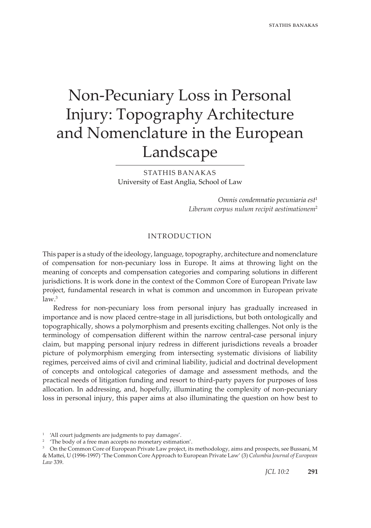# Non-Pecuniary Loss in Personal Injury: Topography Architecture and Nomenclature in the European Landscape

STATHIS BANAKAS University of East Anglia, School of Law

> *Omnis condemnatio pecuniaria est*<sup>1</sup> *Liberum corpus nulum recipit aestimationem*<sup>2</sup>

## INTRODUCTION

This paper is a study of the ideology, language, topography, architecture and nomenclature of compensation for non-pecuniary loss in Europe. It aims at throwing light on the meaning of concepts and compensation categories and comparing solutions in different jurisdictions. It is work done in the context of the Common Core of European Private law project, fundamental research in what is common and uncommon in European private  $law<sup>3</sup>$ 

Redress for non-pecuniary loss from personal injury has gradually increased in importance and is now placed centre-stage in all jurisdictions, but both ontologically and topographically, shows a polymorphism and presents exciting challenges. Not only is the terminology of compensation different within the narrow central-case personal injury claim, but mapping personal injury redress in different jurisdictions reveals a broader picture of polymorphism emerging from intersecting systematic divisions of liability regimes, perceived aims of civil and criminal liability, judicial and doctrinal development of concepts and ontological categories of damage and assessment methods, and the practical needs of litigation funding and resort to third-party payers for purposes of loss allocation. In addressing, and, hopefully, illuminating the complexity of non-pecuniary loss in personal injury, this paper aims at also illuminating the question on how best to

<sup>1</sup> 'All court judgments are judgments to pay damages'.

<sup>&</sup>lt;sup>2</sup> 'The body of a free man accepts no monetary estimation'.

<sup>&</sup>lt;sup>3</sup> On the Common Core of European Private Law project, its methodology, aims and prospects, see Bussani, M & Mattei, U (1996-1997) 'The Common Core Approach to European Private Law' (3) *Columbia Journal of European Law* 339.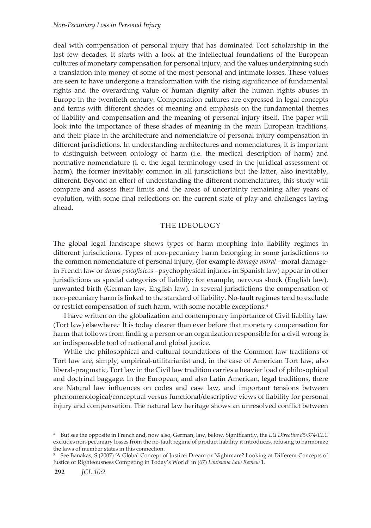deal with compensation of personal injury that has dominated Tort scholarship in the last few decades. It starts with a look at the intellectual foundations of the European cultures of monetary compensation for personal injury, and the values underpinning such a translation into money of some of the most personal and intimate losses. These values are seen to have undergone a transformation with the rising significance of fundamental rights and the overarching value of human dignity after the human rights abuses in Europe in the twentieth century. Compensation cultures are expressed in legal concepts and terms with different shades of meaning and emphasis on the fundamental themes of liability and compensation and the meaning of personal injury itself. The paper will look into the importance of these shades of meaning in the main European traditions, and their place in the architecture and nomenclature of personal injury compensation in different jurisdictions. In understanding architectures and nomenclatures, it is important to distinguish between ontology of harm (i.e. the medical description of harm) and normative nomenclature (i. e. the legal terminology used in the juridical assessment of harm), the former inevitably common in all jurisdictions but the latter, also inevitably, different. Beyond an effort of understanding the different nomenclatures, this study will compare and assess their limits and the areas of uncertainty remaining after years of evolution, with some final reflections on the current state of play and challenges laying ahead.

## THE IDEOLOGY

The global legal landscape shows types of harm morphing into liability regimes in different jurisdictions. Types of non-pecuniary harm belonging in some jurisdictions to the common nomenclature of personal injury, (for example *domage moral* –moral damagein French law or *danos psicofisicos* –psychophysical injuries-in Spanish law) appear in other jurisdictions as special categories of liability: for example, nervous shock (English law), unwanted birth (German law, English law). In several jurisdictions the compensation of non-pecuniary harm is linked to the standard of liability. No-fault regimes tend to exclude or restrict compensation of such harm, with some notable exceptions.4

I have written on the globalization and contemporary importance of Civil liability law (Tort law) elsewhere.<sup>5</sup> It is today clearer than ever before that monetary compensation for harm that follows from finding a person or an organization responsible for a civil wrong is an indispensable tool of national and global justice.

While the philosophical and cultural foundations of the Common law traditions of Tort law are, simply, empirical-utilitarianist and, in the case of American Tort law, also liberal-pragmatic, Tort law in the Civil law tradition carries a heavier load of philosophical and doctrinal baggage. In the European, and also Latin American, legal traditions, there are Natural law influences on codes and case law, and important tensions between phenomenological/conceptual versus functional/descriptive views of liability for personal injury and compensation. The natural law heritage shows an unresolved conflict between

<sup>4</sup> But see the opposite in French and, now also, German, law, below. Significantly, the *EU Directive 85/374/EEC* excludes non-pecuniary losses from the no-fault regime of product liability it introduces, refusing to harmonize the laws of member states in this connection.

<sup>5</sup> See Banakas, S (2007) 'A Global Concept of Justice: Dream or Nightmare? Looking at Different Concepts of Justice or Righteousness Competing in Today's World' in (67) *Louisiana Law Review* 1.

**<sup>292</sup>** *JCL 10:2*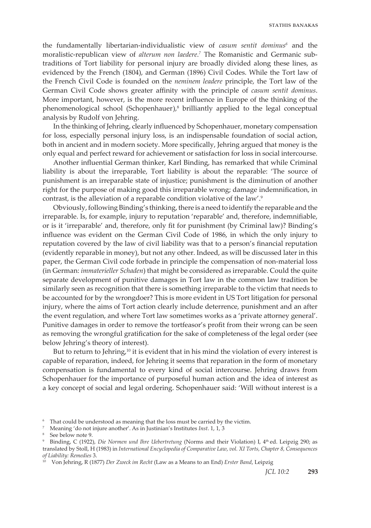the fundamentally libertarian-individualistic view of *casum sentit dominus6* and the moralistic-republican view of *alterum non laedere*. *7* The Romanistic and Germanic subtraditions of Tort liability for personal injury are broadly divided along these lines, as evidenced by the French (1804), and German (1896) Civil Codes. While the Tort law of the French Civil Code is founded on the *neminem leadere* principle, the Tort law of the German Civil Code shows greater affinity with the principle of *casum sentit dominus*. More important, however, is the more recent influence in Europe of the thinking of the phenomenological school (Schopenhauer),<sup>8</sup> brilliantly applied to the legal conceptual analysis by Rudolf von Jehring.

In the thinking of Jehring, clearly influenced by Schopenhauer, monetary compensation for loss, especially personal injury loss, is an indispensable foundation of social action, both in ancient and in modern society. More specifically, Jehring argued that money is the only equal and perfect reward for achievement or satisfaction for loss in social intercourse.

Another influential German thinker, Karl Binding, has remarked that while Criminal liability is about the irreparable, Tort liability is about the reparable: 'The source of punishment is an irreparable state of injustice; punishment is the diminution of another right for the purpose of making good this irreparable wrong; damage indemnification, in contrast, is the alleviation of a reparable condition violative of the law'.<sup>9</sup>

Obviously, following Binding's thinking, there is a need to identify the reparable and the irreparable. Is, for example, injury to reputation 'reparable' and, therefore, indemnifiable, or is it 'irreparable' and, therefore, only fit for punishment (by Criminal law)? Binding's influence was evident on the German Civil Code of 1986, in which the only injury to reputation covered by the law of civil liability was that to a person's financial reputation (evidently reparable in money), but not any other. Indeed, as will be discussed later in this paper, the German Civil code forbade in principle the compensation of non-material loss (in German: *immaterieller Schaden*) that might be considered as irreparable. Could the quite separate development of punitive damages in Tort law in the common law tradition be similarly seen as recognition that there is something irreparable to the victim that needs to be accounted for by the wrongdoer? This is more evident in US Tort litigation for personal injury, where the aims of Tort action clearly include deterrence, punishment and an after the event regulation, and where Tort law sometimes works as a 'private attorney general'. Punitive damages in order to remove the tortfeasor's profit from their wrong can be seen as removing the wrongful gratification for the sake of completeness of the legal order (see below Jehring's theory of interest).

But to return to Jehring,<sup>10</sup> it is evident that in his mind the violation of every interest is capable of reparation, indeed, for Jehring it seems that reparation in the form of monetary compensation is fundamental to every kind of social intercourse. Jehring draws from Schopenhauer for the importance of purposeful human action and the idea of interest as a key concept of social and legal ordering. Schopenhauer said: 'Will without interest is a

<sup>6</sup> That could be understood as meaning that the loss must be carried by the victim.

<sup>7</sup> Meaning 'do not injure another'. As in Justinian's Institutes *Inst*. 1, 1, 3

<sup>8</sup> See below note 9.

<sup>&</sup>lt;sup>9</sup> Binding, C (1922), *Die Normen und Ihre Uebertretung* (Norms and their Violation) I, 4<sup>th</sup> ed. Leipzig 290; as translated by Stoll, H (1983) in *International Encyclopedia of Comparative Law*, *vol. XI Torts, Chapter 8, Consequences of Liability: Remedies* 3.

<sup>10</sup> Von Jehring, R (1877) *Der Zweck im Recht* (Law as a Means to an End) *Erster Band*, Leipzig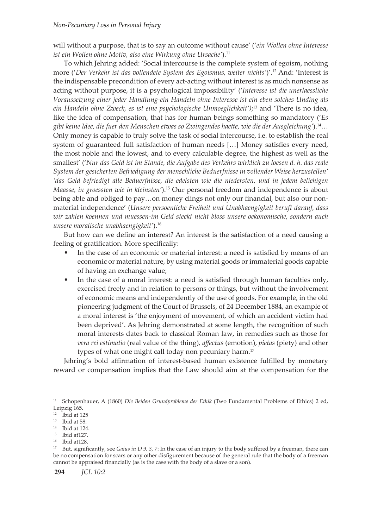will without a purpose, that is to say an outcome without cause' ('*ein Wollen ohne Interesse ist ein Wollen ohne Motiv, also eine Wirkung ohne Ursache'*).<sup>11</sup>

To which Jehring added: 'Social intercourse is the complete system of egoism, nothing more ('*Der Verkehr ist das vollendete System des Egoismus, weiter nichts'*)'.<sup>12</sup> And: 'Interest is the indispensable precondition of every act-acting without interest is as much nonsense as acting without purpose, it is a psychological impossibility' ('*Interesse ist die unerlaessliche Voraussetzung einer jeder Handlung-ein Handeln ohne Interesse ist ein eben solches Unding als ein Handeln ohne Zweck, es ist eine psychologische Unmoeglichkeit')*; <sup>13</sup> and 'There is no idea, like the idea of compensation, that has for human beings something so mandatory ('*Es gibt keine Idee, die fuer den Menschen etwas so Zwingendes haette, wie die der Ausgleichung'*).14… Only money is capable to truly solve the task of social intercourse, i.e. to establish the real system of guaranteed full satisfaction of human needs […] Money satisfies every need, the most noble and the lowest, and to every calculable degree, the highest as well as the smallest' ('*Nur das Geld ist im Stande, die Aufgabe des Verkehrs wirklich zu loesen d. h. das reale System der gesicherten Befriedigung der menschliche Beduerfnisse in vollender Weise herzustellen' 'das Geld befriedigt alle Beduerfnisse, die edelsten wie die niedersten, und in jedem beliehigen Maasse, in groessten wie in kleinsten'*).15 Our personal freedom and independence is about being able and obliged to pay…on money clings not only our financial, but also our nonmaterial independence' (*Unsere persoenliche Freiheit und Unabhaengigkeit beruft darauf, dass wir zahlen koennen und muessen-im Geld steckt nicht bloss unsere oekonomische, sondern auch unsere moralische unabhaengigkeit'*).16

But how can we define an interest? An interest is the satisfaction of a need causing a feeling of gratification. More specifically:

- In the case of an economic or material interest: a need is satisfied by means of an economic or material nature, by using material goods or immaterial goods capable of having an exchange value;
- In the case of a moral interest: a need is satisfied through human faculties only, exercised freely and in relation to persons or things, but without the involvement of economic means and independently of the use of goods. For example, in the old pioneering judgment of the Court of Brussels, of 24 December 1884, an example of a moral interest is 'the enjoyment of movement, of which an accident victim had been deprived'. As Jehring demonstrated at some length, the recognition of such moral interests dates back to classical Roman law, in remedies such as those for *vera rei estimatio* (real value of the thing)*, affectus* (emotion), *pietas* (piety) and other types of what one might call today non pecuniary harm.<sup>17</sup>

Jehring's bold affirmation of interest-based human existence fulfilled by monetary reward or compensation implies that the Law should aim at the compensation for the

<sup>11</sup> Schopenhauer, A (1860) *Die Beiden Grundprobleme der Ethik* (Two Fundamental Problems of Ethics) 2 ed, Leipzig 165.

 $12$  Ibid at 125

 $13$  Ibid at 58.

<sup>14</sup> Ibid at 124.

<sup>15</sup> Ibid at127.

<sup>16</sup> Ibid at128.

<sup>&</sup>lt;sup>17</sup> But, significantly, see *Gaius in D 9, 3, 7*: In the case of an injury to the body suffered by a freeman, there can be no compensation for scars or any other disfigurement because of the general rule that the body of a freeman cannot be appraised financially (as is the case with the body of a slave or a son).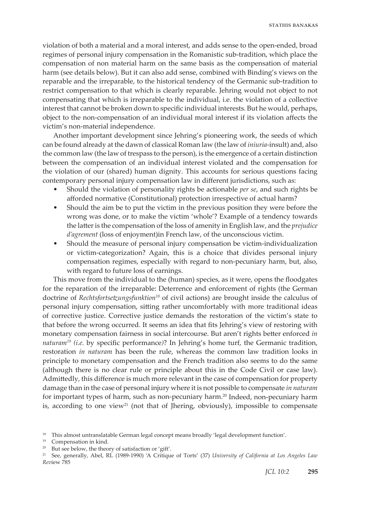violation of both a material and a moral interest, and adds sense to the open-ended, broad regimes of personal injury compensation in the Romanistic sub-tradition, which place the compensation of non material harm on the same basis as the compensation of material harm (see details below). But it can also add sense, combined with Binding's views on the reparable and the irreparable, to the historical tendency of the Germanic sub-tradition to restrict compensation to that which is clearly reparable. Jehring would not object to not compensating that which is irreparable to the individual, i.e. the violation of a collective interest that cannot be broken down to specific individual interests. But he would, perhaps, object to the non-compensation of an individual moral interest if its violation affects the victim's non-material independence.

Another important development since Jehring's pioneering work, the seeds of which can be found already at the dawn of classical Roman law (the law of *iniuria*-insult) and, also the common law (the law of trespass to the person), is the emergence of a certain distinction between the compensation of an individual interest violated and the compensation for the violation of our (shared) human dignity. This accounts for serious questions facing contemporary personal injury compensation law in different jurisdictions, such as:

- Should the violation of personality rights be actionable *per se*, and such rights be afforded normative (Constitutional) protection irrespective of actual harm?
- Should the aim be to put the victim in the previous position they were before the wrong was done, or to make the victim 'whole'? Example of a tendency towards the latter is the compensation of the loss of amenity in English law, and the *prejudice d'agrement* (loss of enjoyment)in French law, of the unconscious victim.
- Should the measure of personal injury compensation be victim-individualization or victim-categorization? Again, this is a choice that divides personal injury compensation regimes, especially with regard to non-pecuniary harm, but, also, with regard to future loss of earnings.

This move from the individual to the (human) species, as it were, opens the floodgates for the reparation of the irreparable: Deterrence and enforcement of rights (the German doctrine of *Rechtsfortsetzungsfunktion<sup>18</sup>* of civil actions) are brought inside the calculus of personal injury compensation, sitting rather uncomfortably with more traditional ideas of corrective justice. Corrective justice demands the restoration of the victim's state to that before the wrong occurred. It seems an idea that fits Jehring's view of restoring with monetary compensation fairness in social intercourse. But aren't rights better enforced *in naturam19 (i.e.* by specific performance*)*? In Jehring's home turf, the Germanic tradition, restoration *in naturam* has been the rule, whereas the common law tradition looks in principle to monetary compensation and the French tradition also seems to do the same (although there is no clear rule or principle about this in the Code Civil or case law). Admittedly, this difference is much more relevant in the case of compensation for property damage than in the case of personal injury where it is not possible to compensate *in naturam* for important types of harm, such as non-pecuniary harm.<sup>20</sup> Indeed, non-pecuniary harm is, according to one view<sup>21</sup> (not that of Jhering, obviously), impossible to compensate

<sup>18</sup> This almost untranslatable German legal concept means broadly 'legal development function'.

<sup>19</sup> Compensation in kind.

<sup>&</sup>lt;sup>20</sup> But see below, the theory of satisfaction or 'gift'.

<sup>21</sup> See, generally, Abel, RL (1989-1990) 'A Critique of Torts' (37) *University of California at Los Angeles Law Rev*iew 785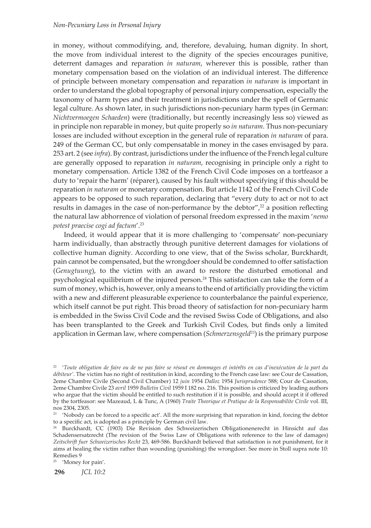in money, without commodifying, and, therefore, devaluing, human dignity. In short, the move from individual interest to the dignity of the species encourages punitive, deterrent damages and reparation *in naturam*, wherever this is possible, rather than monetary compensation based on the violation of an individual interest. The difference of principle between monetary compensation and reparation *in naturam* is important in order to understand the global topography of personal injury compensation, especially the taxonomy of harm types and their treatment in jurisdictions under the spell of Germanic legal culture. As shown later, in such jurisdictions non-pecuniary harm types (in German: *Nichtvermoegen Schaeden*) were (traditionally, but recently increasingly less so) viewed as in principle non reparable in money, but quite properly so *in naturam*. Thus non-pecuniary losses are included without exception in the general rule of reparation *in naturam* of para. 249 of the German CC, but only compensatable in money in the cases envisaged by para. 253 art. 2 (see *infra*). By contrast, jurisdictions under the influence of the French legal culture are generally opposed to reparation *in naturam*, recognising in principle only a right to monetary compensation. Article 1382 of the French Civil Code imposes on a tortfeasor a duty to 'repair the harm' (réparer), caused by his fault without specifying if this should be reparation *in naturam* or monetary compensation. But article 1142 of the French Civil Code appears to be opposed to such reparation, declaring that "every duty to act or not to act results in damages in the case of non-performance by the debtor", $2^2$  a position reflecting the natural law abhorrence of violation of personal freedom expressed in the maxim '*nemo potest praecise cogi ad factum*'.<sup>23</sup>

Indeed, it would appear that it is more challenging to 'compensate' non-pecuniary harm individually, than abstractly through punitive deterrent damages for violations of collective human dignity. According to one view, that of the Swiss scholar, Burckhardt, pain cannot be compensated, but the wrongdoer should be condemned to offer satisfaction (*Genugtuung*), to the victim with an award to restore the disturbed emotional and psychological equilibrium of the injured person.24 This satisfaction can take the form of a sum of money, which is, however, only a means to the end of artificially providing the victim with a new and different pleasurable experience to counterbalance the painful experience, which itself cannot be put right. This broad theory of satisfaction for non-pecuniary harm is embedded in the Swiss Civil Code and the revised Swiss Code of Obligations, and also has been transplanted to the Greek and Turkish Civil Codes, but finds only a limited application in German law, where compensation (*Schmerzensgeld<sup>25</sup>*) is the primary purpose

**296** *JCL 10:2* 25 'Money for pain'.

<sup>22</sup> '*Toute obligation de faire ou de ne pas faire se résout en dommages et intérêts en cas d'inexécution de la part du débiteur'*. The victim has no right of restitution in kind, according to the French case law: see Cour de Cassation, 2eme Chambre Civile (Second Civil Chamber) 12 *juin* 1954 *Dalloz* 1954 *Jurisprudence* 588; Cour de Cassation, 2eme Chambre Civile 23 *avril* 1959 *Bulletin Civil* 1959 I 182 no. 216. This position is criticized by leading authors who argue that the victim should be entitled to such restitution if it is possible, and should accept it if offered by the tortfeasor: see Mazeaud, L & Tunc, A (1960) *Traite Theorique et Pratique de la Responsabilite Civile* vol. III, nos 2304, 2305.

 $23$  'Nobody can be forced to a specific act'. All the more surprising that reparation in kind, forcing the debtor to a specific act, is adopted as a principle by German civil law.

<sup>24</sup> Burckhardt, CC (1903) Die Revision des Schweizerischen Obligationenerecht in Hinsicht auf das Schadensersatzrecht (The revision of the Swiss Law of Obligations with reference to the law of damages) *Zeitschrift fuer Schweizerisches Recht* 23, 469-586. Burckhardt believed that satisfaction is not punishment, for it aims at healing the victim rather than wounding (punishing) the wrongdoer. See more in Stoll supra note 10: Remedies 9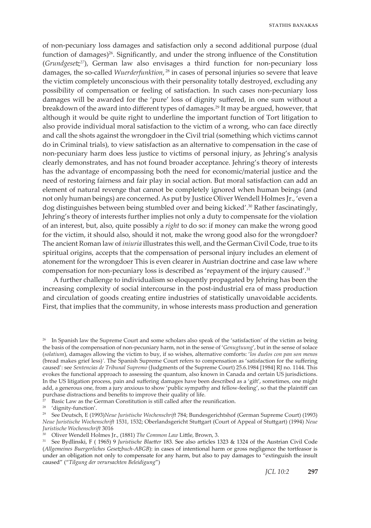of non-pecuniary loss damages and satisfaction only a second additional purpose (dual function of damages)<sup>26</sup>. Significantly, and under the strong influence of the Constitution (*Grundgesetz<sup>27</sup>*), German law also envisages a third function for non-pecuniary loss damages, the so-called *Wuerderfunktion*, <sup>28</sup> in cases of personal injuries so severe that leave the victim completely unconscious with their personality totally destroyed, excluding any possibility of compensation or feeling of satisfaction. In such cases non-pecuniary loss damages will be awarded for the 'pure' loss of dignity suffered, in one sum without a breakdown of the award into different types of damages.29 It may be argued, however, that although it would be quite right to underline the important function of Tort litigation to also provide individual moral satisfaction to the victim of a wrong, who can face directly and call the shots against the wrongdoer in the Civil trial (something which victims cannot do in Criminal trials), to view satisfaction as an alternative to compensation in the case of non-pecuniary harm does less justice to victims of personal injury, as Jehring's analysis clearly demonstrates, and has not found broader acceptance. Jehring's theory of interests has the advantage of encompassing both the need for economic/material justice and the need of restoring fairness and fair play in social action. But moral satisfaction can add an element of natural revenge that cannot be completely ignored when human beings (and not only human beings) are concerned. As put by Justice Oliver Wendell Holmes Jr., 'even a dog distinguishes between being stumbled over and being kicked'.30 Rather fascinatingly, Jehring's theory of interests further implies not only a duty to compensate for the violation of an interest, but, also, quite possibly a *right* to do so: if money can make the wrong good for the victim, it should also, should it not, make the wrong good also for the wrongdoer? The ancient Roman law of *iniuria* illustrates this well, and the German Civil Code, true to its spiritual origins, accepts that the compensation of personal injury includes an element of atonement for the wrongdoer This is even clearer in Austrian doctrine and case law where compensation for non-pecuniary loss is described as 'repayment of the injury caused'.<sup>31</sup>

A further challenge to individualism so eloquently propagated by Jehring has been the increasing complexity of social intercourse in the post-industrial era of mass production and circulation of goods creating entire industries of statistically unavoidable accidents. First, that implies that the community, in whose interests mass production and generation

Basic Law as the German Constitution is still called after the reunification.

28 'dignity-function'.

<sup>&</sup>lt;sup>26</sup> In Spanish law the Supreme Court and some scholars also speak of the 'satisfaction' of the victim as being the basis of the compensation of non-pecuniary harm, not in the sense of '*Genugtuung*', but in the sense of solace (*solatium*), damages allowing the victim to buy, if so wishes, alternative comforts: '*los duelos con pan son menos* (bread makes grief less)*'*. The Spanish Supreme Court refers to compensation as 'satisfaction for the suffering caused': see *Sentencias de Tribunal Supremo* (Judgments of the Supreme Court) 25.6.1984 [1984] RJ no. 1144. This evokes the functional approach to assessing the quantum, also known in Canada and certain US jurisdictions. In the US litigation process, pain and suffering damages have been described as a 'gift', sometimes, one might add, a generous one, from a jury anxious to show 'public sympathy and fellow-feeling', so that the plaintiff can purchase distractions and benefits to improve their quality of life.

<sup>29</sup> See Deutsch, E (1993)*Neue Juristische Wochenschrift* 784; Bundesgerichtshof (German Supreme Court) (1993) *Neue Juristische Wochenschrift* 1531, 1532; Oberlandsgericht Stuttgart (Court of Appeal of Stuttgart) (1994) *Neue Juristische Wochenschrift* 3016

<sup>30</sup> Oliver Wendell Holmes Jr., (1881) *The Common Law* Little, Brown, 3.

<sup>31</sup> See Bydlinski, F ( 1965) 9 *Juristische Blaetter* 183. See also articles 1323 & 1324 of the Austrian Civil Code (*Allgemeines Buergerliches Gesetzbuch-ABGB*): in cases of intentional harm or gross negligence the tortfeasor is under an obligation not only to compensate for any harm, but also to pay damages to "extinguish the insult caused" ("*Tilgung der verursachten Beleidigung*")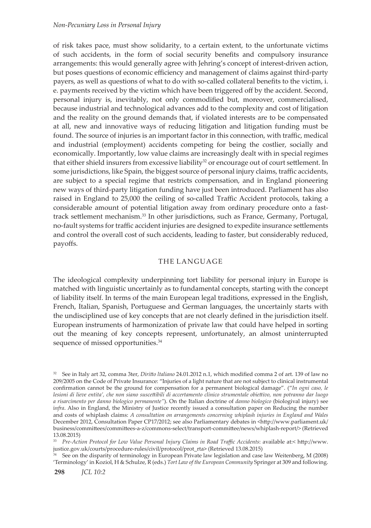of risk takes pace, must show solidarity, to a certain extent, to the unfortunate victims of such accidents, in the form of social security benefits and compulsory insurance arrangements: this would generally agree with Jehring's concept of interest-driven action, but poses questions of economic efficiency and management of claims against third-party payers, as well as questions of what to do with so-called collateral benefits to the victim, i. e. payments received by the victim which have been triggered off by the accident. Second, personal injury is, inevitably, not only commodified but, moreover, commercialised, because industrial and technological advances add to the complexity and cost of litigation and the reality on the ground demands that, if violated interests are to be compensated at all, new and innovative ways of reducing litigation and litigation funding must be found. The source of injuries is an important factor in this connection, with traffic, medical and industrial (employment) accidents competing for being the costlier, socially and economically. Importantly, low value claims are increasingly dealt with in special regimes that either shield insurers from excessive liability<sup>32</sup> or encourage out of court settlement. In some jurisdictions, like Spain, the biggest source of personal injury claims, traffic accidents, are subject to a special regime that restricts compensation, and in England pioneering new ways of third-party litigation funding have just been introduced. Parliament has also raised in England to 25,000 the ceiling of so-called Traffic Accident protocols, taking a considerable amount of potential litigation away from ordinary procedure onto a fasttrack settlement mechanism.33 In other jurisdictions, such as France, Germany, Portugal, no-fault systems for traffic accident injuries are designed to expedite insurance settlements and control the overall cost of such accidents, leading to faster, but considerably reduced, payoffs.

## THE LANGUAGE

The ideological complexity underpinning tort liability for personal injury in Europe is matched with linguistic uncertainly as to fundamental concepts, starting with the concept of liability itself. In terms of the main European legal traditions, expressed in the English, French, Italian, Spanish, Portuguese and German languages, the uncertainly starts with the undisciplined use of key concepts that are not clearly defined in the jurisdiction itself. European instruments of harmonization of private law that could have helped in sorting out the meaning of key concepts represent, unfortunately, an almost uninterrupted sequence of missed opportunities.<sup>34</sup>

<sup>32</sup> See in Italy art 32, comma 3ter, *Diritto ltaliano* 24.01.2012 n.1, which modified comma 2 of art. 139 of law no 209/2005 on the Code of Private Insurance: "Injuries of a light nature that are not subject to clinical instrumental confirmation cannot be the ground for compensation for a permanent biological damage". ("*In ogni caso, le lesioni di lieve entita', che non siano suscettibili di accertamento clinico strumentale obiettivo, non potranno dar luogo a risarcimento per danno biologico permanente"*). On the Italian doctrine of *danno biologico* (biologival injury) see i*nfra*. Also in England, the Ministry of Justice recently issued a consultation paper on Reducing the number and costs of whiplash claims: *A consultation on arrangements concerning whiplash injuries in England and Wales* December 2012, Consultation Paper CP17/2012; see also Parliamentary debates in <http://www.parliament.uk/ business/committees/committees-a-z/commons-select/transport-committee/news/whiplash-report/> (Retrieved 13.08.2015)

<sup>33</sup> *Pre-Action Protocol for Low Value Personal Injury Claims in Road Traffic Accidents*: available at:< http://www. justice.gov.uk/courts/procedure-rules/civil/protocol/prot\_rta> (Retrieved 13.08.2015)

<sup>&</sup>lt;sup>4</sup> See on the disparity of terminology in European Private law legislation and case law Weitenberg, M (2008) 'Terminology' in Koziol, H & Schulze, R (eds.) *Tort Law of the European Community* Springer at 309 and following.

**<sup>298</sup>** *JCL 10:2*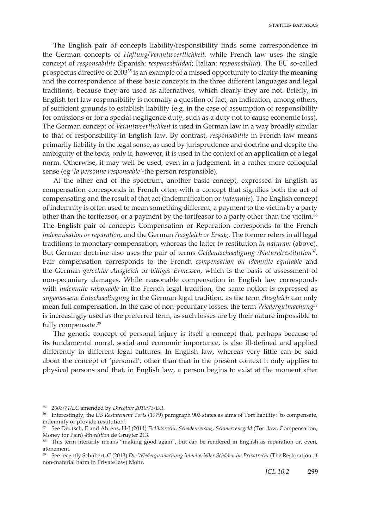The English pair of concepts liability/responsibility finds some correspondence in the German concepts of *Haftung*/*Verantwoertlichkeit*, while French law uses the single concept of *responsabilite* (Spanish: *responsabilidad*; Italian: *responsabilita*). The EU so-called prospectus directive of 200335 is an example of a missed opportunity to clarify the meaning and the correspondence of these basic concepts in the three different languages and legal traditions, because they are used as alternatives, which clearly they are not. Briefly, in English tort law responsibility is normally a question of fact, an indication, among others, of sufficient grounds to establish liability (e.g. in the case of assumption of responsibility for omissions or for a special negligence duty, such as a duty not to cause economic loss). The German concept of *Verantwoertlichkeit* is used in German law in a way broadly similar to that of responsibility in English law. By contrast, *responsabilite* in French law means primarily liability in the legal sense, as used by jurisprudence and doctrine and despite the ambiguity of the texts, only if, however, it is used in the context of an application of a legal norm. Otherwise, it may well be used, even in a judgement, in a rather more colloquial sense (eg '*la personne responsable'*-the person responsible).

At the other end of the spectrum, another basic concept, expressed in English as compensation corresponds in French often with a concept that signifies both the act of compensating and the result of that act (indemnification or *indemnite*). The English concept of indemnity is often used to mean something different, a payment to the victim by a party other than the tortfeasor, or a payment by the tortfeasor to a party other than the victim.<sup>36</sup> The English pair of concepts Compensation or Reparation corresponds to the French *indemnisation or reparation*, and the German *Ausgleich or Ersatz*. The former refers in all legal traditions to monetary compensation, whereas the latter to restitution *in naturam* (above). But German doctrine also uses the pair of terms *Geldentschaedigung /Naturalrestitution*<sup>37</sup>. Fair compensation corresponds to the French *compensation ou idemnite equitable* and the German *gerechter Ausgleich* or *billiges Ermessen*, which is the basis of assessment of non-pecuniary damages. While reasonable compensation in English law corresponds with *indemnite raisonable* in the French legal tradition, the same notion is expressed as *angemessene Entschaedingung* in the German legal tradition, as the term *Ausgleich* can only mean full compensation. In the case of non-pecuniary losses, the term *Wiedergutmachung38* is increasingly used as the preferred term, as such losses are by their nature impossible to fully compensate.<sup>39</sup>

The generic concept of personal injury is itself a concept that, perhaps because of its fundamental moral, social and economic importance, is also ill-defined and applied differently in different legal cultures. In English law, whereas very little can be said about the concept of 'personal', other than that in the present context it only applies to physical persons and that, in English law, a person begins to exist at the moment after

<sup>35</sup> *2003/71/EC* amended by *Directive 2010/73/EU*.

<sup>36</sup> Interestingly, the *US Restatement Torts* (1979) paragraph 903 states as aims of Tort liability: 'to compensate, indemnify or provide restitution'.

<sup>37</sup> See Deutsch, E and Ahrens, H-J (2011) *Deliktsrecht, Schadensersatz, Schmerzensgeld* (Tort law, Compensation, Money for Pain) 4th *edition* de Gruyter 213.

<sup>&</sup>lt;sup>38</sup> This term literarily means "making good again", but can be rendered in English as reparation or, even, atonement.

<sup>39</sup> See recently Schubert, C (2013) *Die Wiedergutmachung immaterieller Schäden im Privatrecht* (The Restoration of non-material harm in Private law) Mohr.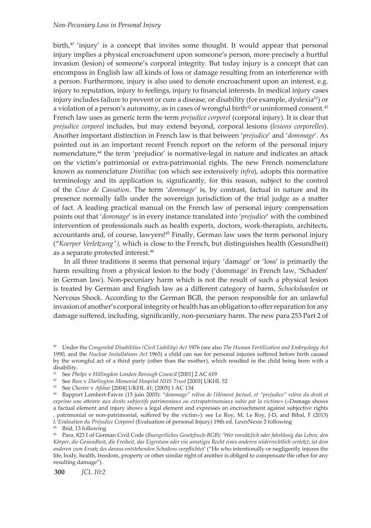#### *Non-Pecuniary Loss in Personal Injury*

birth, $40$  'injury' is a concept that invites some thought. It would appear that personal injury implies a physical encroachment upon someone's person, more precisely a hurtful invasion (lesion) of someone's corporal integrity. But today injury is a concept that can encompass in English law all kinds of loss or damage resulting from an interference with a person. Furthermore, injury is also used to denote encroachment upon an interest, e.g. injury to reputation, injury to feelings, injury to financial interests. In medical injury cases injury includes failure to prevent or cure a disease, or disability (for example, dyslexia<sup>41</sup>) or a violation of a person's autonomy, as in cases of wrongful birth<sup>42</sup> or uninformed consent.<sup>43</sup> French law uses as generic term the term *prejudice corporel* (corporal injury). It is clear that *prejudice corporel* includes, but may extend beyond, corporal lesions (*lesions corporelles*). Another important distinction in French law is that between '*prejudice*' and '*dommage*'. As pointed out in an important recent French report on the reform of the personal injury nomenclature,44 the term 'prejudice' is normative-legal in nature and indicates an attack on the victim's patrimonial or extra-patrimonial rights. The new French nomenclature known as nomenclature *Dintilhac* (on which see extensively *infra*), adopts this normative terminology and its application is, significantly, for this reason, subject to the control of the *Cour de Cassation*. The term '*dommage*' is, by contrast, factual in nature and its presence normally falls under the sovereign jurisdiction of the trial judge as a matter of fact. A leading practical manual on the French law of personal injury compensation points out that '*dommage*' is in every instance translated into '*prejudice*' with the combined intervention of professionals such as health experts, doctors, work-therapists, architects, accountants and, of course, lawyers!45 Finally, German law uses the term personal injury ("*Koerper Verletzung"),* which is close to the French, but distinguishes health (Gesundheit) as a separate protected interest.<sup>46</sup>

In all three traditions it seems that personal injury 'damage' or 'loss' is primarily the harm resulting from a physical lesion to the body ('dommage' in French law, 'Schaden' in German law). Non-pecuniary harm which is not the result of such a physical lesion is treated by German and English law as a different category of harm, *Schockshaeden* or Nervous Shock. According to the German BGB, the person responsible for an unlawful invasion of another's corporal integrity or health has an obligation to offer reparation for any damage suffered, including, significantly, non-pecuniary harm. The new para 253 Part 2 of

- <sup>41</sup> See *Phelps* v *Hillingdon London Borough Council* [2001] 2 AC 619
- <sup>42</sup> See *Rees* v *Darlington Memorial Hospital NHS Trust* [2003] UKHL 52
- <sup>43</sup> See *Chester* v *Afshar* [2004] UKHL 41; [2005] 1 AC 134

<sup>45</sup> Ibid, 13 following

<sup>40</sup> Under the *Congenital Disabilities (Civil Liability) Act* 1976 (see also *The Human Fertilization and Embryology Act* 1990, and the *Nuclear Installations Act* 1965) a child can sue for personal injuries suffered before birth caused by the wrongful act of a third party (other than the mother), which resulted in the child being born with a disability.

<sup>44</sup> Rapport Lambert-Faivre (15 juin 2003): "*dommage" relève de l'élément factuel, et "prejudice" relève du droit et exprime une atteinte aux droits subjectifs patrimoniaux ou extrapatrimoniaux subie par la victime*» («Damage shows a factual element and injury shows a legal element and expresses an encroachment against subjective rights , patrimonial or non-patrimonial, suffered by the victim»): see Le Roy, M, Le Roy, J-D, and Bibal, F (2013) *L'Evaluation du Préjudice Corporel* (Evaluation of personal Injury) 19th ed. LexisNexis 2 following

<sup>46</sup> Para. 823 I of German Civil Code (*Buergerliches Gesetzbuch-BGB*): '*Wer vorsätzlich oder fahrlässig das Leben, den Körper, die Gesundheit, die Freiheit, das Eigentum oder ein sonstiges Recht eines anderen widerrechtlich verletzt, ist dem anderen zum Ersatz des daraus entstehenden Schadens verpflichte*t' ("He who intentionally or negligently injures the life, body, health, freedom, property or other similar right of another is obliged to compensate the other for any resulting damage").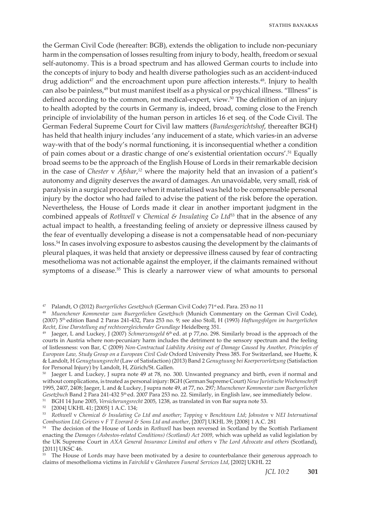the German Civil Code (hereafter: BGB), extends the obligation to include non-pecuniary harm in the compensation of losses resulting from injury to body, health, freedom or sexual self-autonomy. This is a broad spectrum and has allowed German courts to include into the concepts of injury to body and health diverse pathologies such as an accident-induced drug addiction<sup>47</sup> and the encroachment upon pure affection interests.<sup>48</sup>. Injury to health can also be painless,<sup>49</sup> but must manifest itself as a physical or psychical illness. "Illness" is defined according to the common, not medical-expert, view.50 The definition of an injury to health adopted by the courts in Germany is, indeed, broad, coming close to the French principle of inviolability of the human person in articles 16 et seq. of the Code Civil. The German Federal Supreme Court for Civil law matters (*Bundesgerichtshof*, thereafter BGH) has held that health injury includes 'any inducement of a state, which varies-in an adverse way-with that of the body's normal functioning, it is inconsequential whether a condition of pain comes about or a drastic change of one's existential orientation occurs'.51 Equally broad seems to be the approach of the English House of Lords in their remarkable decision in the case of *Chester* v *Afshar*, *<sup>52</sup>* where the majority held that an invasion of a patient's autonomy and dignity deserves the award of damages. An unavoidable, very small, risk of paralysis in a surgical procedure when it materialised was held to be compensable personal injury by the doctor who had failed to advise the patient of the risk before the operation. Nevertheless, the House of Lords made it clear in another important judgment in the combined appeals of *Rothwell* v *Chemical & Insulating Co Ltd*53 that in the absence of any actual impact to health, a freestanding feeling of anxiety or depressive illness caused by the fear of eventually developing a disease is not a compensatable head of non-pecuniary loss.54 In cases involving exposure to asbestos causing the development by the claimants of pleural plaques, it was held that anxiety or depressive illness caused by fear of contracting mesothelioma was not actionable against the employer, if the claimants remained without symptoms of a disease.<sup>55</sup> This is clearly a narrower view of what amounts to personal

51 BGH 14 June 2005, *Versicherungsrecht* 2005, 1238, as translated in von Bar supra note 53.

<sup>47</sup> Palandt, O (2012) *Buergerliches Gesetzbuch* (German Civil Code) 71st ed. Para. 253 no 11

<sup>48</sup> *Muenchener Kommentar zum Buergerlichen Gesetzbuch* (Munich Commentary on the German Civil Code), (2007) 5th edition Band 2 Paras 241-432, Para 253 no. 9; see also Stoll, H (1993) *Haftungsfolgen im buergerlichen Recht*, *Eine Darstellung auf rechtsvergleichender Grundlage* Heidelberg 351.

<sup>49</sup> Jaeger, L and Luckey, J (2007) *Schmerzensgeld* 6th ed. at p 77,no. 298. Similarly broad is the approach of the courts in Austria where non-pecuniary harm includes the detriment to the sensory spectrum and the feeling of listlessness: von Bar, C (2009) *Non-Contractual Liability Arising out of Damage Caused by Another, Principles of European Law, Study Group on a European Civil Code* Oxford University Press 385. For Switzerland, see Huette, K & Landolt, H *Genugtuungsrecht* (Law of Satisfaction) (2013) Band 2 *Genugtuung bei Koerperverletzung* (Satisfaction for Personal Injury) by Landolt, H, Zürich/St. Gallen.

<sup>&</sup>lt;sup>50</sup> Jaeger L and Luckey, J supra note 49 at 78, no. 300. Unwanted pregnancy and birth, even if normal and without complications, is treated as personal injury: BGH (German Supreme Court) *Neue Juristische Wochenschrift* 1995, 2407, 2408; Jaeger, L and & Luckey, J supra note 49, at 77, no. 297; *Muenchener Kommentar zum Buergerlichen*  Gesetzbuch Band 2 Para 241-432 5<sup>th</sup> ed. 2007 Para 253 no. 22. Similarly, in English law, see immediately below.

<sup>52</sup> [2004] UKHL 41; [2005] 1 A.C. 134;

<sup>53</sup> *Rothwell* v *Chemical & Insulating Co Ltd and another*; *Topping* v *Benchtown Ltd*; *Johnston* v *NEI International Combustion Ltd*; *Grieves* v *F T Everard & Sons Ltd and another*, [2007] UKHL 39; [2008] 1 A.C. 281

<sup>54</sup> The decision of the House of Lords in *Rothwell* has been reversed in Scotland by the Scottish Parliament enacting the *Damages (Asbestos-related Conditions) (Scotland) Act 2009*, which was upheld as valid legislation by the UK Supreme Court in *AXA General Insurance Limited and others* v *The Lord Advocate and others* (Scotland), [2011] UKSC 46.

<sup>&</sup>lt;sup>55</sup> The House of Lords may have been motivated by a desire to counterbalance their generous approach to claims of mesothelioma victims in *Fairchild* v *Glenhaven Funeral Services Ltd*, [2002] UKHL 22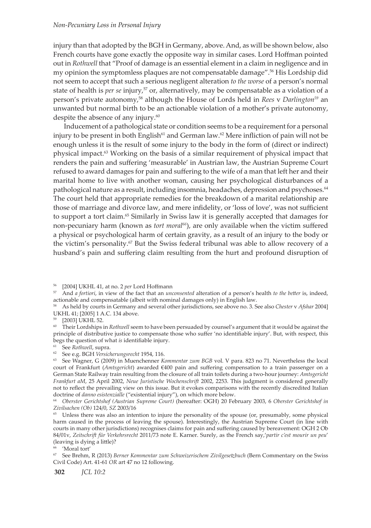injury than that adopted by the BGH in Germany, above. And, as will be shown below, also French courts have gone exactly the opposite way in similar cases. Lord Hoffman pointed out in *Rothwell* that "Proof of damage is an essential element in a claim in negligence and in my opinion the symptomless plaques are not compensatable damage".<sup>56</sup> His Lordship did not seem to accept that such a serious negligent alteration *to the worse* of a person's normal state of health is *per se* injury,<sup>57</sup> or, alternatively, may be compensatable as a violation of a person's private autonomy,58 although the House of Lords held in *Rees* v *Darlington59* an unwanted but normal birth to be an actionable violation of a mother's private autonomy, despite the absence of any injury.<sup>60</sup>

Inducement of a pathological state or condition seems to be a requirement for a personal injury to be present in both English<sup>61</sup> and German law.<sup>62</sup> Mere infliction of pain will not be enough unless it is the result of some injury to the body in the form of (direct or indirect) physical impact.<sup>63</sup> Working on the basis of a similar requirement of physical impact that renders the pain and suffering 'measurable' in Austrian law, the Austrian Supreme Court refused to award damages for pain and suffering to the wife of a man that left her and their marital home to live with another woman, causing her psychological disturbances of a pathological nature as a result, including insomnia, headaches, depression and psychoses.<sup>64</sup> The court held that appropriate remedies for the breakdown of a marital relationship are those of marriage and divorce law, and mere infidelity, or 'loss of love', was not sufficient to support a tort claim.<sup>65</sup> Similarly in Swiss law it is generally accepted that damages for non-pecuniary harm (known as *tort moral66*), are only available when the victim suffered a physical or psychological harm of certain gravity, as a result of an injury to the body or the victim's personality.<sup>67</sup> But the Swiss federal tribunal was able to allow recovery of a husband's pain and suffering claim resulting from the hurt and profound disruption of

<sup>56 [2004]</sup> UKHL 41, at no. 2 *per* Lord Hoffmann

<sup>57</sup> And *a fortiori*, in view of the fact that an *unconsented* alteration of a person's health *to the better* is, indeed, actionable and compensatable (albeit with nominal damages only) in English law.

<sup>58</sup> As held by courts in Germany and several other jurisdictions, see above no. 3. See also *Chester* v *Afshar* 2004] UKHL 41; [2005] 1 A.C. 134 above.

<sup>59 [2003]</sup> UKHL 52.

<sup>&</sup>lt;sup>60</sup> Their Lordships in *Rothwell* seem to have been persuaded by counsel's argument that it would be against the principle of distributive justice to compensate those who suffer 'no identifiable injury'. But, with respect, this begs the question of what *is* identifiable injury.

<sup>61</sup> See *Rothwell*, supra.

<sup>62</sup> See e.g. BGH *Versicherungsrecht* 1954, 116.

<sup>63</sup> See Wagner, G (2009) in Muenchenner *Kommentar zum BGB* vol. V para. 823 no 71. Nevertheless the local court of Frankfurt (*Amtsgericht*) awarded €400 pain and suffering compensation to a train passenger on a German State Railway train resulting from the closure of all train toilets during a two-hour journey: *Amtsgericht Frankfurt aM*, 25 April 2002, *Neue Juristische Wochenschrift* 2002, 2253. This judgment is considered generally not to reflect the prevailing view on this issue. But it evokes comparisons with the recently discredited Italian doctrine of *danno esistenzialle* ("existential injury"), on which more below.

<sup>64</sup> *Oberster Gerichtshof (Austrian Supreme Court)* (hereafter: OGH) 20 February 2003, 6 *Oberster Gerichtshof in Zivilsachen (Ob)* 124/0, *SZ* 2003/16

<sup>&</sup>lt;sup>65</sup> Unless there was also an intention to injure the personality of the spouse (or, presumably, some physical harm caused in the process of leaving the spouse). Interestingly, the Austrian Supreme Court (in line with courts in many other jurisdictions) recognises claims for pain and suffering caused by bereavement: OGH 2 Ob 84/01v, *Zeitschrift für Verkehrsrecht* 2011/73 note E. Karner. Surely, as the French say,'*partir c'est mourir un peu*' (leaving is dying a little)?

<sup>&#</sup>x27;Moral tort'

<sup>67</sup> See Brehm, R (2013) *Berner Kommentar zum Schweizerischem Zivilgesetzbuch* (Bern Commentary on the Swiss Civil Code) Art. 41-61 *OR* art 47 no 12 following.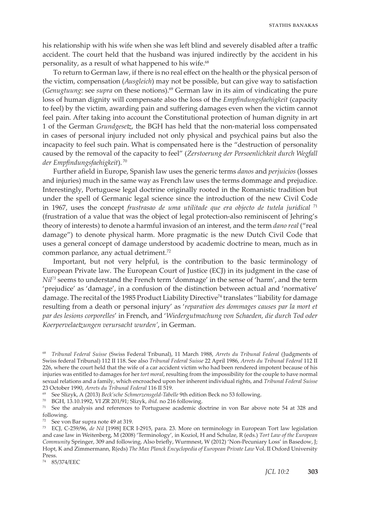his relationship with his wife when she was left blind and severely disabled after a traffic accident. The court held that the husband was injured indirectly by the accident in his personality, as a result of what happened to his wife.<sup>68</sup>

To return to German law, if there is no real effect on the health or the physical person of the victim, compensation (*Ausgleich*) may not be possible, but can give way to satisfaction (*Genugtuung*: see *supra* on these notions).69 German law in its aim of vindicating the pure loss of human dignity will compensate also the loss of the *Empfindungsfaehigkeit* (capacity to feel) by the victim, awarding pain and suffering damages even when the victim cannot feel pain. After taking into account the Constitutional protection of human dignity in art 1 of the German *Grundgesetz*, the BGH has held that the non-material loss compensated in cases of personal injury included not only physical and psychical pains but also the incapacity to feel such pain. What is compensated here is the "destruction of personality caused by the removal of the capacity to feel" (*Zerstoerung der Persoenlichkeit durch Wegfall der Empfindungsfaehigkeit*). 70

Further afield in Europe, Spanish law uses the generic terms *danos* and *perjuicios* (losses and injuries) much in the same way as French law uses the terms dommage and prejudice. Interestingly, Portuguese legal doctrine originally rooted in the Romanistic tradition but under the spell of Germanic legal science since the introduction of the new Civil Code in 1967, uses the concept *frustrasao de uma utilitade que era objecto de tutela juridical* <sup>71</sup> (frustration of a value that was the object of legal protection-also reminiscent of Jehring's theory of interests) to denote a harmful invasion of an interest, and the term *dano real* ("real damage") to denote physical harm. More pragmatic is the new Dutch Civil Code that uses a general concept of damage understood by academic doctrine to mean, much as in common parlance, any actual detriment.<sup>72</sup>

Important, but not very helpful, is the contribution to the basic terminology of European Private law. The European Court of Justice (ECJ) in its judgment in the case of *Nil73* seems to understand the French term 'dommage' in the sense of 'harm', and the term 'prejudice' as 'damage', in a confusion of the distinction between actual and 'normative' damage. The recital of the 1985 Product Liability Directive<sup>74</sup> translates "liability for damage resulting from a death or personal injury' as '*reparation des dommages causes par la mort et par des lesions corporelles*' in French, and '*Wiedergutmachung von Schaeden, die durch Tod oder Koerpervelaetzungen verursacht wurden'*, in German.

74 85/374/EEC

<sup>68</sup> *Tribunal Federal Suisse* (Swiss Federal Tribunal), 11 March 1988, *Arrets du Tribunal Federal* (Judgments of Swiss federal Tribunal) 112 II 118. See also *Tribunal Federal Suisse* 22 April 1986, *Arrets du Tribunal Federal* 112 II 226, where the court held that the wife of a car accident victim who had been rendered impotent because of his injuries was entitled to damages for her *tort moral*, resulting from the impossibility for the couple to have normal sexual relations and a family, which encroached upon her inherent individual rights, and *Tribunal Federal Suisse*

<sup>&</sup>lt;sup>69</sup> See Slizyk, A (2013) Beck'sche Schmerzensgeld-Tabelle 9th edition Beck no 53 following.<br><sup>70</sup> BGH, 13.10.1992, VI ZR 201/91; Slizyk, *ibid.* no 216 following.

<sup>71</sup> See the analysis and references to Portuguese academic doctrine in von Bar above note 54 at 328 and following.

<sup>72</sup> See von Bar supra note 49 at 319.

<sup>73</sup> ECJ, C-259/96, *de Nil* [1998] ECR I-2915, para. 23. More on terminology in European Tort law legislation and case law in Weitenberg, M (2008) 'Terminology', in Koziol, H and Schulze, R (eds.) *Tort Law of the European Community* Springer, 309 and following. Also briefly, Wurmnest, W (2012) 'Non-Pecuniary Loss' in Basedow, J; Hopt, K and Zimmermann, R(eds) *The Max Planck Encyclopedia of European Private Law* Vol. II Oxford University Press.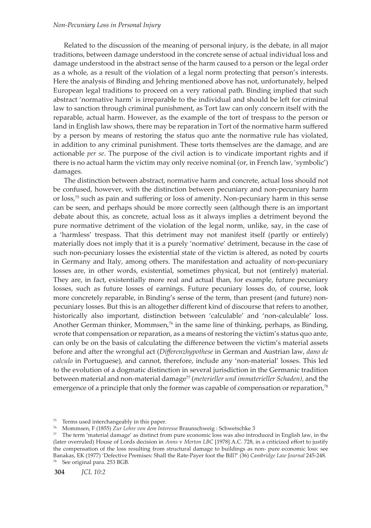## *Non-Pecuniary Loss in Personal Injury*

Related to the discussion of the meaning of personal injury, is the debate, in all major traditions, between damage understood in the concrete sense of actual individual loss and damage understood in the abstract sense of the harm caused to a person or the legal order as a whole, as a result of the violation of a legal norm protecting that person's interests. Here the analysis of Binding and Jehring mentioned above has not, unfortunately, helped European legal traditions to proceed on a very rational path. Binding implied that such abstract 'normative harm' is irreparable to the individual and should be left for criminal law to sanction through criminal punishment, as Tort law can only concern itself with the reparable, actual harm. However, as the example of the tort of trespass to the person or land in English law shows, there may be reparation in Tort of the normative harm suffered by a person by means of restoring the status quo ante the normative rule has violated, in addition to any criminal punishment. These torts themselves are the damage, and are actionable *per se*. The purpose of the civil action is to vindicate important rights and if there is no actual harm the victim may only receive nominal (or, in French law, 'symbolic') damages.

The distinction between abstract, normative harm and concrete, actual loss should not be confused, however, with the distinction between pecuniary and non-pecuniary harm or loss,75 such as pain and suffering or loss of amenity. Non-pecuniary harm in this sense can be seen, and perhaps should be more correctly seen (although there is an important debate about this, as concrete, actual loss as it always implies a detriment beyond the pure normative detriment of the violation of the legal norm, unlike, say, in the case of a 'harmless' trespass. That this detriment may not manifest itself (partly or entirely) materially does not imply that it is a purely 'normative' detriment, because in the case of such non-pecuniary losses the existential state of the victim is altered, as noted by courts in Germany and Italy, among others. The manifestation and actuality of non-pecuniary losses are, in other words, existential, sometimes physical, but not (entirely) material. They are, in fact, existentially more real and actual than, for example, future pecuniary losses, such as future losses of earnings. Future pecuniary losses do, of course, look more concretely reparable, in Binding's sense of the term, than present (and future) nonpecuniary losses. But this is an altogether different kind of discourse that refers to another, historically also important, distinction between 'calculable' and 'non-calculable' loss. Another German thinker, Mommsen, $\frac{7}{6}$  in the same line of thinking, perhaps, as Binding, wrote that compensation or reparation, as a means of restoring the victim's status quo ante, can only be on the basis of calculating the difference between the victim's material assets before and after the wrongful act (*Differenzhypothese* in German and Austrian law, *dano de calculo* in Portuguese), and cannot, therefore, include any 'non-material' losses. This led to the evolution of a dogmatic distinction in several jurisdiction in the Germanic tradition between material and non-material damage<sup>77</sup> (*meterieller und immaterieller Schaden*), and the emergence of a principle that only the former was capable of compensation or reparation,<sup>78</sup>

<sup>75</sup> Terms used interchangeably in this paper.

<sup>76</sup> Mommsen, F (1855) *Zur Lehre von dem Interesse* Braunschweig : Schwetschke 3

 $77$  The term 'material damage' as distinct from pure economic loss was also introduced in English law, in the (later overruled) House of Lords decision in *Anns* v *Merton LBC* [1978] A.C. 728, in a criticized effort to justify the compensation of the loss resulting from structural damage to buildings as non- pure economic loss: see Banakas, EK (1977) 'Defective Premises: Shall the Rate-Payer foot the Bill?' (36) *Cambridge Law Journal* 245-248. <sup>78</sup> See original para. 253 BGB.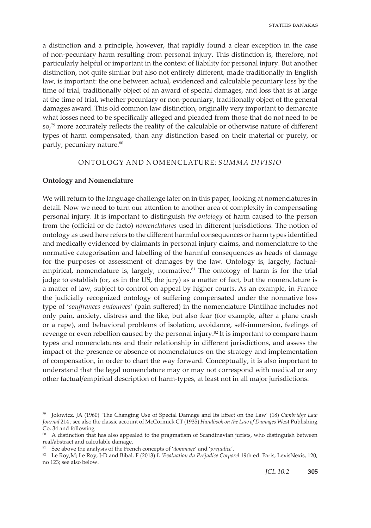a distinction and a principle, however, that rapidly found a clear exception in the case of non-pecuniary harm resulting from personal injury. This distinction is, therefore, not particularly helpful or important in the context of liability for personal injury. But another distinction, not quite similar but also not entirely different, made traditionally in English law, is important: the one between actual, evidenced and calculable pecuniary loss by the time of trial, traditionally object of an award of special damages, and loss that is at large at the time of trial, whether pecuniary or non-pecuniary, traditionally object of the general damages award. This old common law distinction, originally very important to demarcate what losses need to be specifically alleged and pleaded from those that do not need to be so,<sup>79</sup> more accurately reflects the reality of the calculable or otherwise nature of different types of harm compensated, than any distinction based on their material or purely, or partly, pecuniary nature.<sup>80</sup>

#### ONTOLOGY AND NOMENCLATURE: *SUMMA DIVISIO*

#### **Ontology and Nomenclature**

We will return to the language challenge later on in this paper, looking at nomenclatures in detail. Now we need to turn our attention to another area of complexity in compensating personal injury. It is important to distinguish *the ontology* of harm caused to the person from the (official or de facto) *nomenclatures* used in different jurisdictions. The notion of ontology as used here refers to the different harmful consequences or harm types identified and medically evidenced by claimants in personal injury claims, and nomenclature to the normative categorisation and labelling of the harmful consequences as heads of damage for the purposes of assessment of damages by the law. Ontology is, largely, factualempirical, nomenclature is, largely, normative. $81$  The ontology of harm is for the trial judge to establish (or, as in the US, the jury) as a matter of fact, but the nomenclature is a matter of law, subject to control on appeal by higher courts. As an example, in France the judicially recognized ontology of suffering compensated under the normative loss type of '*souffrances endourees'* (pain suffered) in the nomenclature Dintilhac includes not only pain, anxiety, distress and the like, but also fear (for example, after a plane crash or a rape), and behavioral problems of isolation, avoidance, self-immersion, feelings of revenge or even rebellion caused by the personal injury.<sup>82</sup> It is important to compare harm types and nomenclatures and their relationship in different jurisdictions, and assess the impact of the presence or absence of nomenclatures on the strategy and implementation of compensation, in order to chart the way forward. Conceptually, it is also important to understand that the legal nomenclature may or may not correspond with medical or any other factual/empirical description of harm-types, at least not in all major jurisdictions.

<sup>79</sup> Jolowicz, JA (1960) 'The Changing Use of Special Damage and Its Effect on the Law' (18) *Cambridge Law Journal* 214 ; see also the classic account of McCormick CT (1935) *Handbook on the Law of Damages* West Publishing Co. 34 and following

<sup>&</sup>lt;sup>80</sup> A distinction that has also appealed to the pragmatism of Scandinavian jurists, who distinguish between real/abstract and calculable damage.

<sup>81</sup> See above the analysis of the French concepts of '*dommage*' and '*prejudice*'.

<sup>82</sup> Le Roy,M; Le Roy, J-D and Bibal, F (2013) *L 'Evaluation du Préjudice Corporel* 19th ed. Paris, LexisNexis, 120, no 123; see also below.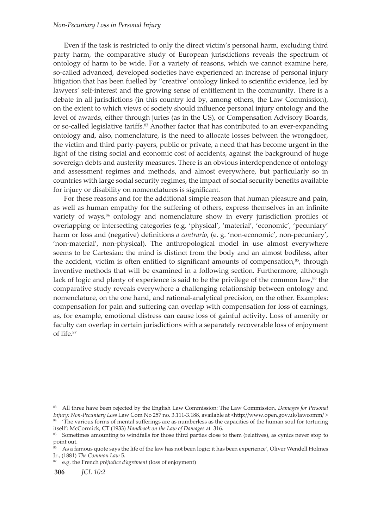#### *Non-Pecuniary Loss in Personal Injury*

Even if the task is restricted to only the direct victim's personal harm, excluding third party harm, the comparative study of European jurisdictions reveals the spectrum of ontology of harm to be wide. For a variety of reasons, which we cannot examine here, so-called advanced, developed societies have experienced an increase of personal injury litigation that has been fuelled by "creative' ontology linked to scientific evidence, led by lawyers' self-interest and the growing sense of entitlement in the community. There is a debate in all jurisdictions (in this country led by, among others, the Law Commission), on the extent to which views of society should influence personal injury ontology and the level of awards, either through juries (as in the US), or Compensation Advisory Boards, or so-called legislative tariffs.<sup>83</sup> Another factor that has contributed to an ever-expanding ontology and, also, nomenclature, is the need to allocate losses between the wrongdoer, the victim and third party-payers, public or private, a need that has become urgent in the light of the rising social and economic cost of accidents, against the background of huge sovereign debts and austerity measures. There is an obvious interdependence of ontology and assessment regimes and methods, and almost everywhere, but particularly so in countries with large social security regimes, the impact of social security benefits available for injury or disability on nomenclatures is significant.

For these reasons and for the additional simple reason that human pleasure and pain, as well as human empathy for the suffering of others, express themselves in an infinite variety of ways,<sup>84</sup> ontology and nomenclature show in every jurisdiction profiles of overlapping or intersecting categories (e.g. 'physical', 'material', 'economic', 'pecuniary' harm or loss and (negative) definitions *a contrario*, (e. g. 'non-economic', non-pecuniary', 'non-material', non-physical). The anthropological model in use almost everywhere seems to be Cartesian: the mind is distinct from the body and an almost bodiless, after the accident, victim is often entitled to significant amounts of compensation, $^{85}$ , through inventive methods that will be examined in a following section. Furthermore, although lack of logic and plenty of experience is said to be the privilege of the common law, $86$  the comparative study reveals everywhere a challenging relationship between ontology and nomenclature, on the one hand, and rational-analytical precision, on the other. Examples: compensation for pain and suffering can overlap with compensation for loss of earnings, as, for example, emotional distress can cause loss of gainful activity. Loss of amenity or faculty can overlap in certain jurisdictions with a separately recoverable loss of enjoyment of life.<sup>87</sup>

87 e.g. the French *préjudice d'agrément* (loss of enjoyment)

<sup>83</sup> All three have been rejected by the English Law Commission: The Law Commission, *Damages for Personal Injury: Non-Pecuniary Loss* Law Com No 257 no. 3.111-3.188, available at <http://www.open.gov.uk/lawcomm/ > <sup>84</sup> 'The various forms of mental sufferings are as numberless as the capacities of the human soul for torturing itself': McCormick, CT (1933) *Handbook on the Law of Damages* at 316.

<sup>85</sup> Sometimes amounting to windfalls for those third parties close to them (relatives), as cynics never stop to point out.

As a famous quote says the life of the law has not been logic; it has been experience', Oliver Wendell Holmes Jr., (1881) *The Common Law* 5.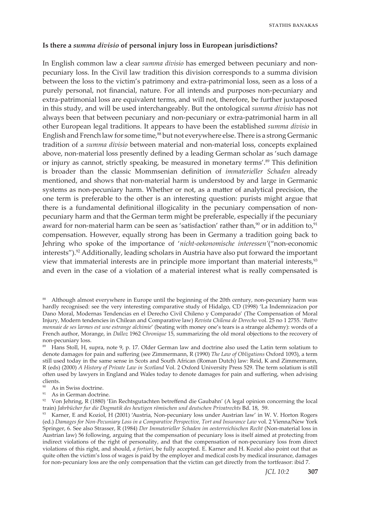### **Is there a** *summa divisio* **of personal injury loss in European jurisdictions?**

In English common law a clear *summa divisio* has emerged between pecuniary and nonpecuniary loss. In the Civil law tradition this division corresponds to a summa division between the loss to the victim's patrimony and extra-patrimonial loss, seen as a loss of a purely personal, not financial, nature. For all intends and purposes non-pecuniary and extra-patrimonial loss are equivalent terms, and will not, therefore, be further juxtaposed in this study, and will be used interchangeably. But the ontological *summa divisio* has not always been that between pecuniary and non-pecuniary or extra-patrimonial harm in all other European legal traditions. It appears to have been the established *summa divisio* in English and French law for some time,<sup>88</sup> but not everywhere else. There is a strong Germanic tradition of a *summa divisio* between material and non-material loss, concepts explained above, non-material loss presently defined by a leading German scholar as 'such damage or injury as cannot, strictly speaking, be measured in monetary terms'.89 This definition is broader than the classic Mommsenian definition of *immaterieller Schaden* already mentioned, and shows that non-material harm is understood by and large in Germanic systems as non-pecuniary harm. Whether or not, as a matter of analytical precision, the one term is preferable to the other is an interesting question: purists might argue that there is a fundamental definitional illogicality in the pecuniary compensation of nonpecuniary harm and that the German term might be preferable, especially if the pecuniary award for non-material harm can be seen as 'satisfaction' rather than, $90$  or in addition to, $91$ compensation. However, equally strong has been in Germany a tradition going back to Jehring who spoke of the importance of '*nicht-oekonomische interessen'*("non-economic interests").<sup>92</sup> Additionally, leading scholars in Austria have also put forward the important view that immaterial interests are in principle more important than material interests,<sup>93</sup> and even in the case of a violation of a material interest what is really compensated is

<sup>&</sup>lt;sup>88</sup> Although almost everywhere in Europe until the beginning of the 20th century, non-pecuniary harm was hardly recognised: see the very interesting comparative study of Hidalgo, CD (1998) 'La Indemnizacion por Dano Moral, Modernas Tendencias en el Derecho Civil Chileno y Comparado' (The Compensation of Moral Injury, Modern tendencies in Chilean and Comparative law) *Revista Chilena de Derecho* vol. 25 no 1 2755. '*Battre monnaie de ses larmes est une estrange alchimie*' (beating with money one's tears is a strange alchemy): words of a French author, Morange, in *Dalloz* 1962 *Chronique* 15, summarizing the old moral objections to the recovery of non-pecuniary loss.

<sup>89</sup> Hans Stoll, H, supra, note 9, p. 17. Older German law and doctrine also used the Latin term solatium to denote damages for pain and suffering (see Zimmermann, R (1990) *The Law of Obligations* Oxford 1093), a term still used today in the same sense in Scots and South African (Roman Dutch) law: Reid, K and Zimmermann, R (eds) (2000) *A History of Private Law in Scotland* Vol. 2 Oxford University Press 529. The term solatium is still often used by lawyers in England and Wales today to denote damages for pain and suffering, when advising clients.

<sup>90</sup> As in Swiss doctrine.

<sup>&</sup>lt;sup>91</sup> As in German doctrine.

 $92$  Von Jehring, R (1880) 'Ein Rechtsgutachten betreffend die Gaubahn' (A legal opinion concerning the local train) *Jahrbücher fur die Dogmatik des heutigen römischen und deutschen Privatrechts* Bd. 18, 59. Varner, E and Koziol, H (2001) 'Austria, Non-pecuniary loss under Austrian law' in W. V. Horton Rogers

<sup>(</sup>ed.) *Damages for Non-Pecuniary Loss in a Comparative Perspective, Tort and Insurance Law* vol. 2 Vienna/New York Springer, 6. See also Strasser, R (1984) *Der Immaterieller Schaden im oesterreichischen Recht* (Non-material loss in Austrian law) 56 following, arguing that the compensation of pecuniary loss is itself aimed at protecting from indirect violations of the right of personality, and that the compensation of non-pecuniary loss from direct violations of this right, and should, *a fortiori*, be fully accepted. E. Karner and H. Koziol also point out that as quite often the victim's loss of wages is paid by the employer and medical costs by medical insurance, damages for non-pecuniary loss are the only compensation that the victim can get directly from the tortfeasor: ibid 7.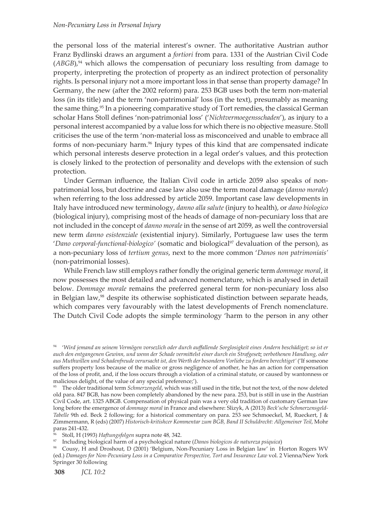the personal loss of the material interest's owner. The authoritative Austrian author Franz Bydlinski draws an argument a *fortiori* from para. 1331 of the Austrian Civil Code  $(ABGB)$ <sup>94</sup> which allows the compensation of pecuniary loss resulting from damage to property, interpreting the protection of property as an indirect protection of personality rights. Is personal injury not a more important loss in that sense than property damage? In Germany, the new (after the 2002 reform) para. 253 BGB uses both the term non-material loss (in its title) and the term 'non-patrimonial' loss (in the text), presumably as meaning the same thing.<sup>95</sup> In a pioneering comparative study of Tort remedies, the classical German scholar Hans Stoll defines 'non-patrimonial loss' ('*Nichtvermoegensschaden*'), as injury to a personal interest accompanied by a value loss for which there is no objective measure. Stoll criticises the use of the term 'non-material loss as misconceived and unable to embrace all forms of non-pecuniary harm.<sup>96</sup> Injury types of this kind that are compensated indicate which personal interests deserve protection in a legal order's values, and this protection is closely linked to the protection of personality and develops with the extension of such protection.

Under German influence, the Italian Civil code in article 2059 also speaks of nonpatrimonial loss, but doctrine and case law also use the term moral damage (*danno morale*) when referring to the loss addressed by article 2059. Important case law developments in Italy have introduced new terminology, *danno alla salute* (injury to health), or *dano biologico* (biological injury), comprising most of the heads of damage of non-pecuniary loss that are not included in the concept of *danno morale* in the sense of art 2059, as well the controversial new term *danno esistenziale* (existential injury). Similarly, Portuguese law uses the term '*Dano corporal-functional-biologico'* (somatic and biological<sup>97</sup> devaluation of the person), as a non-pecuniary loss of *tertium genus*, next to the more common '*Danos non patrimoniais'* (non-patrimonial losses).

While French law still employs rather fondly the original generic term *dommage moral*, it now possesses the most detailed and advanced nomenclature, which is analysed in detail below. *Dommage morale* remains the preferred general term for non-pecuniary loss also in Belgian law,<sup>98</sup> despite its otherwise sophisticated distinction between separate heads, which compares very favourably with the latest developments of French nomenclature. The Dutch Civil Code adopts the simple terminology 'harm to the person in any other

96 Stoll, H (1993) *Haftungsfolgen* supra note 48*,* 342.

97 Including biological harm of a psychological nature (*Danos biologicos de natureza psiquica*)

<sup>94 &#</sup>x27;*Wird jemand an seinem Vermögen vorsezlich oder durch auffallende Sorglosigkeit eines Andern beschädiget; so ist er auch den entgangenen Gewinn, und wenn der Schade vermittelst einer durch ein Strafgesetz verbothenen Handlung, oder aus Muthwillen und Schadenfreude verursacht ist, den Werth der besondern Vorliebe zu fordern berechtiget'* ('If someone suffers property loss because of the malice or gross negligence of another, he has an action for compensation of the loss of profit, and, if the loss occurs through a violation of a criminal statute, or caused by wantonness or malicious delight, of the value of any special preference;').

<sup>95</sup> The older traditional term *Schmerzengeld*, which was still used in the title, but not the text, of the now deleted old para. 847 BGB, has now been completely abandoned by the new para. 253, but is still in use in the Austrian Civil Code, art. 1325 ABGB. Compensation of physical pain was a very old tradition of customary German law long before the emergence of *dommage moral* in France and elsewhere: Slizyk, A (2013) *Beck'sche Schmerzensgeld-Tabelle* 9th ed. Beck 2 following; for a historical commentary on para. 253 see Schmoeckel, M, Rueckert, J & Zimmermann, R (eds) (2007) *Historisch-kritishcer Kommentar zum BGB, Band II Schuldrecht: Allgemeiner Teil*, Mohr paras 241-432.

<sup>98</sup> Cousy, H and Droshout, D (2001) 'Belgium, Non-Pecuniary Loss in Belgian law' in Horton Rogers WV (ed.) *Damages for Non-Pecuniary Loss in a Comparative Perspective, Tort and Insurance Law* vol. 2 Vienna/New York Springer 30 following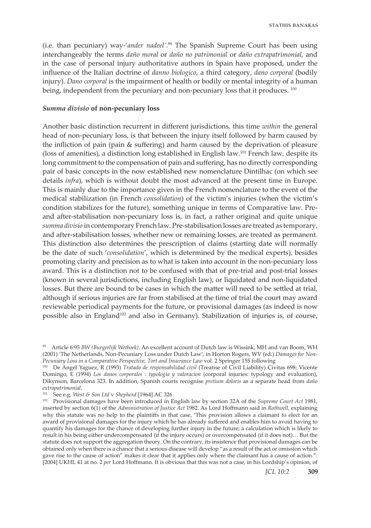(i.e. than pecuniary) way-'*ander nadeel'*. <sup>99</sup> The Spanish Supreme Court has been using interchangeably the terms *daño moral* or *daño no patrimonial* or *daño extrapatrimonial,* and in the case of personal injury authoritative authors in Spain have proposed, under the influence of the Italian doctrine of *danno biologico*, a third category, *dano corporal* (bodily injury). *Dano corporal* is the impairment of health or bodily or mental integrity of a human being, independent from the pecuniary and non-pecuniary loss that it produces. *<sup>100</sup>*

#### *Summa divisio* **of non-pecuniary loss**

Another basic distinction recurrent in different jurisdictions, this time *within* the general head of non-pecuniary loss, is that between the injury itself followed by harm caused by the infliction of pain (pain & suffering) and harm caused by the deprivation of pleasure (loss of amenities), a distinction long established in English law.101 French law, despite its long commitment to the compensation of pain and suffering, has no directly corresponding pair of basic concepts in the now established new nomenclature Dintilhac (on which see details *infra*), which is without doubt the most advanced at the present time in Europe. This is mainly due to the importance given in the French nomenclature to the event of the medical stabilization (in French *consolidation*) of the victim's injuries (when the victim's condition stabilizes for the future), something unique in terms of Comparative law. Preand after-stabilisation non-pecuniary loss is, in fact, a rather original and quite unique *summa divisio* in contemporary French law. Pre-stabilisation losses are treated as temporary, and after-stabilisation losses, whether new or remaining losses, are treated as permanent. This distinction also determines the prescription of claims (starting date will normally be the date of such '*consolidation*', which is determined by the medical experts), besides promoting clarity and precision as to what is taken into account in the non-pecuniary loss award. This is a distinction not to be confused with that of pre-trial and post-trial losses (known in several jurisdictions, including English law), or liquidated and non-liquidated losses. But there are bound to be cases in which the matter will need to be settled at trial, although if serious injuries are far from stabilised at the time of trial the court may award reviewable periodical payments for the future, or provisional damages (as indeed is now possible also in England<sup>102</sup> and also in Germany). Stabilization of injuries is, of course,

<sup>99</sup> Article 6:95 *BW (Burgerlijk Wetboek)*. An excellent account of Dutch law is Wissink, MH and van Boom, WH (2001) 'The Netherlands, Non-Pecuniary Loss under Dutch Law', in Horton Rogers, WV (ed.) *Damages for Non-Pecuniary Loss in a Comparative Perspective, Tort and Insurance Law* vol. 2 Springer 155 following

<sup>100</sup> De Angel Yaguez, R (1993) *Tratado de responsabilidad civil* (Treatise of Civil Liability) Civitas 698; Vicente Domingo, E (1994) *Los danos corporales* : *typologia y valoracion* (corporal injuries: typology and evaluation), Dikynson, Barcelona 323. In addition, Spanish courts recognise *pretium doloris* as a separate head from *daño extrapatrimonial*.

<sup>101</sup> See e.g. *West & Son Ltd* v *Shepherd* [1964] AC 326

<sup>102</sup> Provisional damages have been introduced in English law by section 32A of the *Supreme Court Act* 1981, inserted by section 6(1) of the *Administration of Justice Act* 1982. As Lord Hoffmann said in *Rothwell*, explaining why this statute was no help to the plaintiffs in that case, 'This provision allows a claimant to elect for an award of provisional damages for the injury which he has already suffered and enables him to avoid having to quantify his damages for the chance of developing further injury in the future; a calculation which is likely to result in his being either undercompensated (if the injury occurs) or overcompensated (if it does not)… But the statute does not support the aggregation theory. On the contrary, its insistence that provisional damages can be obtained only when there is a chance that a serious disease will develop "as a result of the act or omission which gave rise to the cause of action" makes it clear that it applies only where the claimant has a cause of action.": [2004] UKHL 41 at no. 2 *per* Lord Hoffmann. It is obvious that this was not a case, in his Lordship's opinion, of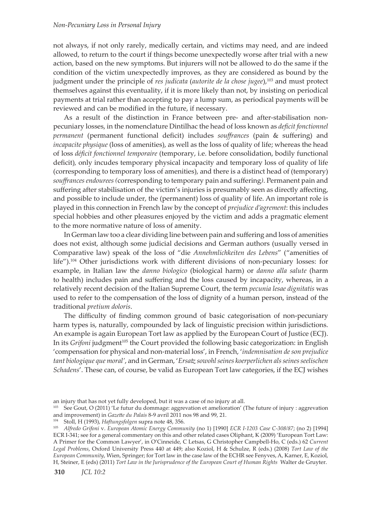### *Non-Pecuniary Loss in Personal Injury*

not always, if not only rarely, medically certain, and victims may need, and are indeed allowed, to return to the court if things become unexpectedly worse after trial with a new action, based on the new symptoms. But injurers will not be allowed to do the same if the condition of the victim unexpectedly improves, as they are considered as bound by the judgment under the principle of *res judicata* (*autorite de la chose jugee*),103 and must protect themselves against this eventuality, if it is more likely than not, by insisting on periodical payments at trial rather than accepting to pay a lump sum, as periodical payments will be reviewed and can be modified in the future, if necessary.

As a result of the distinction in France between pre- and after-stabilisation nonpecuniary losses, in the nomenclature Dintilhac the head of loss known as *deficit fonctionnel permanent* (permanent functional deficit) includes *souffrances* (pain & suffering) and *incapacite physique* (loss of amenities), as well as the loss of quality of life; whereas the head of loss *déficit fonctionnel temporaire* (temporary, i.e. before consolidation, bodily functional deficit)*,* only incudes temporary physical incapacity and temporary loss of quality of life (corresponding to temporary loss of amenities), and there is a distinct head of (temporary) *souffrances endourees (*corresponding to temporary pain and suffering*)*. Permanent pain and suffering after stabilisation of the victim's injuries is presumably seen as directly affecting, and possible to include under, the (permanent) loss of quality of life. An important role is played in this connection in French law by the concept of *prejudice d'agrement*: this includes special hobbies and other pleasures enjoyed by the victim and adds a pragmatic element to the more normative nature of loss of amenity.

In German law too a clear dividing line between pain and suffering and loss of amenities does not exist, although some judicial decisions and German authors (usually versed in Comparative law) speak of the loss of "die *Annehmlichkeiten des Lebens*" ("amenities of life").104 Other jurisdictions work with different divisions of non-pecuniary losses: for example, in Italian law the *danno biologico* (biological harm) or *danno alla salute* (harm to health) includes pain and suffering and the loss caused by incapacity, whereas, in a relatively recent decision of the Italian Supreme Court, the term *pecunia lesae dignitatis* was used to refer to the compensation of the loss of dignity of a human person, instead of the traditional *pretium doloris*.

The difficulty of finding common ground of basic categorisation of non-pecuniary harm types is, naturally, compounded by lack of linguistic precision within jurisdictions. An example is again European Tort law as applied by the European Court of Justice (ECJ). In its *Grifoni* judgment<sup>105</sup> the Court provided the following basic categorization: in English 'compensation for physical and non-material loss', in French, '*indemnisation de son prejudice tant biologique que moral'*, and in German, '*Ersatz sowohl seines koerperlichen als seines seelischen Schadens*'. These can, of course, be valid as European Tort law categories, if the ECJ wishes

an injury that has not yet fully developed, but it was a case of no injury at all.

<sup>&</sup>lt;sup>103</sup> See Gout, O (2011) 'Le futur du dommage: aggrevation et amelioration' (The future of injury : aggrevation and improvement) in *Gazette du Palais* 8-9 avril 2011 nos 98 and 99, 21.

<sup>104</sup> Stoll, H (1993), *Haftungsfolgen* supra note 48, 356.

<sup>105</sup> *Alfredo Grifoni* v. *European Atomic Energy Community* (no 1) [1990] *ECR I-1203 Case C-308/87*; (no 2) [1994] ECR I-341; see for a general commentary on this and other related cases Oliphant, K (2009) 'European Tort Law: A Primer for the Common Lawyer', in O'Cinneide, C Letsas, G Christopher Campbell-Ho, C (eds.) 62 *Current Legal Problems*, Oxford University Press 440 at 449; also Koziol, H & Schulze, R (eds.) (2008) *Tort Law of the European Community*, Wien, Springer; for Tort law in the case law of the ECHR see Fenyves, A, Karner, E, Koziol, H, Steiner, E (eds) (2011) *Tort Law in the Jurisprudence of the European Court of Human Rights* Walter de Gruyter.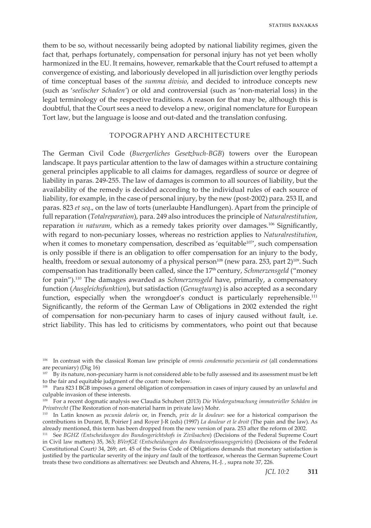them to be so, without necessarily being adopted by national liability regimes, given the fact that, perhaps fortunately, compensation for personal injury has not yet been wholly harmonized in the EU. It remains, however, remarkable that the Court refused to attempt a convergence of existing, and laboriously developed in all jurisdiction over lengthy periods of time conceptual bases of the *summa divisio*, and decided to introduce concepts new (such as '*seelischer Schaden'*) or old and controversial (such as 'non-material loss) in the legal terminology of the respective traditions. A reason for that may be, although this is doubtful, that the Court sees a need to develop a new, original nomenclature for European Tort law, but the language is loose and out-dated and the translation confusing.

## TOPOGRAPHY AND ARCHITECTURE

The German Civil Code (*Buergerliches Gesetzbuch-BGB*) towers over the European landscape. It pays particular attention to the law of damages within a structure containing general principles applicable to all claims for damages, regardless of source or degree of liability in paras. 249-255. The law of damages is common to all sources of liability, but the availability of the remedy is decided according to the individual rules of each source of liability, for example, in the case of personal injury, by the new (post-2002) para. 253 II, and paras. 823 *et seq*., on the law of torts (unerlaubte Handlungen). Apart from the principle of full reparation (*Totalreparation*), para. 249 also introduces the principle of *Naturalrestitution*, reparation *in naturam*, which as a remedy takes priority over damages.106 Significantly, with regard to non-pecuniary losses, whereas no restriction applies to *Naturalrestitution*, when it comes to monetary compensation, described as 'equitable $107'$ , such compensation is only possible if there is an obligation to offer compensation for an injury to the body, health, freedom or sexual autonomy of a physical person<sup>108</sup> (new para. 253, part 2)<sup>109</sup>. Such compensation has traditionally been called, since the 17th century, *Schmerzensgeld* ("money for pain").110 The damages awarded as *Schmerzensgeld* have, primarily, a compensatory function (*Ausgleichsfunktion*), but satisfaction (*Genugtuung*) is also accepted as a secondary function, especially when the wrongdoer's conduct is particularly reprehensible.<sup>111</sup> Significantly, the reform of the German Law of Obligations in 2002 extended the right of compensation for non-pecuniary harm to cases of injury caused without fault, i.e. strict liability. This has led to criticisms by commentators, who point out that because

<sup>106</sup> In contrast with the classical Roman law principle of *omnis condemnatio pecuniaria est* (all condemnations are pecuniary) (Dig 16)

 $107$  By its nature, non-pecuniary harm is not considered able to be fully assessed and its assessment must be left to the fair and equitable judgment of the court: more below.

<sup>&</sup>lt;sup>108</sup> Para 823 I BGB imposes a general obligation of compensation in cases of injury caused by an unlawful and culpable invasion of these interests.

<sup>109</sup> For a recent dogmatic analysis see Claudia Schubert (2013) *Die Wiedergutmachung immaterieller Schäden im Privatrecht* (The Restoration of non-material harm in private law) Mohr.

<sup>110</sup> In Latin known as *pecunia doloris* or, in French, *prix de la douleur*: see for a historical comparison the contributions in Durant, B, Poirier J and Royer J-R (eds) (1997) *La douleur et le droit* (The pain and the law). As already mentioned, this term has been dropped from the new version of para. 253 after the reform of 2002.

<sup>111</sup> See *BGHZ (Entscheidungen des Bundesgerichtshofs in Zivilsachen*) (Decisions of the Federal Supreme Court in Civil law matters) 35, 363; *BVerfGE (Entscheidungen des Bundesverfassungsgerichts*) (Decisions of the Federal Constitutional Court*)* 34, 269; art. 45 of the Swiss Code of Obligations demands that monetary satisfaction is justified by the particular severity of the injury *and* fault of the tortfeasor, whereas the German Supreme Court treats these two conditions as alternatives: see Deutsch and Ahrens, H.-J. , supra note 37, 226.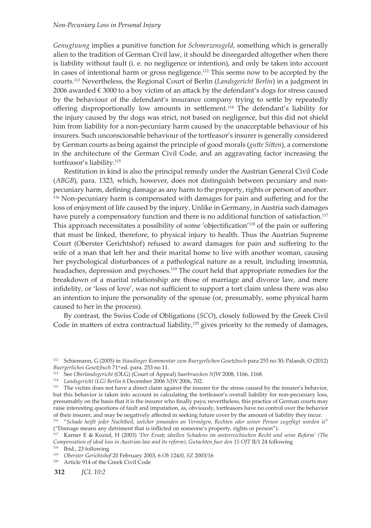*Genugtuung* implies a punitive function for *Schmerzensgeld*, something which is generally alien to the tradition of German Civil law, it should be disregarded altogether when there is liability without fault (i. e. no negligence or intention), and only be taken into account in cases of intentional harm or gross negligence.112 This seems now to be accepted by the courts.113 Nevertheless, the Regional Court of Berlin (*Landsgericht Berlin*) in a judgment in 2006 awarded  $\epsilon$  3000 to a boy victim of an attack by the defendant's dogs for stress caused by the behaviour of the defendant's insurance company trying to settle by repeatedly offering disproportionally low amounts in settlement.<sup>114</sup> The defendant's liability for the injury caused by the dogs was strict, not based on negligence, but this did not shield him from liability for a non-pecuniary harm caused by the unacceptable behaviour of his insurers. Such unconscionable behaviour of the tortfeasor's insurer is generally considered by German courts as being against the principle of good morals (*gutte Sitten*), a cornerstone in the architecture of the German Civil Code, and an aggravating factor increasing the tortfeasor's liability.<sup>115</sup>

Restitution in kind is also the principal remedy under the Austrian General Civil Code (*ABGB*), para. 1323, which, however, does not distinguish between pecuniary and nonpecuniary harm, defining damage as any harm to the property, rights or person of another. 116 Non-pecuniary harm is compensated with damages for pain and suffering and for the loss of enjoyment of life caused by the injury. Unlike in Germany, in Austria such damages have purely a compensatory function and there is no additional function of satisfaction.<sup>117</sup> This approach necessitates a possibility of some 'objectification'118 of the pain or suffering that must be linked, therefore, to physical injury to health. Thus the Austrian Supreme Court (Oberster Gerichtshof) refused to award damages for pain and suffering to the wife of a man that left her and their marital home to live with another woman, causing her psychological disturbances of a pathological nature as a result, including insomnia, headaches, depression and psychoses.<sup>119</sup> The court held that appropriate remedies for the breakdown of a marital relationship are those of marriage and divorce law, and mere infidelity, or 'loss of love', was not sufficient to support a tort claim unless there was also an intention to injure the personality of the spouse (or, presumably, some physical harm caused to her in the process).

By contrast, the Swiss Code of Obligations (*SCO*), closely followed by the Greek Civil Code in matters of extra contractual liability,<sup>120</sup> gives priority to the remedy of damages,

<sup>112</sup> Schiemann, G (2005) in *Staudinger Kommentar zum Buergerlichen Gesetzbuch* para 253 no 30; Palandt, O (2012) *Buergerliches Gesetzbuch* 71st ed. para. 253 no 11.

<sup>113</sup> See *Oberlandsgericht* (OLG) (Court of Appeal) *Saarbruecken NJW* 2008, 1166, 1168.

<sup>114</sup> *Landsgericht (LG) Berlin* 6 December 2006 *NJW* 2006, 702.

<sup>&</sup>lt;sup>115</sup> The victim does not have a direct claim against the insurer for the stress caused by the insurer's behavior, but this behavior is taken into account in calculating the tortfeasor's overall liability for non-pecuniary loss, presumably on the basis that it is the insurer who finally pays; nevertheless, this practice of German courts may raise interesting questions of fault and imputation, as, obviously, tortfeasors have no control over the behavior of their insurer, and may be negatively affected in seeking future cover by the amount of liability they incur.

<sup>116 &</sup>quot;*Schade heißt jeder Nachtheil, welcher jemanden an Vermögen, Rechten oder seiner Person zugefügt worden is*" ("Damage means any detriment that is inflicted on someone's property, rights or person").

<sup>117</sup> Karner E & Koziol, H (2003) '*Der Ersatz ideellen Schadens im oesterreichischen Recht und seine Reform' (The Compensation of ideal loss in Austrian law and its reform)*, *Gutachten fuer den 15 OJT* II/1 24 following

<sup>118</sup> Ibid., 23 following 119 *Oberster Gerichtshof* 20 February 2003, 6 *Ob* 124/0, *SZ* 2003/16

<sup>120</sup> Article 914 of the Greek Civil Code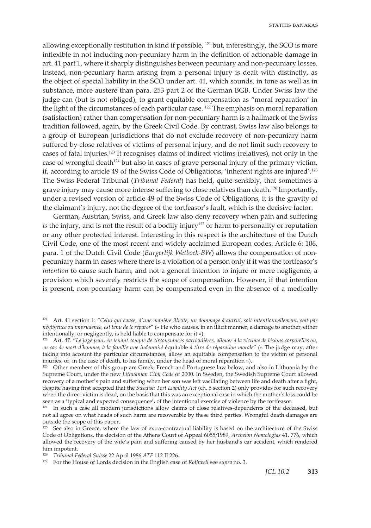allowing exceptionally restitution in kind if possible, 121 but, interestingly, the SCO is more inflexible in not including non-pecuniary harm in the definition of actionable damage in art. 41 part 1, where it sharply distinguishes between pecuniary and non-pecuniary losses. Instead, non-pecuniary harm arising from a personal injury is dealt with distinctly, as the object of special liability in the SCO under art. 41, which sounds, in tone as well as in substance, more austere than para. 253 part 2 of the German BGB. Under Swiss law the judge can (but is not obliged), to grant equitable compensation as "moral reparation' in the light of the circumstances of each particular case. <sup>122</sup> The emphasis on moral reparation (satisfaction) rather than compensation for non-pecuniary harm is a hallmark of the Swiss tradition followed, again, by the Greek Civil Code. By contrast, Swiss law also belongs to a group of European jurisdictions that do not exclude recovery of non-pecuniary harm suffered by close relatives of victims of personal injury, and do not limit such recovery to cases of fatal injuries.123 It recognises claims of indirect victims (relatives), not only in the case of wrongful death $124$  but also in cases of grave personal injury of the primary victim, if, according to article 49 of the Swiss Code of Obligations, 'inherent rights are injured'.<sup>125</sup> The Swiss Federal Tribunal (*Tribunal Federal*) has held, quite sensibly, that sometimes a grave injury may cause more intense suffering to close relatives than death.126 Importantly, under a revised version of article 49 of the Swiss Code of Obligations, it is the gravity of the claimant's injury, not the degree of the tortfeasor's fault, which is the decisive factor.

German, Austrian, Swiss, and Greek law also deny recovery when pain and suffering *is* the injury, and is not the result of a bodily injury<sup>127</sup> or harm to personality or reputation or any other protected interest. Interesting in this respect is the architecture of the Dutch Civil Code, one of the most recent and widely acclaimed European codes. Article 6: 106, para. 1 of the Dutch Civil Code (*Burgerlijk Wetboek*-*BW*) allows the compensation of nonpecuniary harm in cases where there is a violation of a person only if it was the tortfeasor's *intention* to cause such harm, and not a general intention to injure or mere negligence, a provision which severely restricts the scope of compensation. However, if that intention is present, non-pecuniary harm can be compensated even in the absence of a medically

<sup>123</sup> Other members of this group are Greek, French and Portuguese law below, and also in Lithuania by the Supreme Court, under the new *Lithuanian Civil Code* of 2000. In Sweden, the Swedish Supreme Court allowed recovery of a mother's pain and suffering when her son was left vacillating between life and death after a fight, despite having first accepted that the *Swedish Tort Liability Act* (ch. 5 section 2) only provides for such recovery when the direct victim is dead, on the basis that this was an exceptional case in which the mother's loss could be seen as a 'typical and expected consequence', of the intentional exercise of violence by the tortfeasor.

<sup>126</sup> *Tribunal Federal Suisse* 22 April 1986 *ATF* 112 II 226.

<sup>121</sup> Art. 41 section 1: "*Celui qui cause, d'une manière illicite, un dommage à autrui, soit intentionnellement, soit par négligence ou imprudence, est tenu de le réparer*" (« He who causes, in an illicit manner, a damage to another, either intentionally, or negligently, is held liable to compensate for it »).

<sup>122</sup> Art. 47: "*Le juge peut, en tenant compte de circonstances particulières, allouer à la victime de lésions corporelles ou, en cas de mort d'homme, à la famille une indemnité* équitable *à titre de réparation morale*" (« The judge may, after taking into account the particular circumstances, allow an equitable compensation to the victim of personal injuries, or, in the case of death, to his family, under the head of moral reparation »).

<sup>&</sup>lt;sup>124</sup> In such a case all modern jurisdictions allow claims of close relatives-dependents of the deceased, but not all agree on what heads of such harm are recoverable by these third parties. Wrongful death damages are outside the scope of this paper.

<sup>&</sup>lt;sup>125</sup> See also in Greece, where the law of extra-contractual liability is based on the architecture of the Swiss Code of Obligations, the decision of the Athens Court of Appeal 6055/1989, *Archeion Nomologias* 41, 776, which allowed the recovery of the wife's pain and suffering caused by her husband's car accident, which rendered him impotent.

<sup>127</sup> For the House of Lords decision in the English case of *Rothwell* see *supra* no. 3.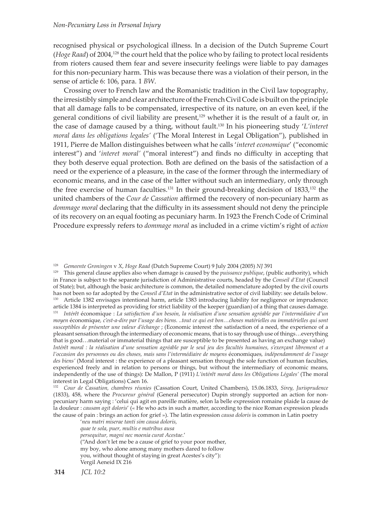recognised physical or psychological illness. In a decision of the Dutch Supreme Court (*Hoge Raad*) of 2004,<sup>128</sup> the court held that the police who by failing to protect local residents from rioters caused them fear and severe insecurity feelings were liable to pay damages for this non-pecuniary harm. This was because there was a violation of their person, in the sense of article 6: 106, para. 1 *BW*.

Crossing over to French law and the Romanistic tradition in the Civil law topography, the irresistibly simple and clear architecture of the French Civil Code is built on the principle that all damage falls to be compensated, irrespective of its nature, on an even keel, if the general conditions of civil liability are present, $129$  whether it is the result of a fault or, in the case of damage caused by a thing, without fault.130 In his pioneering study '*L'interet moral dans les obligations legales'* ('The Moral Interest in Legal Obligation"), published in 1911, Pierre de Mallon distinguishes between what he calls '*interet economique*' ("economic interest") and '*interet moral'* ("moral interest") and finds no difficulty in accepting that they both deserve equal protection. Both are defined on the basis of the satisfaction of a need or the experience of a pleasure, in the case of the former through the intermediary of economic means, and in the case of the latter without such an intermediary, only through the free exercise of human faculties.<sup>131</sup> In their ground-breaking decision of 1833,<sup>132</sup> the united chambers of the *Cour de Cassation* affirmed the recovery of non-pecuniary harm as *dommage moral* declaring that the difficulty in its assessment should not deny the principle of its recovery on an equal footing as pecuniary harm. In 1923 the French Code of Criminal Procedure expressly refers to *dommage moral* as included in a crime victim's right of *action* 

129 This general clause applies also when damage is caused by the *puissance publique*, (public authority), which in France is subject to the separate jurisdiction of Administrative courts, headed by the *Conseil d'Etat* (Council of State); but, although the basic architecture is common, the detailed nomenclature adopted by the civil courts has not been so far adopted by the *Conseil d'Etat* in the administrative sector of civil liability: see details below. 130 Article 1382 envisages intentional harm, article 1383 introducing liability for negligence or imprudence; article 1384 is interpreted as providing for strict liability of the keeper (guardian) of a thing that causes damage.

<sup>131</sup> *Intérêt* économique : *La satisfaction d'un besoin, la réalisation d'une sensation agréable par l'intermédiaire d'un moyen* économique*, c'est-a-dire par l'usage des biens. ..tout ce qui est bon…choses matérielles ou immatérielles qui sont susceptibles de présenter une valeur d'échange* ; (Economic interest :the satisfaction of a need, the experience of a pleasant sensation through the intermediary of economic means, that is to say through use of things…everything that is good…material or immaterial things that are susceptible to be presented as having an exchange value)

'*neu matri miserae tanti sim causa doloris, quae te sola, puer, multis e matribus ausa persequitur, magni nec moenia curat Acestae*.' ("And don't let me be a cause of grief to your poor mother, my boy, who alone among many mothers dared to follow you, without thought of staying in great Acestes's city"): Vergil Aeneid IX 216

<sup>128</sup> *Gemeente Groningen* v *X*, *Hoge Raad* (Dutch Supreme Court) 9 July 2004 (2005) *NJ* 391

*Intérêt moral : la réalisation d'une sensation agréable par le seul jeu des facultés humaines, s'exerçant librement et a l'occasion des personnes ou des choses, mais sans l'intermédiaire de moyens* économiques*, indépendamment de l'usage des biens'* (Moral interest : the experience of a pleasant sensation through the sole function of human faculties, experienced freely and in relation to persons or things, but without the intermediary of economic means, independently of the use of things): De Mallon, P (1911) *L'intérêt moral dans les Obligations Légales'* (The moral interest in Legal Obligations) Caen 16.

<sup>132</sup> *Cour de Cassation, chambres réunies* (Cassation Court, United Chambers), 15.06.1833, *Sirey, Jurisprudence* (1833), 458, where the *Procureur général* (General persecutor) Dupin strongly supported an action for nonpecuniary harm saying : 'celui qui agit en pareille matière, selon la belle expression romaine plaide la cause de la douleur : *causam agit doloris*' (« He who acts in such a matter, according to the nice Roman expression pleads the cause of pain : brings an action for grief »). The latin expression *causa doloris* is common in Latin poetry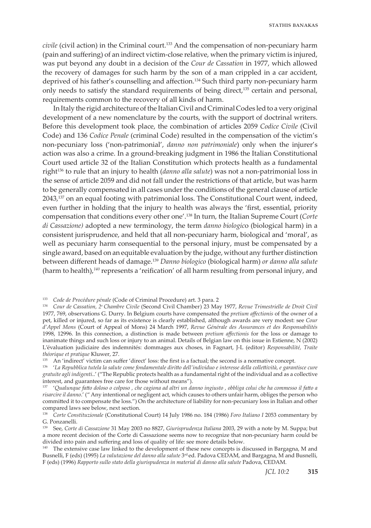*civile* (civil action) in the Criminal court.133 And the compensation of non-pecuniary harm (pain and suffering) of an indirect victim-close relative, when the primary victim is injured, was put beyond any doubt in a decision of the *Cour de Cassation* in 1977, which allowed the recovery of damages for such harm by the son of a man crippled in a car accident, deprived of his father's counselling and affection.134 Such third party non-pecuniary harm only needs to satisfy the standard requirements of being direct,135 certain and personal, requirements common to the recovery of all kinds of harm.

In Italy the rigid architecture of the Italian Civil and Criminal Codes led to a very original development of a new nomenclature by the courts, with the support of doctrinal writers. Before this development took place, the combination of articles 2059 *Codice Civile* (Civil Code) and 136 *Codice Penale* (criminal Code) resulted in the compensation of the victim's non-pecuniary loss ('non-patrimonial', *danno non patrimoniale*) only when the injurer's action was also a crime. In a ground-breaking judgment in 1986 the Italian Constitutional Court used article 32 of the Italian Constitution which protects health as a fundamental right136 to rule that an injury to health (*danno alla salute*) was not a non-patrimonial loss in the sense of article 2059 and did not fall under the restrictions of that article, but was harm to be generally compensated in all cases under the conditions of the general clause of article 2043,137 on an equal footing with patrimonial loss. The Constitutional Court went, indeed, even further in holding that the injury to health was always the 'first, essential, priority compensation that conditions every other one'.138 In turn, the Italian Supreme Court (*Corte di Cassazione)* adopted a new terminology, the term *danno biologic*o (biological harm) in a consistent jurisprudence, and held that all non-pecuniary harm, biological and 'moral', as well as pecuniary harm consequential to the personal injury, must be compensated by a single award, based on an equitable evaluation by the judge, without any further distinction between different heads of damage.139 *Danno biologico* (biological harm) *or danno alla salute* (harm to health),*<sup>140</sup>* represents a 'reification' of all harm resulting from personal injury, and

<sup>133</sup> *Code de Procédure pénale* (Code of Criminal Procedure) art. 3 para. 2

<sup>134</sup> *Cour de Cassation, 2e Chambre Civile* (Second Civil Chamber) 23 May 1977, *Revue Trimestrielle de Droit Civil* 1977, 769, observations G. Durry. In Belgium courts have compensated the *pretium affectionis* of the owner of a pet, killed or injured, so far as its existence is clearly established, although awards are very modest: see *Cour d'Appel Mons* (Court of Appeal of Mons) 24 March 1997, *Revue Générale des Assurances et des Responsabilités* 1998, 12996. In this connection, a distinction is made between *pretium affectionis* for the loss or damage to inanimate things and such loss or injury to an animal. Details of Belgian law on this issue in Estienne, N (2002) L'évaluation judiciaire des indemnités: dommages aux choses, in Fagnart, J-L (editor) *Responsabilité, Traite théorique et pratique* Kluwer, 27.

<sup>&</sup>lt;sup>135</sup> An 'indirect' victim can suffer 'direct' loss: the first is a factual; the second is a normative concept.

<sup>136 &#</sup>x27;*La Repubblica tutela la salute come fondamentale diritto dell'individuo e interesse della collettività, e garantisce cure gratuite agli indigenti*..' ("The Republic protects health as a fundamental right of the individual and as a collective interest, and guarantees free care for those without means").

<sup>137 &#</sup>x27;*Qualunque fatto doloso o colposo , che cagiona ad altri un danno ingiusto , obbliga colui che ha commesso il fatto a risarcire il danno*.' (" Any intentional or negligent act, which causes to others unfair harm, obliges the person who committed it to compensate the loss.") On the architecture of liability for non-pecuniary loss in Italian and other compared laws see below, next section.

<sup>138</sup> *Corte Constituzionale* (Constitutional Court) 14 July 1986 no. 184 (1986) *Foro Italiano I* 2053 commentary by G. Ponzanelli.

<sup>139</sup> See, *Corte di Cassazione* 31 May 2003 no 8827, *Giurisprudenza Italiana* 2003, 29 with a note by M. Suppa; but a more recent decision of the Corte di Cassazione seems now to recognize that non-pecuniary harm could be divided into pain and suffering and loss of quality of life: see more details below.

<sup>&</sup>lt;sup>140</sup> The extensive case law linked to the development of these new concepts is discussed in Bargagna, M and Busnelli, F (eds) (1995) *La valutazione del danno alla salute* 3rd ed. Padova CEDAM, and Bargagna, M and Busnelli, F (eds) (1996) *Rapporto sullo stato della giurispudenza in material di danno alla salute* Padova, CEDAM.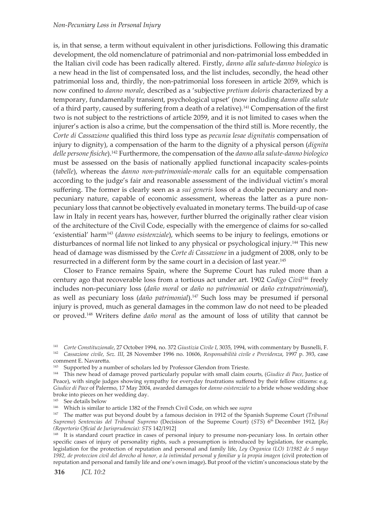is, in that sense, a term without equivalent in other jurisdictions. Following this dramatic development, the old nomenclature of patrimonial and non-patrimonial loss embedded in the Italian civil code has been radically altered. Firstly, *danno alla salute-danno biologico* is a new head in the list of compensated loss, and the list includes, secondly, the head other patrimonial loss and, thirdly, the non-patrimonial loss foreseen in article 2059, which is now confined to *danno morale*, described as a 'subjective *pretium doloris* characterized by a temporary, fundamentally transient, psychological upset' (now including *danno alla salute* of a third party, caused by suffering from a death of a relative).<sup>141</sup> Compensation of the first two is not subject to the restrictions of article 2059, and it is not limited to cases when the injurer's action is also a crime, but the compensation of the third still is. More recently, the *Corte di Cassazione* qualified this third loss type as *pecunia lesae dignitatis* compensation of injury to dignity), a compensation of the harm to the dignity of a physical person (*dignita delle persone fisiche*).142 Furthermore, the compensation of the *danno alla salute-danno biologico* must be assessed on the basis of nationally applied functional incapacity scales-points (*tabelle*), whereas the *danno non-patrimoniale-morale* calls for an equitable compensation according to the judge's fair and reasonable assessment of the individual victim's moral suffering. The former is clearly seen as a *sui generis* loss of a double pecuniary and nonpecuniary nature, capable of economic assessment, whereas the latter as a pure nonpecuniary loss that cannot be objectively evaluated in monetary terms. The build-up of case law in Italy in recent years has, however, further blurred the originally rather clear vision of the architecture of the Civil Code, especially with the emergence of claims for so-called 'existential' harm<sup>143</sup> (*danno esistenziale*), which seems to be injury to feelings, emotions or disturbances of normal life not linked to any physical or psychological injury.144 This new head of damage was dismissed by the *Corte di Cassazione* in a judgment of 2008, only to be resurrected in a different form by the same court in a decision of last year.<sup>145</sup>

Closer to France remains Spain, where the Supreme Court has ruled more than a century ago that recoverable loss from a tortious act under art. 1902 *Codigo Civil146* freely includes non-pecuniary loss (*daño moral* or *daño no patrimonial* or *daño extrapatrimonial*), as well as pecuniary loss (*daño patrimonial*).147 Such loss may be presumed if personal injury is proved, much as general damages in the common law do not need to be pleaded or proved.148 Writers define *daño moral* as the amount of loss of utility that cannot be

<sup>145</sup> See details below

146 Which is similar to article 1382 of the French Civil Code, on which see *supra*

147 The matter was put beyond doubt by a famous decision in 1912 of the Spanish Supreme Court (*Tribunal Supremo*) *Sentencias del Tribunal Supremo* (Decisison of the Supreme Court) (*STS*) 6<sup>th</sup> December 1912, [*Roj (Repertorio Oficial de Jurisprudencia): STS* 142/1912]

<sup>148</sup> It is standard court practice in cases of personal injury to presume non-pecuniary loss. In certain other specific cases of injury of personality rights, such a presumption is introduced by legislation, for example, legislation for the protection of reputation and personal and family life, *Ley Organica (LO) 1/1982 de 5 mayo 1982, de proteccion civil del derecho al honor, a la intimidad personal y familiar y la propia imagen* (civil protection of reputation and personal and family life and one's own image)**.** But proof of the victim's unconscious state by the

<sup>141</sup> *Corte Constituzionale*, 27 October 1994, no. 372 *Giustizia Civile I*, 3035, 1994, with commentary by Busnelli, F. <sup>142</sup> *Cassazione civile, Sez. III*, 28 November 1996 no. 10606, *Responsabilità civile e Previdenza*, 1997 p. 393, case comment E. Navaretta.

<sup>&</sup>lt;sup>143</sup> Supported by a number of scholars led by Professor Glendon from Trieste.

<sup>144</sup> This new head of damage proved particularly popular with small claim courts, (*Giudice di Pace*, Justice of Peace), with single judges showing sympathy for everyday frustrations suffered by their fellow citizens: e.g. *Giudice di Pace* of Palermo, 17 May 2004, awarded damages for *danno esistenziale* to a bride whose wedding shoe broke into pieces on her wedding day.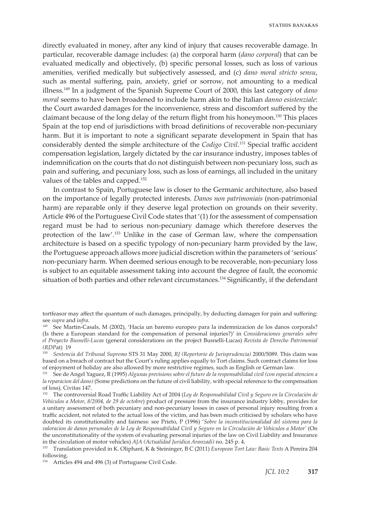directly evaluated in money, after any kind of injury that causes recoverable damage. In particular, recoverable damage includes: (a) the corporal harm (*dano corporal*) that can be evaluated medically and objectively, (b) specific personal losses, such as loss of various amenities, verified medically but subjectively assessed, and (c) *dano moral stricto sensu*, such as mental suffering, pain, anxiety, grief or sorrow, not amounting to a medical illness.149 In a judgment of the Spanish Supreme Court of 2000, this last category of *dano moral* seems to have been broadened to include harm akin to the Italian *danno esistenziale*: the Court awarded damages for the inconvenience, stress and discomfort suffered by the claimant because of the long delay of the return flight from his honeymoon.150 This places Spain at the top end of jurisdictions with broad definitions of recoverable non-pecuniary harm. But it is important to note a significant separate development in Spain that has considerably dented the simple architecture of the *Codigo Civil*. *<sup>151</sup>* Special traffic accident compensation legislation, largely dictated by the car insurance industry, imposes tables of indemnification on the courts that do not distinguish between non-pecuniary loss, such as pain and suffering, and pecuniary loss, such as loss of earnings, all included in the unitary values of the tables and capped.152

In contrast to Spain, Portuguese law is closer to the Germanic architecture, also based on the importance of legally protected interests. *Danos non patrimoniais* (non-patrimonial harm) are reparable only if they deserve legal protection on grounds on their severity. Article 496 of the Portuguese Civil Code states that '(1) for the assessment of compensation regard must be had to serious non-pecuniary damage which therefore deserves the protection of the law'.153 Unlike in the case of German law, where the compensation architecture is based on a specific typology of non-pecuniary harm provided by the law, the Portuguese approach allows more judicial discretion within the parameters of 'serious' non-pecuniary harm. When deemed serious enough to be recoverable, non-pecuniary loss is subject to an equitable assessment taking into account the degree of fault, the economic situation of both parties and other relevant circumstances.<sup>154</sup> Significantly, if the defendant

154 Articles 494 and 496 (3) of Portuguese Civil Code.

tortfeasor may affect the quantum of such damages, principally, by deducting damages for pain and suffering: see *supra* and i*nfra*.

<sup>149</sup> See Martin-Casals, M (2002), 'Hacia un baremo europeo para la indemnizacion de los danos corporals? (Is there a European standard for the compensation of personal injuries?)' in *Consideraciones generales sobre el Proyecto Busnelli-Lucas* (general considerations on the project Busnelli-Lucas) *Revista de Derecho Patrimonial (RDP*at) 19

<sup>150</sup> *Sentencia del Tribunal Supremo* STS 31 May 2000, *RJ (Repertorio de Jurisprudencia)* 2000/5089. This claim was based on a breach of contract but the Court's ruling applies equally to Tort claims. Such contract claims for loss of enjoyment of holiday are also allowed by more restrictive regimes, such as English or German law.

<sup>151</sup> See de Angel Yaguez, R (1995) *Algunas previsions sobre el future de la responsabilidad civil (con especial atencion a la reparacion del dano)* (Some predictions on the future of civil liability, with special reference to the compensation of loss)*,* Civitas 147.

<sup>152</sup> The controversial Road Traffic Liability Act of 2004 (*Ley de Responsabilidad Civil y Seguro en la Circulación de Vehículos a Motor, 8/2004, de 29 de octobre*) product of pressure from the insurance industry lobby, provides for a unitary assessment of both pecuniary and non-pecuniary losses in cases of personal injury resulting from a traffic accident, not related to the actual loss of the victim, and has been much criticised by scholars who have doubted its constitutionality and fairness: see Prieto, P (1996) '*Sobre la inconstitucionalidad del sistema para la valoracion de danos personales de la Ley de Responsabilidad Civil y Seguro en la Circulación de Vehículos a Motor'* (On the unconstitutionality of the system of evaluating personal injuries of the law on Civil Liability and Insurance in the circulation of motor vehicles) *AJA (Actualidad Juridica Aranzadi)* no. 245 p. 4. 153 Translation provided in K. Oliphant, K & Steininger, B C (2011) *European Tort Law: Basic Texts* A Pereira 204

following.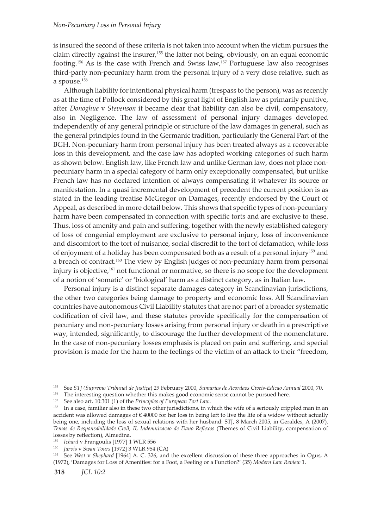is insured the second of these criteria is not taken into account when the victim pursues the claim directly against the insurer,<sup>155</sup> the latter not being, obviously, on an equal economic footing.<sup>156</sup> As is the case with French and Swiss law,<sup>157</sup> Portuguese law also recognises third-party non-pecuniary harm from the personal injury of a very close relative, such as a spouse.<sup>158</sup>

Although liability for intentional physical harm (trespass to the person), was as recently as at the time of Pollock considered by this great light of English law as primarily punitive, after *Donoghue* v *Stevenson* it became clear that liability can also be civil, compensatory, also in Negligence. The law of assessment of personal injury damages developed independently of any general principle or structure of the law damages in general, such as the general principles found in the Germanic tradition, particularly the General Part of the BGH. Non-pecuniary harm from personal injury has been treated always as a recoverable loss in this development, and the case law has adopted working categories of such harm as shown below. English law, like French law and unlike German law, does not place nonpecuniary harm in a special category of harm only exceptionally compensated, but unlike French law has no declared intention of always compensating it whatever its source or manifestation. In a quasi incremental development of precedent the current position is as stated in the leading treatise McGregor on Damages, recently endorsed by the Court of Appeal, as described in more detail below. This shows that specific types of non-pecuniary harm have been compensated in connection with specific torts and are exclusive to these. Thus, loss of amenity and pain and suffering, together with the newly established category of loss of congenial employment are exclusive to personal injury, loss of inconvenience and discomfort to the tort of nuisance, social discredit to the tort of defamation, while loss of enjoyment of a holiday has been compensated both as a result of a personal injury<sup>159</sup> and a breach of contract.<sup>160</sup> The view by English judges of non-pecuniary harm from personal injury is objective,<sup>161</sup> not functional or normative, so there is no scope for the development of a notion of 'somatic' or 'biological' harm as a distinct category, as in Italian law.

Personal injury is a distinct separate damages category in Scandinavian jurisdictions, the other two categories being damage to property and economic loss. All Scandinavian countries have autonomous Civil Liability statutes that are not part of a broader systematic codification of civil law, and these statutes provide specifically for the compensation of pecuniary and non-pecuniary losses arising from personal injury or death in a prescriptive way, intended, significantly, to discourage the further development of the nomenclature. In the case of non-pecuniary losses emphasis is placed on pain and suffering, and special provision is made for the harm to the feelings of the victim of an attack to their "freedom,

<sup>155</sup> See *STJ (Supremo Tribunal de Justiça*) 29 February 2000, *Sumarios de Acordaos Civeis-Edicao Annual* 2000, 70.

<sup>&</sup>lt;sup>156</sup> The interesting question whether this makes good economic sense cannot be pursued here.

<sup>157</sup> See also art. 10:301 (1) of the *Principles of European Tort Law*.

<sup>&</sup>lt;sup>158</sup> In a case, familiar also in these two other jurisdictions, in which the wife of a seriously crippled man in an accident was allowed damages of € 40000 for her loss in being left to live the life of a widow without actually being one, including the loss of sexual relations with her husband: STJ, 8 March 2005, in Geraldes, A (2007), *Temas de Responsabilidade Civil, II, Indemnizacao de Dano Reflexos* (Themes of Civil Liability, compensation of losses by reflection), Almedina.

<sup>159</sup> *Ichard* v Frangoulis [1977] 1 WLR 556

<sup>160</sup> *Jarvis* v *Swan Tours* [1972] 3 WLR 954 (CA)

<sup>161</sup> See *West* v *Shephard* [1964] A. C. 326, and the excellent discussion of these three approaches in Ogus, A (1972), 'Damages for Loss of Amenities: for a Foot, a Feeling or a Function?' (35) *Modern Law Review* 1.

**<sup>318</sup>** *JCL 10:2*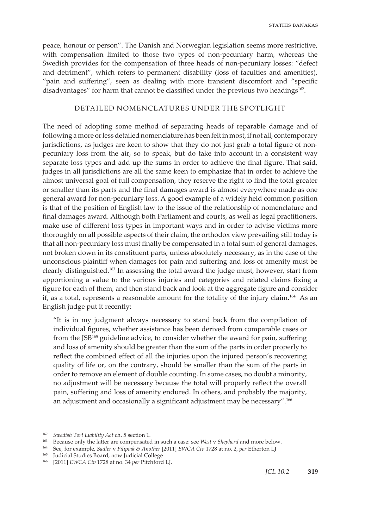peace, honour or person". The Danish and Norwegian legislation seems more restrictive, with compensation limited to those two types of non-pecuniary harm, whereas the Swedish provides for the compensation of three heads of non-pecuniary losses: "defect and detriment", which refers to permanent disability (loss of faculties and amenities), "pain and suffering", seen as dealing with more transient discomfort and "specific disadvantages" for harm that cannot be classified under the previous two headings<sup>162</sup>.

# DETAILED NOMENCLATURES UNDER THE SPOTLIGHT

The need of adopting some method of separating heads of reparable damage and of following a more or less detailed nomenclature has been felt in most, if not all, contemporary jurisdictions, as judges are keen to show that they do not just grab a total figure of nonpecuniary loss from the air, so to speak, but do take into account in a consistent way separate loss types and add up the sums in order to achieve the final figure. That said, judges in all jurisdictions are all the same keen to emphasize that in order to achieve the almost universal goal of full compensation, they reserve the right to find the total greater or smaller than its parts and the final damages award is almost everywhere made as one general award for non-pecuniary loss. A good example of a widely held common position is that of the position of English law to the issue of the relationship of nomenclature and final damages award. Although both Parliament and courts, as well as legal practitioners, make use of different loss types in important ways and in order to advise victims more thoroughly on all possible aspects of their claim, the orthodox view prevailing still today is that all non-pecuniary loss must finally be compensated in a total sum of general damages, not broken down in its constituent parts, unless absolutely necessary, as in the case of the unconscious plaintiff when damages for pain and suffering and loss of amenity must be clearly distinguished.<sup>163</sup> In assessing the total award the judge must, however, start from apportioning a value to the various injuries and categories and related claims fixing a figure for each of them, and then stand back and look at the aggregate figure and consider if, as a total, represents a reasonable amount for the totality of the injury claim.<sup>164</sup> As an English judge put it recently:

"It is in my judgment always necessary to stand back from the compilation of individual figures, whether assistance has been derived from comparable cases or from the JSB165 guideline advice, to consider whether the award for pain, suffering and loss of amenity should be greater than the sum of the parts in order properly to reflect the combined effect of all the injuries upon the injured person's recovering quality of life or, on the contrary, should be smaller than the sum of the parts in order to remove an element of double counting. In some cases, no doubt a minority, no adjustment will be necessary because the total will properly reflect the overall pain, suffering and loss of amenity endured. In others, and probably the majority, an adjustment and occasionally a significant adjustment may be necessary".166

<sup>162</sup> *Swedish Tort Liability Act* ch. 5 section 1.

<sup>163</sup> Because only the latter are compensated in such a case: see *West* v *Shepherd* and more below.

<sup>164</sup> See, for example, *Sadler* v *Filipiak & Another* [2011] *EWCA Civ* 1728 at no. 2, *per* Etherton LJ

<sup>165</sup> Judicial Studies Board, now Judicial College

<sup>166 [2011]</sup> *EWCA Civ* 1728 at no. 34 *per* Pitchford LJ.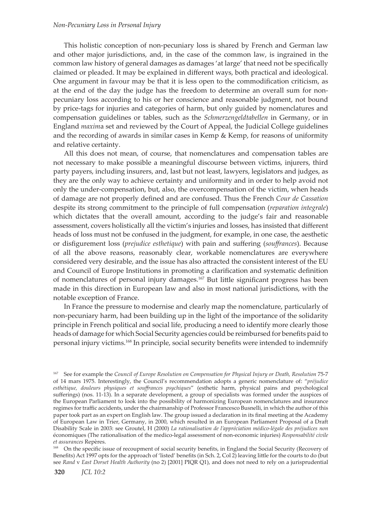### *Non-Pecuniary Loss in Personal Injury*

This holistic conception of non-pecuniary loss is shared by French and German law and other major jurisdictions, and, in the case of the common law, is ingrained in the common law history of general damages as damages 'at large' that need not be specifically claimed or pleaded. It may be explained in different ways, both practical and ideological. One argument in favour may be that it is less open to the commodification criticism, as at the end of the day the judge has the freedom to determine an overall sum for nonpecuniary loss according to his or her conscience and reasonable judgment, not bound by price-tags for injuries and categories of harm, but only guided by nomenclatures and compensation guidelines or tables, such as the *Schmerzengeldtabellen* in Germany, or in England *maxim*a set and reviewed by the Court of Appeal, the Judicial College guidelines and the recording of awards in similar cases in Kemp & Kemp, for reasons of uniformity and relative certainty.

All this does not mean, of course, that nomenclatures and compensation tables are not necessary to make possible a meaningful discourse between victims, injurers, third party payers, including insurers, and, last but not least, lawyers, legislators and judges, as they are the only way to achieve certainty and uniformity and in order to help avoid not only the under-compensation, but, also, the overcompensation of the victim, when heads of damage are not properly defined and are confused. Thus the French *Cour de Cassation* despite its strong commitment to the principle of full compensation (*reparation integrale*) which dictates that the overall amount, according to the judge's fair and reasonable assessment, covers holistically all the victim's injuries and losses, has insisted that different heads of loss must not be confused in the judgment, for example, in one case, the aesthetic or disfigurement loss (*prejudice esthetique*) with pain and suffering (*souffrances*). Because of all the above reasons, reasonably clear, workable nomenclatures are everywhere considered very desirable, and the issue has also attracted the consistent interest of the EU and Council of Europe Institutions in promoting a clarification and systematic definition of nomenclatures of personal injury damages.<sup>167</sup> But little significant progress has been made in this direction in European law and also in most national jurisdictions, with the notable exception of France.

In France the pressure to modernise and clearly map the nomenclature, particularly of non-pecuniary harm, had been building up in the light of the importance of the solidarity principle in French political and social life, producing a need to identify more clearly those heads of damage for which Social Security agencies could be reimbursed for benefits paid to personal injury victims.168 In principle, social security benefits were intended to indemnify

Benefits) Act 1997 opts for the approach of 'listed' benefits (in Sch. 2, Col 2) leaving little for the courts to do (but see *Rand* v *East Dorset Health Authority* (no 2) [2001] PIQR Q1), and does not need to rely on a jurisprudential

<sup>&</sup>lt;sup>167</sup> See for example the *Council of Europe Resolution on Compensation for Physical Injury or Death, Resolution 75-7* of 14 mars 1975. Interestingly, the Council's recommendation adopts a generic nomenclature of: "*préjudice esthétique, douleurs physiques et souffrances psychiques*" (esthetic harm, physical pains and psychological sufferings) (nos. 11-13). In a separate development, a group of specialists was formed under the auspices of the European Parliament to look into the possibility of harmonizing European nomenclatures and insurance regimes for traffic accidents, under the chairmanship of Professor Francesco Busnelli, in which the author of this paper took part as an expert on English law. The group issued a declaration in its final meeting at the Academy of European Law in Trier, Germany, in 2000, which resulted in an European Parliament Proposal of a Draft Disability Scale in 2003: see Groutel, H (2000) *La rationalisation de l'appréciation médico-légale des préjudices non*  économiques (The rationalisation of the medico-legal assessment of non-economic injuries) *Responsabilité civile et assurances* Repères.<br><sup>168</sup> On the specific issue of recoupment of social security benefits, in England the Social Security (Recovery of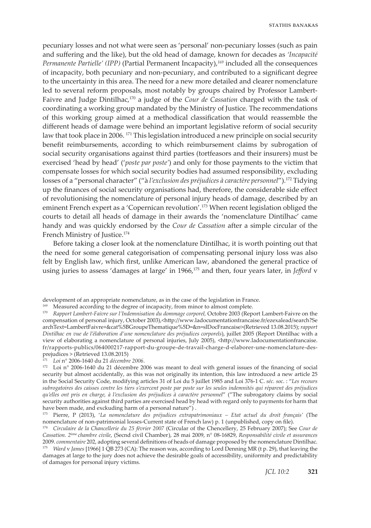pecuniary losses and not what were seen as 'personal' non-pecuniary losses (such as pain and suffering and the like), but the old head of damage, known for decades as *'Incapacité Permanente Partielle' (IPP)* (Partial Permanent Incapacity),*<sup>169</sup>* included all the consequences of incapacity, both pecuniary and non-pecuniary, and contributed to a significant degree to the uncertainty in this area. The need for a new more detailed and clearer nomenclature led to several reform proposals, most notably by groups chaired by Professor Lambert-Faivre and Judge Dintilhac,170 a judge of the *Cour de Cassation* charged with the task of coordinating a working group mandated by the Ministry of Justice. The recommendations of this working group aimed at a methodical classification that would reassemble the different heads of damage were behind an important legislative reform of social security law that took place in 2006. <sup>171</sup> This legislation introduced a new principle on social security benefit reimbursements, according to which reimbursement claims by subrogation of social security organisations against third parties (tortfeasors and their insurers) must be exercised 'head by head' ('*poste par poste'*) and only for those payments to the victim that compensate losses for which social security bodies had assumed responsibility, excluding losses of a "personal character" ("à *l'exclusion des préjudices à caractère personnel*").172 Tidying up the finances of social security organisations had, therefore, the considerable side effect of revolutionising the nomenclature of personal injury heads of damage, described by an eminent French expert as a 'Copernican revolution'.173 When recent legislation obliged the courts to detail all heads of damage in their awards the 'nomenclature Dintilhac' came handy and was quickly endorsed by the *Cour de Cassation* after a simple circular of the French Ministry of Justice.174

Before taking a closer look at the nomenclature Dintilhac, it is worth pointing out that the need for some general categorisation of compensating personal injury loss was also felt by English law, which first, unlike American law, abandoned the general practice of using juries to assess 'damages at large' in 1966,175 and then, four years later, in *Jefford* v

<sup>171</sup> *Loi* n° 2006-1640 du 21 *décembre 2006*.

development of an appropriate nomenclature, as in the case of the legislation in France.

<sup>&</sup>lt;sup>169</sup> Measured according to the degree of incapacity, from minor to almost complete.

<sup>170</sup> *Rapport Lambert-Faivre sur l'Indemnisation du dommage corporel,* Octobre 2003 (Report Lambert-Faivre on the compensation of personal injury, October 2003),<http://www.ladocumentationfrancaise.fr/ezexalead/search?Se archText=LambertFaivre+&cat%5BGroupeThematique%5D=&n=slDocFrancaise>(Retrieved 13.08.2015); *rapport Dintilhac en vue de l'élaboration d'une nomenclature des préjudices corporels*), juillet 2005 (Report Dintilhac with a view of elaborating a nomenclature of personal injuries, July 2005), <http://www.ladocumentationfrancaise. fr/rapports-publics/064000217-rapport-du-groupe-de-travail-charge-d-elaborer-une-nomenclature-desprejudices > (Retrieved 13.08.2015)

<sup>&</sup>lt;sup>172</sup> Loi n° 2006-1640 du 21 décembre 2006 was meant to deal with general issues of the financing of social security but almost accidentally, as this was not originally its intention, this law introduced a new article 25 in the Social Security Code, modifying articles 31 of Loi du 5 juillet 1985 and Loi 376-1 C. *séc. soc*. : "*Les recours subrogatoires des caisses contre les tiers s'exercent poste par poste sur les seules indemnités qui réparent des préjudices qu'elles ont pris en charge, à l'exclusion des préjudices à caractère personnel*" ("The subrogatory claims by social security authorities against third parties are exercised head by head with regard only to payments for harm that have been made, and exckuding harm of a personal nature") .

<sup>173</sup> Pierre, P (2013), '*La nomenclature des préjudices extrapatrimoniaux – Etat actuel du droit français'* (The nomenclature of non-patrimonial losses-Current state of French law) p. 1 (unpublished, copy on file).

<sup>174</sup> *Circulaire de la Chancellerie du 25 février 2007* (Circular of the Chencellery, 25 February 2007); See *Cour de Cassation. 2*ème *chambre civile*, (Secnd civil Chamber), 28 mai 2009, n° 08-16829, *Responsabilité civile et assurances* 2009. *commentaire* 202, adopting several definitions of heads of damage proposed by the nomenclature Dintilhac. <sup>175</sup> *Ward v James* [1966] 1 QB 273 (CA): The reason was, according to Lord Denning MR (t p. 29), that leaving the damages at large to the jury does not achieve the desirable goals of accessibility, uniformity and predictability of damages for personal injury victims.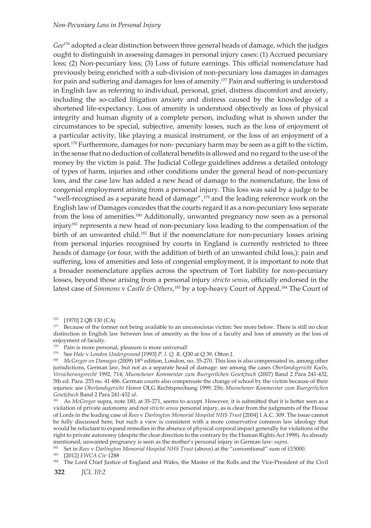#### *Non-Pecuniary Loss in Personal Injury*

*Gee*<sup>176</sup> adopted a clear distinction between three general heads of damage, which the judges ought to distinguish in assessing damages in personal injury cases: (1) Accrued pecuniary loss; (2) Non-pecuniary loss; (3) Loss of future earnings. This official nomenclature had previously being enriched with a sub-division of non-pecuniary loss damages in damages for pain and suffering and damages for loss of amenity.177 Pain and suffering is understood in English law as referring to individual, personal, grief, distress discomfort and anxiety, including the so-called litigation anxiety and distress caused by the knowledge of a shortened life-expectancy. Loss of amenity is understood objectively as loss of physical integrity and human dignity of a complete person, including what is shown under the circumstances to be special, subjective, amenity losses, such as the loss of enjoyment of a particular activity, like playing a musical instrument, or the loss of an enjoyment of a sport.<sup>178</sup> Furthermore, damages for non- pecuniary harm may be seen as a gift to the victim, in the sense that no deduction of collateral benefits is allowed and no regard to the use of the money by the victim is paid. The Judicial College guidelines address a detailed ontology of types of harm, injuries and other conditions under the general head of non-pecuniary loss, and the case law has added a new head of damage to the nomenclature, the loss of congenial employment arising from a personal injury. This loss was said by a judge to be "well-recognised as a separate head of damage", $179$  and the leading reference work on the English law of Damages concedes that the courts regard it as a non-pecuniary loss separate from the loss of amenities.<sup>180</sup> Additionally, unwanted pregnancy now seen as a personal injury<sup>181</sup> represents a new head of non-pecuniary loss leading to the compensation of the birth of an unwanted child.<sup>182</sup> But if the nomenclature for non-pecuniary losses arising from personal injuries recognised by courts in England is currently restricted to three heads of damage (or four, with the addition of birth of an unwanted child loss,): pain and suffering, loss of amenities and loss of congenial employment, it is important to note that a broader nomenclature applies across the spectrum of Tort liability for non-pecuniary losses, beyond those arising from a personal injury *stricto sensu*, officially endorsed in the latest case of *Simmons* v *Castle & Others*,<sup>183</sup> by a top-heavy Court of Appeal.<sup>184</sup> The Court of

179 See *Hale* v *London Underground* [1993] *P. I. Q. R.* Q30 at Q 39, Otton J.

182 Set in *Rees* v *Darlington Memorial Hospital NHS Trust* (above) at the "conventional" sum of £15000.

183 [2012] *EWCA Civ* 1288

<sup>176 [1970] 2</sup> QB 130 (CA)

<sup>&</sup>lt;sup>177</sup> Because of the former not being available to an unconscious victim: See more below. There is still no clear distinction in English law between loss of amenity as the loss of a faculty and loss of amenity as the loss of enjoyment of faculty.

<sup>&</sup>lt;sup>178</sup> Pain is more personal, pleasure is more universal!

<sup>&</sup>lt;sup>180</sup> *McGregor on Damages* (2009) 18<sup>th</sup> edition, London, no. 35-270. This loss is also compensated in, among other jurisdictions, German law, but not as a separate head of damage: see among the cases *Oberlandsgericht Koeln*, *Versicherungsrecht* 1992, 714; *Muenchener Kommentar zum Buergerlichen Gesetzbuch* (2007) Band 2 Para 241-432, 5th ed. Para. 253 no. 41 486. German courts also compensate the change of school by the victim because of their injuries: see *Oberlandsgericht Hamm* OLG Rechtsprechung 1999, 256; *Muenchener Kommentar zum Buergerlichen Gesetzbuch* Band 2 Para 241-432 *id*.

<sup>&</sup>lt;sup>181</sup> As *McGregor* supra, note 180, at 35-271, seems to accept. However, it is submitted that it is better seen as a violation of private autonomy and not *stricto sensu* personal injury, as is clear from the judgments of the House of Lords in the leading case of *Rees* v *Darlington Memorial Hospital NHS Trust* [2004] 1 A.C. 309. The issue cannot be fully discussed here, but such a view is consistent with a more conservative common law ideology that would be reluctant to expand remedies in the absence of physical corporal impact generally for violations of the right to private autonomy (despite the clear direction to the contrary by the Human Rights Act 1998). As already mentioned, unwanted pregnancy is seen as the mother's personal injury in German law: *supra*.

<sup>184</sup> The Lord Chief Justice of England and Wales, the Master of the Rolls and the Vice-President of the Civil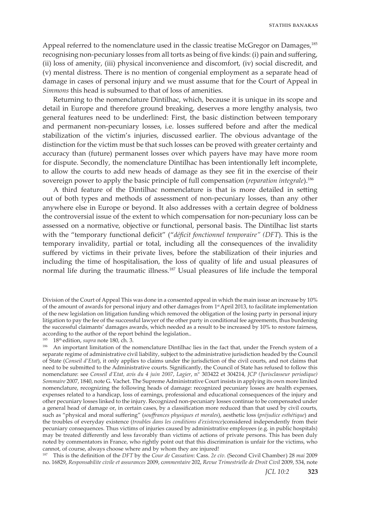Appeal referred to the nomenclature used in the classic treatise McGregor on Damages,<sup>185</sup> recognising non-pecuniary losses from all torts as being of five kinds: (i) pain and suffering, (ii) loss of amenity, (iii) physical inconvenience and discomfort, (iv) social discredit, and (v) mental distress. There is no mention of congenial employment as a separate head of damage in cases of personal injury and we must assume that for the Court of Appeal in *Simmons* this head is subsumed to that of loss of amenities.

Returning to the nomenclature Dintilhac, which, because it is unique in its scope and detail in Europe and therefore ground breaking, deserves a more lengthy analysis, two general features need to be underlined: First, the basic distinction between temporary and permanent non-pecuniary losses, i.e. losses suffered before and after the medical stabilization of the victim's injuries, discussed earlier. The obvious advantage of the distinction for the victim must be that such losses can be proved with greater certainty and accuracy than (future) permanent losses over which payers have may have more room for dispute. Secondly, the nomenclature Dintilhac has been intentionally left incomplete, to allow the courts to add new heads of damage as they see fit in the exercise of their sovereign power to apply the basic principle of full compensation (*reparation integrale*).186

A third feature of the Dintilhac nomenclature is that is more detailed in setting out of both types and methods of assessment of non-pecuniary losses, than any other anywhere else in Europe or beyond. It also addresses with a certain degree of boldness the controversial issue of the extent to which compensation for non-pecuniary loss can be assessed on a normative, objective or functional, personal basis. The Dintilhac list starts with the "temporary functional deficit" ("*déficit fonctionnel temporaire" (DFT*). This is the temporary invalidity, partial or total, including all the consequences of the invalidity suffered by victims in their private lives, before the stabilization of their injuries and including the time of hospitalisation, the loss of quality of life and usual pleasures of normal life during the traumatic illness.<sup>187</sup> Usual pleasures of life include the temporal

185 18th edition, *supra* note 180, ch. 3.

187 This is the definition of the *DFT* by the *Cour de Cassation*: Cass. *2e civ.* (Second Civil Chamber) 28 *mai* 2009 no. 16829, *Responsabilite civile et assurances* 2009, c*ommentaire* 202, *Revue Trimestrielle de Droit Civil* 2009, 534, note

Division of the Court of Appeal This was done in a consented appeal in which the main issue an increase by 10% of the amount of awards for personal injury and other damages from 1st April 2013, to facilitate implementation of the new legislation on litigation funding which removed the obligation of the losing party in personal injury litigation to pay the fee of the successful lawyer of the other party in conditional fee agreements, thus burdening the successful claimants' damages awards, which needed as a result to be increased by 10% to restore fairness, according to the author of the report behind the legislation..

<sup>&</sup>lt;sup>186</sup> An important limitation of the nomenclature Dintilhac lies in the fact that, under the French system of a separate regime of administrative civil liability, subject to the administrative jurisdiction headed by the Council of State (*Conseil d'Etat*), it only applies to claims under the jurisdiction of the civil courts, and not claims that need to be submitted to the Administrative courts. Significantly, the Council of State has refused to follow this nomenclature: see *Conseil d'Etat, avis du 4 juin 2007*, *Lagier*, n° 303422 et 304214, *JCP (Jurisclasseur periodique) Sommaire* 2007, 1840, note G. Vachet. The Supreme Administrative Court insists in applying its own more limited nomenclature, recognizing the following heads of damage: recognized pecuniary losses are health expenses, expenses related to a handicap, loss of earnings, professional and educational consequences of the injury and other pecuniary losses linked to the injury. Recognized non-pecuniary losses continue to be compensated under a general head of damage or, in certain cases, by a classification more reduced than that used by civil courts, such as "physical and moral suffering" (*souffrances physiques et morales*), aesthetic loss (*préjudice esthétique*) and the troubles of everyday existence (*troubles dans les conditions d'existence*)considered independently from their pecuniary consequences. Thus victims of injuries caused by administrative employees (e.g. in public hospitals) may be treated differently and less favorably than victims of actions of private persons. This has been duly noted by commentators in France, who rightly point out that this discrimination is unfair for the victims, who cannot, of course, always choose where and by whom they are injured!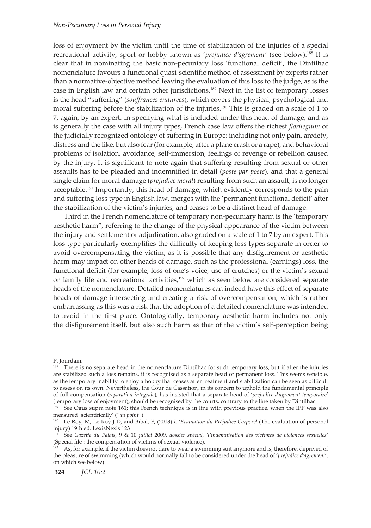#### *Non-Pecuniary Loss in Personal Injury*

loss of enjoyment by the victim until the time of stabilization of the injuries of a special recreational activity, sport or hobby known as '*prejudice d'agrement'* (see below).188 It is clear that in nominating the basic non-pecuniary loss 'functional deficit', the Dintilhac nomenclature favours a functional quasi-scientific method of assessment by experts rather than a normative-objective method leaving the evaluation of this loss to the judge, as is the case in English law and certain other jurisdictions.<sup>189</sup> Next in the list of temporary losses is the head "suffering" (*souffrances endurees*), which covers the physical, psychological and moral suffering before the stabilization of the injuries.190 This is graded on a scale of 1 to 7, again, by an expert. In specifying what is included under this head of damage, and as is generally the case with all injury types, French case law offers the richest *florilegium* of the judicially recognized ontology of suffering in Europe: including not only pain, anxiety, distress and the like, but also fear (for example, after a plane crash or a rape), and behavioral problems of isolation, avoidance, self-immersion, feelings of revenge or rebellion caused by the injury. It is significant to note again that suffering resulting from sexual or other assaults has to be pleaded and indemnified in detail (*poste par poste*), and that a general single claim for moral damage (*prejudice moral*) resulting from such an assault, is no longer acceptable.<sup>191</sup> Importantly, this head of damage, which evidently corresponds to the pain and suffering loss type in English law, merges with the 'permanent functional deficit' after the stabilization of the victim's injuries, and ceases to be a distinct head of damage.

Third in the French nomenclature of temporary non-pecuniary harm is the 'temporary aesthetic harm", referring to the change of the physical appearance of the victim between the injury and settlement or adjudication, also graded on a scale of 1 to 7 by an expert. This loss type particularly exemplifies the difficulty of keeping loss types separate in order to avoid overcompensating the victim, as it is possible that any disfigurement or aesthetic harm may impact on other heads of damage, such as the professional (earnings) loss, the functional deficit (for example, loss of one's voice, use of crutches) or the victim's sexual or family life and recreational activities,<sup>192</sup> which as seen below are considered separate heads of the nomenclature. Detailed nomenclatures can indeed have this effect of separate heads of damage intersecting and creating a risk of overcompensation, which is rather embarrassing as this was a risk that the adoption of a detailed nomenclature was intended to avoid in the first place. Ontologically, temporary aesthetic harm includes not only the disfigurement itself, but also such harm as that of the victim's self-perception being

P. Jourdain.

<sup>&</sup>lt;sup>188</sup> There is no separate head in the nomenclature Dintilhac for such temporary loss, but if after the injuries are stabilized such a loss remains, it is recognised as a separate head of permanent loss. This seems sensible, as the temporary inability to enjoy a hobby that ceases after treatment and stabilization can be seen as difficult to assess on its own. Nevertheless, the Cour de Cassation, in its concern to uphold the fundamental principle of full compensation (*reparation integrale*), has insisted that a separate head of '*prejudice d'agrement temporaire*' (temporary loss of enjoyment), should be recognised by the courts, contrary to the line taken by Dintilhac.

<sup>&</sup>lt;sup>189</sup> See Ogus supra note 161; this French technique is in line with previous practice, when the IPP was also measured 'scientifically' ("*au point"*)

<sup>190</sup> Le Roy, M, Le Roy J-D, and Bibal, F, (2013) *L 'Evaluation du Préjudice Corporel* (The evaluation of personal injury) 19th ed. LexisNexis 123

<sup>191</sup> See *Gazette du Palais*, 9 & 10 *juillet* 2009, *dossier spécial, 'l'indemnisation des victimes de violences sexuelles'* (Special file : the compensation of victims of sexual violence).

 $192$  As, for example, if the victim does not dare to wear a swimming suit anymore and is, therefore, deprived of the pleasure of swimming (which would normally fall to be considered under the head of '*prejudice d'agrement*', on which see below)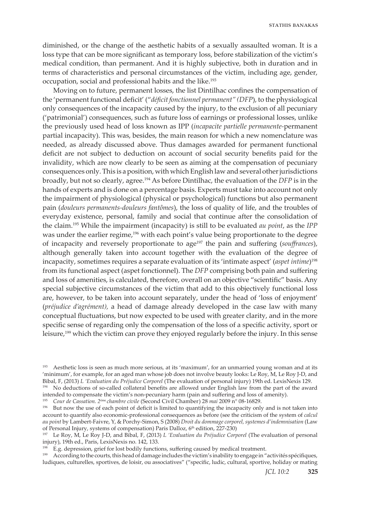diminished, or the change of the aesthetic habits of a sexually assaulted woman. It is a loss type that can be more significant as temporary loss, before stabilization of the victim's medical condition, than permanent. And it is highly subjective, both in duration and in terms of characteristics and personal circumstances of the victim, including age, gender, occupation, social and professional habits and the like.<sup>193</sup>

Moving on to future, permanent losses, the list Dintilhac confines the compensation of the 'permanent functional deficit' ("*déficit fonctionnel permanent" (DFP*), to the physiological only consequences of the incapacity caused by the injury, to the exclusion of all pecuniary ('patrimonial') consequences, such as future loss of earnings or professional losses, unlike the previously used head of loss known as IPP (*incapacite partielle permanente-*permanent partial incapacity). This was, besides, the main reason for which a new nomenclature was needed, as already discussed above. Thus damages awarded for permanent functional deficit are not subject to deduction on account of social security benefits paid for the invalidity, which are now clearly to be seen as aiming at the compensation of pecuniary consequences only. This is a position, with which English law and several other jurisdictions broadly, but not so clearly, agree.<sup>194</sup> As before Dintilhac, the evaluation of the *DFP* is in the hands of experts and is done on a percentage basis. Experts must take into account not only the impairment of physiological (physical or psychological) functions but also permanent pain (*douleurs permanents-douleurs fantômes*), the loss of quality of life, and the troubles of everyday existence, personal, family and social that continue after the consolidation of the claim.195 While the impairment (incapacity) is still to be evaluated *au point*, as the *IPP* was under the earlier regime,196 with each point's value being proportionate to the degree of incapacity and reversely proportionate to age197 the pain and suffering (*souffrances*), although generally taken into account together with the evaluation of the degree of incapacity, sometimes requires a separate evaluation of its 'intimate aspect' (*aspet intime*)198 from its functional aspect (aspet fonctionnel). The *DFP* comprising both pain and suffering and loss of amenities, is calculated, therefore, overall on an objective "scientific" basis. Any special subjective circumstances of the victim that add to this objectively functional loss are, however, to be taken into account separately, under the head of 'loss of enjoyment' (*préjudice d'agrément),* a head of damage already developed in the case law with many conceptual fluctuations, but now expected to be used with greater clarity, and in the more specific sense of regarding only the compensation of the loss of a specific activity, sport or leisure,<sup>199</sup> which the victim can prove they enjoyed regularly before the injury. In this sense

<sup>193</sup> Aesthetic loss is seen as much more serious, at its 'maximum', for an unmarried young woman and at its 'minimum', for example, for an aged man whose job does not involve beauty looks: Le Roy, M, Le Roy J-D, and Bibal, F, (2013) *L 'Evaluation du Préjudice Corporel* (The evaluation of personal injury) 19th ed. LexisNexis 129.

<sup>194</sup> No deductions of so-called collateral benefits are allowed under English law from the part of the award intended to compensate the victim's non-pecuniary harm (pain and suffering and loss of amenity).

<sup>195</sup> *Cour de Cassation. 2*ème *chambre civile* (Second Civil Chamber) 28 *mai* 2009 n° 08-16829.

<sup>&</sup>lt;sup>196</sup> But now the use of each point of deficit is limited to quantifying the incapacity only and is not taken into account to quantify also economic-professional consequences as before (see the criticism of the system of *calcul au point* by Lambert-Faivre, Y, & Porchy-Simon, S (2008) *Droit du dommage corporel, systemes d'indemnisation* (Law of Personal Injury, systems of compensation) Paris Dalloz, 6<sup>th</sup> edition, 227-230)

<sup>197</sup> Le Roy, M, Le Roy J-D, and Bibal, F, (2013) *L 'Evaluation du Préjudice Corporel* (The evaluation of personal injury), 19th ed., Paris, LexisNexis no. 142, 133.

<sup>&</sup>lt;sup>198</sup> E.g. depression, grief for lost bodily functions, suffering caused by medical treatment.

<sup>&</sup>lt;sup>199</sup> According to the courts, this head of damage includes the victim's inability to engage in "activités spécifiques, ludiques, culturelles, sportives, de loisir, ou associatives" ("specific, ludic, cultural, sportive, holiday or mating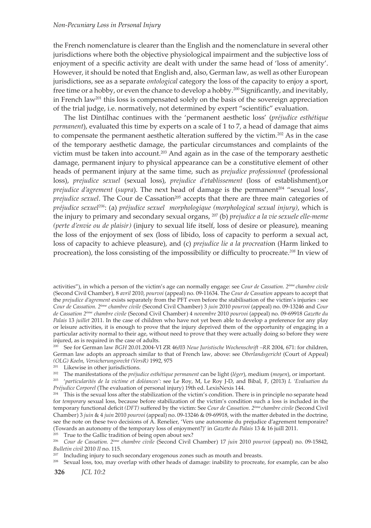### *Non-Pecuniary Loss in Personal Injury*

the French nomenclature is clearer than the English and the nomenclature in several other jurisdictions where both the objective physiological impairment and the subjective loss of enjoyment of a specific activity are dealt with under the same head of 'loss of amenity'. However, it should be noted that English and, also, German law, as well as other European jurisdictions, see as a separate *ontological* category the loss of the capacity to enjoy a sport, free time or a hobby, or even the chance to develop a hobby.200 Significantly, and inevitably, in French law<sup>201</sup> this loss is compensated solely on the basis of the sovereign appreciation of the trial judge, i.e. normatively, not determined by expert "scientific" evaluation.

The list Dintilhac continues with the 'permanent aesthetic loss' (*préjudice esthétique permanent*), evaluated this time by experts on a scale of 1 to 7, a head of damage that aims to compensate the permanent aesthetic alteration suffered by the victim.202 As in the case of the temporary aesthetic damage, the particular circumstances and complaints of the victim must be taken into account.<sup>203</sup> And again as in the case of the temporary aesthetic damage, permanent injury to physical appearance can be a constitutive element of other heads of permanent injury at the same time, such as *prejudice professionnel* (professional loss), *prejudice sexuel* (sexual loss), *prejudice d'etablissement* (loss of establishment),or *prejudice d'agrement* (*supra*). The next head of damage is the permanent<sup>204</sup> "sexual loss', *prejudice sexuel*. The Cour de Cassation<sup>205</sup> accepts that there are three main categories of *préjudice sexuel<sup>206</sup>*: (a) *préjudice sexuel morphologique (morphological sexual injury)*, which is the injury to primary and secondary sexual organs, 207 (b) *prejudice a la vie sexuele elle-meme (perte d'envie ou de plaisir)* (injury to sexual life itself, loss of desire or pleasure), meaning the loss of the enjoyment of sex (loss of libido, loss of capacity to perform a sexual act, loss of capacity to achieve pleasure), and (c) *prejudice lie a la procreati*on (Harm linked to procreation), the loss consisting of the impossibility or difficulty to procreate.*<sup>208</sup>* In view of

200 See for German law *BGH* 20.01.2004-VI ZR 46/03 *Neue Juristische Wochenschrift –RR* 2004, 671: for children, German law adopts an approach similar to that of French law, above: see *Oberlandsgericht* (Court of Appeal)

<sup>203</sup> 'particularités de la victime et doléances': see Le Roy, M, Le Roy J-D, and Bibal, F, (2013) L 'Evaluation du *Préjudice Corporel* (The evaluation of personal injury) 19th ed. LexisNexis 144.

 $204$  This is the sexual loss after the stabilization of the victim's condition. There is in principle no separate head for *temporary* sexual loss, because before stabilization of the victim's condition such a loss is included in the temporary functional deficit *(DFT)* suffered by the victim: See *Cour de Cassation. 2*ème *chambre civile* (Second Civil Chamber) 3 *juin* & 4 *juin* 2010 *pourvoi* (appeal) no. 09-13246 & 09-69918, with the matter debated in the doctrine, see the note on these two decisions of A. Renelier, 'Vers une autonomie du prejudice d'agrement temporaire? (Towards an autonomy of the temporary loss of enjoyment?)' in *Gazette du Palais* 13 & 16 juill 2011.

<sup>205</sup> True to the Gallic tradition of being open about sex?

<sup>206</sup> *Cour de Cassation. 2*ème *chambre civile* (Second Civil Chamber) 17 *juin* 2010 *pourvoi* (appeal) no. 09-15842, *Bulletin civil* 2010 *II* no. 115.

 $^{207}$  Including injury to such secondary erogenous zones such as mouth and breasts.

208 Sexual loss, too, may overlap with other heads of damage: inability to procreate, for example, can be also

activities"), in which a person of the victim's age can normally engage: see *Cour de Cassation. 2*ème *chambre civile* (Second Civil Chamber), 8 *avril* 2010, *pourvoi* (appeal) no. 09-11634. The *Cour de Cassation* appears to accept that the *prejudice d'agrement* exists separately from the PFT even before the stabilisation of the victim's injuries : see *Cour de Cassation. 2*ème *chambre civile* (Second Civil Chamber) 3 *juin* 2010 *pourvoi* (appeal) no. 09-13246 and *Cour de Cassation 2*ème *chambre civile* (Second Civil Chamber) 4 *novembre* 2010 *pourvoi* (appeal) no. 09-69918 *Gazette du Palais* 13 *juillet* 2011. In the case of children who have not yet been able to develop a preference for any play or leisure activities, it is enough to prove that the injury deprived them of the opportunity of engaging in a particular activity normal to their age, without need to prove that they were actually doing so before they were injured, as is required in the case of adults.

*<sup>(</sup>OLG) Koeln, Versicherungsrecht (VersR)* 1992, 975<br><sup>201</sup> Likewise in other jurisdictions.<br><sup>202</sup> The manifestations of the *préjudice esthétique permanent* can be light *(léger)*, medium *(moyen)*, or important.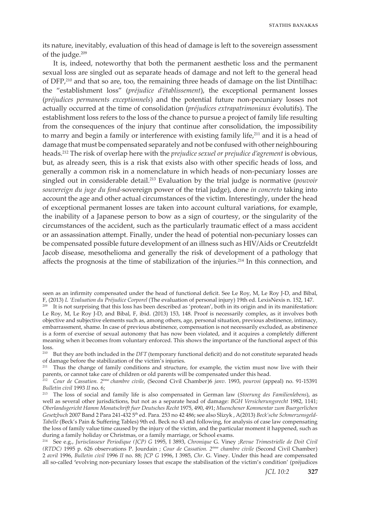its nature, inevitably, evaluation of this head of damage is left to the sovereign assessment of the judge.<sup>209</sup>

It is, indeed, noteworthy that both the permanent aesthetic loss and the permanent sexual loss are singled out as separate heads of damage and not left to the general head of  $DFP<sub>10</sub>$ <sup>210</sup> and that so are, too, the remaining three heads of damage on the list Dintilhac: the "establishment loss" (*préjudice d'établissement*), the exceptional permanent losses (*préjudices permanents exceptionnels*) and the potential future non-pecuniary losses not actually occurred at the time of consolidation (*préjudices extrapatrimoniaux* évolutifs). The establishment loss refers to the loss of the chance to pursue a project of family life resulting from the consequences of the injury that continue after consolidation, the impossibility to marry and begin a family or interference with existing family life, $^{211}$  and it is a head of damage that must be compensated separately and not be confused with other neighbouring heads.212 The risk of overlap here with the *prejudice sexuel or prejudice d'agrement* is obvious, but, as already seen, this is a risk that exists also with other specific heads of loss, and generally a common risk in a nomenclature in which heads of non-pecuniary losses are singled out in considerable detail.213 Evaluation by the trial judge is normative (*pouvoir souvereign du juge du fond-*sovereign power of the trial judge), done *in concreto* taking into account the age and other actual circumstances of the victim. Interestingly, under the head of exceptional permanent losses are taken into account cultural variations, for example, the inability of a Japanese person to bow as a sign of courtesy, or the singularity of the circumstances of the accident, such as the particularly traumatic effect of a mass accident or an assassination attempt. Finally, under the head of potential non-pecuniary losses can be compensated possible future development of an illness such as HIV/Aids or Creutzfeldt Jacob disease, mesothelioma and generally the risk of development of a pathology that affects the prognosis at the time of stabilization of the injuries.<sup>214</sup> In this connection, and

seen as an infirmity compensated under the head of functional deficit. See Le Roy, M, Le Roy J-D, and Bibal, F, (2013) *L 'Evaluation du Préjudice Corporel* (The evaluation of personal injury) 19th ed. LexisNexis n. 152, 147.

<sup>209</sup> It is not surprising that this loss has been described as 'protean', both in its origin and in its manifestation: Le Roy, M, Le Roy J-D, and Bibal, F, ibid. (2013) 153, 148. Proof is necessarily complex, as it involves both objective and subjective elements such as, among others, age, personal situation, previous abstinence, intimacy, embarrassment, shame. In case of previous abstinence, compensation is not necessarily excluded, as abstinence is a form of exercise of sexual autonomy that has now been violated, and it acquires a completely different meaning when it becomes from voluntary enforced. This shows the importance of the functional aspect of this loss.

210 But they are both included in the *DFT* (temporary functional deficit) and do not constitute separated heads of damage before the stabilization of the victim's injuries.

<sup>211</sup> Thus the change of family conditions and structure, for example, the victim must now live with their parents, or cannot take care of children or old parents will be compensated under this head.

<sup>212</sup> *Cour de Cassation. 2*ème *chambre civile*, (Second Civil Chamber)6 *janv*. 1993, *pourvoi* (appeal) no. 91-15391 *Bulletin civil* 1993 *II* no. 6;

<sup>213</sup> The loss of social and family life is also compensated in German law (*Stoerung des Familienlebens*), as well as several other jurisdictions, but not as a separate head of damage: *BGH Versicherungsrecht* 1982, 1141; *Oberlandsgericht Hamm Monatschrift fuer Deutsches Recht* 1975, 490, 491; *Muenchener Kommentar zum Buergerlichen Gesetzbuch* 2007 Band 2 Para 241-432 5th ed. Para. 253 no 42 486; see also Slizyk , A(2013) *Beck'sche Schmerzensgeld-Tabelle* (Beck's Pain & Suffering Tables) 9th ed. Beck no 43 and following, for analysis of case law compensating the loss of family value time caused by the injury of the victim, and the particular moment it happened, such as during a family holiday or Christmas, or a family marriage, or School exams.

<sup>214</sup> See e.g., *Jurisclasseur Periodique (JCP) G* 1995, I 3893, *Chronique* G. Viney ;*Revue Trimestrielle de Doit Civil (RTDC)* 1995 p. 626 observations P. Jourdain ; *Cour de Cassation. 2*ème *chambre civile* (Second Civil Chamber) 2 *avril* 1996, *Bulletin civil* 1996 *II* no. 88; *JCP G* 1996, I 3985, *Chr*. G. Viney. Under this head are compensated all so-called **'**evolving non-pecuniary losses that escape the stabilisation of the victim's condition' (préjudices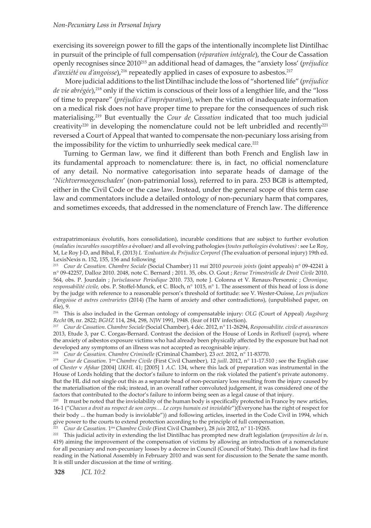exercising its sovereign power to fill the gaps of the intentionally incomplete list Dintilhac in pursuit of the principle of full compensation (*réparation intégrale*), the Cour de Cassation openly recognises since 2010<sup>215</sup> an additional head of damages, the "anxiety loss' (*préjudice d'anxiété ou d'angoisse*),<sup>216</sup> repeatedly applied in cases of exposure to asbestos.<sup>217</sup>

 More judicial additions to the list Dintilhac include the loss of "shortened life" (*préjudice de vie abrégée*),218 only if the victim is conscious of their loss of a lengthier life, and the "loss of time to prepare" (*préjudice d'impréparation*), when the victim of inadequate information on a medical risk does not have proper time to prepare for the consequences of such risk materialising.<sup>219</sup> But eventually the *Cour de Cassation* indicated that too much judicial creativity<sup>220</sup> in developing the nomenclature could not be left unbridled and recently<sup>221</sup> reversed a Court of Appeal that wanted to compensate the non-pecuniary loss arising from the impossibility for the victim to unhurriedly seek medical care.<sup>222</sup>

Turning to German law, we find it different than both French and English law in its fundamental approach to nomenclature: there is, in fact, no official nomenclature of any detail. No normative categorisation into separate heads of damage of the '*Nichtvermoegenschaden*' (non-patrimonial loss), referred to in para. 253 BGB is attempted, either in the Civil Code or the case law. Instead, under the general scope of this term case law and commentators include a detailed ontology of non-pecuniary harm that compares, and sometimes exceeds, that addressed in the nomenclature of French law. The difference

216 This is also included in the German ontology of compensatable injury: *OLG* (Court of Appeal) *Augsburg Recht* 08, nr. 2822; *BGHZ* 114, 284, 298, *NJW* 1991, 1948. (fear of HIV infection).

<sup>217</sup> *Cour de Cassation. Chambre Sociale* (Social Chamber), 4 déc. 2012, n° 11-26294, *Responsabilite. civile et assurances* 2013, Etude 3, par C. Corgas-Bernard. Contrast the decision of the House of Lords in *Rothwell* (*supra*), where the anxiety of asbestos exposure victims who had already been physically affected by the exposure but had not developed any symptoms of an illness was not accepted as recognisable injury.<br><sup>218</sup> Cour de Cassation. Chambre Criminelle (Criminal Chamber), 23 oct. 2012, n° 11-83770.

<sup>219</sup> Cour de Cassation. 1<sup>the</sup> Chambre Civile (First Civil Chamber), 12 juill. 2012, n° 11-17.510 ; see the English case of *Chester* v *Afshar* [2004] *UKHL* 41; [2005] 1 *A.C.* 134, where this lack of preparation was instrumental in the House of Lords holding that the doctor's failure to inform on the risk violated the patient's private autonomy. But the HL did not single out this as a separate head of non-pecuniary loss resulting from the injury caused by the materialisation of the risk; instead, in an overall rather convoluted judgement, it was considered one of the factors that contributed to the doctor's failure to inform being seen as a legal cause of that injury.

 $220$  It must be noted that the inviolability of the human body is specifically protected in France by new articles, 16-1 ("*Chacun a droit au respect de son corps… Le corps humain est inviolable*")(Everyone has the right of respect for their body ... the human body is inviolable")) and following articles, inserted in the Code Civil in 1994, which give power to the courts to extend protection according to the principle of full compensation.

<sup>221</sup> *Cour de Cassation.* 1ère*Chambre Civile* (First Civil Chamber), 28 *juin* 2012, n° 11-19265.

<sup>222</sup> This judicial activity in extending the list Dintilhac has prompted new draft legislation (*proposition de loi* n. 419) aiming the improvement of the compensation of victims by allowing an introduction of a nomenclature for all pecuniary and non-pecuniary losses by a decree in Council (Council of State). This draft law had its first reading in the National Assembly in February 2010 and was sent for discussion to the Senate the same month. It is still under discussion at the time of writing.

extrapatrimoniaux évolutifs, hors consolidation), incurable conditions that are subject to further evolution (*maladies incurables susceptibles a* évoluer*)* and all evolving pathologies (*toutes pathologies* évolutives*)* : see Le Roy, M, Le Roy J-D, and Bibal, F, (2013) *L 'Evaluation du Préjudice Corporel* (The evaluation of personal injury) 19th ed. LexisNexis n. 152, 155, 156 and following

<sup>215</sup> *Cour de Cassation. Chambre Sociale* (Social Chamber) 11 *mai* 2010 *pourvois joints* (joint appeals) n° 09-42241 à n° 09-42257, Dalloz 2010. 2048, note C. Bernard ; 2011. 35, obs. O. Gout ; *Revue Trimestrielle de Droit Civile* 2010. 564, obs. P. Jourdain ; *Jurisclasseur Periodique* 2010. 733, note J. Colonna et V. Renaux-Personnic ; *Chronique, responsabilité civile,* obs. P. Stoffel-Munck, et C. Bloch, n° 1015, n° 1. The assessment of this head of loss is done by the judge with reference to a reasonable person's threshold of fortitude: see V. Wester-Ouisse, *Les préjudices d'angoisse et autres contrarietes* (2014) (The harm of anxiety and other contradictions), (unpublished paper, on file), 9.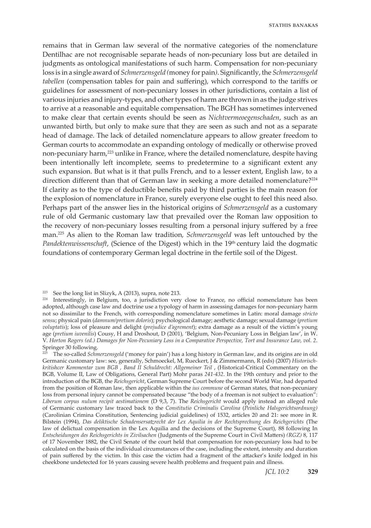remains that in German law several of the normative categories of the nomenclature Dentilhac are not recognisable separate heads of non-pecuniary loss but are detailed in judgments as ontological manifestations of such harm. Compensation for non-pecuniary loss is in a single award of *Schmerzensgeld (*money for pain*)*. Significantly, the *Schmerzensgeld tabellen* (compensation tables for pain and suffering), which correspond to the tariffs or guidelines for assessment of non-pecuniary losses in other jurisdictions, contain a list of various injuries and injury-types, and other types of harm are thrown in as the judge strives to arrive at a reasonable and equitable compensation. The BGH has sometimes intervened to make clear that certain events should be seen as *Nichtvermeoegenschaden*, such as an unwanted birth, but only to make sure that they are seen as such and not as a separate head of damage. The lack of detailed nomenclature appears to allow greater freedom to German courts to accommodate an expanding ontology of medically or otherwise proved non-pecuniary harm,<sup>223</sup> unlike in France, where the detailed nomenclature, despite having been intentionally left incomplete, seems to predetermine to a significant extent any such expansion. But what is it that pulls French, and to a lesser extent, English law, to a direction different than that of German law in seeking a more detailed nomenclature?<sup>224</sup> If clarity as to the type of deductible benefits paid by third parties is the main reason for the explosion of nomenclature in France, surely everyone else ought to feel this need also. Perhaps part of the answer lies in the historical origins of *Schmerzensgeld* as a customary rule of old Germanic customary law that prevailed over the Roman law opposition to the recovery of non-pecuniary losses resulting from a personal injury suffered by a free man.225 As alien to the Roman law tradition, *Schmerzensgeld* was left untouched by the *Pandektenwissenschaft*, (Science of the Digest) which in the 19<sup>th</sup> century laid the dogmatic foundations of contemporary German legal doctrine in the fertile soil of the Digest.

<sup>223</sup> See the long list in Slizyk, A  $(2013)$ , supra, note 213.

 $224$  Interestingly, in Belgium, too, a jurisdiction very close to France, no official nomenclature has been adopted, although case law and doctrine use a typology of harm in assessing damages for non-pecuniary harm not so dissimilar to the French, with corresponding nomenclature sometimes in Latin: moral damage *stricto sensu*; physical pain (*damnum/pretium doloris*); psychological damage; aesthetic damage; sexual damage (*pretium voluptatis*); loss of pleasure and delight (*prejudice d'agrement*); extra damage as a result of the victim's young age (*pretium iuvenilis*) Cousy, H and Droshout, D (2001)*,* 'Belgium, Non-Pecuniary Loss in Belgian law', in W. V. *Horton Rogers (ed.) Damages for Non-Pecuniary Loss in a Comparative Perspective, Tort and Insurance Law, vol. 2*. Springer 30 following.

<sup>&</sup>lt;sup>225</sup> The so-called *Schmerzensgeld* ('money for pain') has a long history in German law, and its origins are in old Germanic customary law: see, generally, Schmoeckel, M, Rueckert, J & Zimmermann, R (eds) (2007) *Historischkritishcer Kommentar zum BGB , Band II Schuldrecht: Allgemeiner Teil* , (Historical-Critical Commentary on the BGB, Volume II, Law of Obligations, General Part) Mohr paras *241-432*. In the 19th century and prior to the introduction of the BGB, the *Reichsgericht*, German Supreme Court before the second World War, had departed from the position of Roman law, then applicable within the *ius commune* of German states, that non-pecuniary loss from personal injury cannot be compensated because "the body of a freeman is not subject to evaluation": *Liberum corpus nulum recipit aestimationem* (D 9,3, 7). The *Reichsgericht* would apply instead an alleged rule of Germanic customary law traced back to the *Constitutio Criminalis Carolina* (*Peinliche Halsgerichtsordnung)* (Carolinian Crimina Constitution, Sentencing judicial guidelines) of 1532, articles 20 and 21: see more in R. Bilstein (1994), *Das deliktische Schadensersatzrecht der Lex Aquilia in der Rechtsprechung des Reichgerichts* (The law of delictual compensation in the Lex Aquilia and the decisions of the Supreme Court), 88 following In *Entscheidungen des Reichsgerichts in Zivilsachen* (Judgments of the Supreme Court in Civil Matters) *(RGZ)* 8, 117 of 17 November 1882, the Civil Senate of the court held that compensation for non-pecuniary loss had to be calculated on the basis of the individual circumstances of the case, including the extent, intensity and duration of pain suffered by the victim. In this case the victim had a fragment of the attacker's knife lodged in his cheekbone undetected for 16 years causing severe health problems and frequent pain and illness.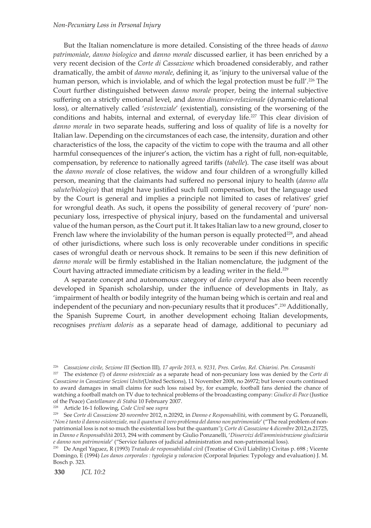#### *Non-Pecuniary Loss in Personal Injury*

But the Italian nomenclature is more detailed. Consisting of the three heads of *danno patrimoniale*, *danno biologico* and *danno morale* discussed earlier, it has been enriched by a very recent decision of the *Corte di Cassazione* which broadened considerably, and rather dramatically, the ambit of *danno morale*, defining it, as 'injury to the universal value of the human person, which is inviolable, and of which the legal protection must be full'.<sup>226</sup> The Court further distinguished between *danno morale* proper, being the internal subjective suffering on a strictly emotional level, and *danno dinamico-relazionale* (dynamic-relational loss), or alternatively called '*esistenziale*' (existential), consisting of the worsening of the conditions and habits, internal and external, of everyday life.<sup>227</sup> This clear division of *danno morale* in two separate heads, suffering and loss of quality of life is a novelty for Italian law. Depending on the circumstances of each case, the intensity, duration and other characteristics of the loss, the capacity of the victim to cope with the trauma and all other harmful consequences of the injurer's action, the victim has a right of full, non-equitable, compensation, by reference to nationally agreed tariffs (*tabelle*). The case itself was about the *danno morale* of close relatives, the widow and four children of a wrongfully killed person, meaning that the claimants had suffered no personal injury to health (*danno alla salute/biologico*) that might have justified such full compensation, but the language used by the Court is general and implies a principle not limited to cases of relatives' grief for wrongful death. As such, it opens the possibility of general recovery of 'pure' nonpecuniary loss, irrespective of physical injury, based on the fundamental and universal value of the human person, as the Court put it. It takes Italian law to a new ground, closer to French law where the inviolability of the human person is equally protected $228$ , and ahead of other jurisdictions, where such loss is only recoverable under conditions in specific cases of wrongful death or nervous shock. It remains to be seen if this new definition of *danno morale* will be firmly established in the Italian nomenclature, the judgment of the Court having attracted immediate criticism by a leading writer in the field.229

A separate concept and autonomous category of *daño corporal* has also been recently developed in Spanish scholarship, under the influence of developments in Italy*,* as 'impairment of health or bodily integrity of the human being which is certain and real and independent of the pecuniary and non-pecuniary results that it produces".<sup>230</sup> Additionally, the Spanish Supreme Court, in another development echoing Italian developments, recognises *pretium doloris* as a separate head of damage, additional to pecuniary ad

<sup>226</sup> *Cassazione civile, Sezione III* (Section III)*, 17 aprile 2013, n. 9231, Pres. Carleo, Rel. Chiarini. Pm. Corasaniti*

<sup>227</sup> The existence (!) of *danno esistenziale* as a separate head of non-pecuniary loss was denied by the *Corte di Cassazione in Cassazione Sezioni Unite*(United Sections), 11 November 2008, no 26972; but lower courts continued to award damages in small claims for such loss raised by, for example, football fans denied the chance of watching a football match on TV due to technical problems of the broadcasting company: *Giudice di Pace* (Justice of the Peace) *Castellamare di Stabia* 10 February 2007.

<sup>228</sup> Article 16-1 following, *Code Civil* see *supra*

<sup>229</sup> See *Corte di Cassazione* 20 *novembre* 2012, n.20292, in *Danno e Responsabilità*, with comment by G. Ponzanelli, '*Non è tanto il danno esistenziale, ma il quantum il vero problema del danno non patrimoniale*' ("The real problem of nonpatrimonial loss is not so much the existential loss but the quantum'); *Corte di Cassazione* 4 *dicembre* 2012,n.21725, in *Danno e Responsabilità* 2013, 294 with comment by Giulio Ponzanelli, '*Disservizi dell'amministrazione giudiziaria e danno non patrimoniale*' ("Service failures of judicial administration and non-patrimonial loss).

<sup>230</sup> De Angel Yaguez, R (1993) *Tratado de responsabilidad civil* (Treatise of Civil Liability) Civitas p. 698 ; Vicente Domingo, E (1994) *Los danos corporales : typologia y valoracion* (Corporal Injuries: Typology and evaluation) J. M. Bosch p. 323.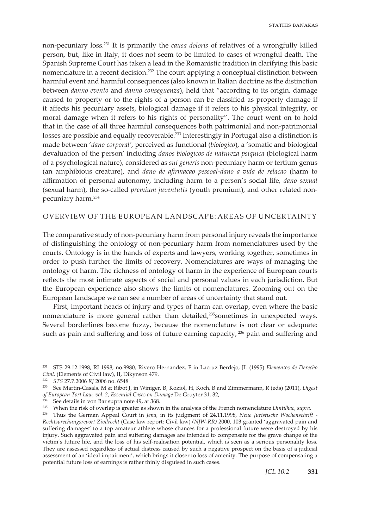non-pecuniary loss.231 It is primarily the *causa doloris* of relatives of a wrongfully killed person, but, like in Italy, it does not seem to be limited to cases of wrongful death. The Spanish Supreme Court has taken a lead in the Romanistic tradition in clarifying this basic nomenclature in a recent decision.232 The court applying a conceptual distinction between harmful event and harmful consequences (also known in Italian doctrine as the distinction between *danno evento* and *danno conseguenza*), held that "according to its origin, damage caused to property or to the rights of a person can be classified as property damage if it affects his pecuniary assets, biological damage if it refers to his physical integrity, or moral damage when it refers to his rights of personality". The court went on to hold that in the case of all three harmful consequences both patrimonial and non-patrimonial losses are possible and equally recoverable.233 Interestingly in Portugal also a distinction is made between '*dano corporal'*, perceived as functional (*biologico*), a 'somatic and biological devaluation of the person' including *danos biologicos de natureza psiquica* (biological harm of a psychological nature), considered as *sui generis* non-pecuniary harm or tertium genus (an amphibious creature), and *dano de afirmacao pessoal-dano a vida de relacao* (harm to affirmation of personal autonomy, including harm to a person's social life, *dano sexual*  (sexual harm), the so-called *premium juventutis* (youth premium), and other related nonpecuniary harm.234

## OVERVIEW OF THE EUROPEAN LANDSCAPE: AREAS OF UNCERTAINTY

The comparative study of non-pecuniary harm from personal injury reveals the importance of distinguishing the ontology of non-pecuniary harm from nomenclatures used by the courts. Ontology is in the hands of experts and lawyers, working together, sometimes in order to push further the limits of recovery. Nomenclatures are ways of managing the ontology of harm. The richness of ontology of harm in the experience of European courts reflects the most intimate aspects of social and personal values in each jurisdiction. But the European experience also shows the limits of nomenclatures. Zooming out on the European landscape we can see a number of areas of uncertainty that stand out.

First, important heads of injury and types of harm can overlap, even where the basic nomenclature is more general rather than detailed,235sometimes in unexpected ways. Several borderlines become fuzzy, because the nomenclature is not clear or adequate: such as pain and suffering and loss of future earning capacity, <sup>236</sup> pain and suffering and

<sup>231</sup> STS 29.12.1998, RJ 1998, no.9980, Rivero Hernandez, F in Lacruz Berdejo, JL (1995) *Elementos de Derecho Civil*, (Elements of Civil law), II, Dikynson 479.

<sup>232</sup> *STS* 27.7.2006 *RJ* 2006 no. 6548

<sup>233</sup> See Martin-Casals, M & Ribot J, in Winiger, B, Koziol, H, Koch, B and Zimmermann, R (eds) (2011), *Digest of European Tort Law, vol. 2, Essential Cases on Damage* De Gruyter 31, 32,

 $234$  See details in von Bar supra note 49, at 368.

<sup>235</sup> When the risk of overlap is greater as shown in the analysis of the French nomenclature *Dintilhac*, *supra*.

<sup>236</sup> Thus the German Appeal Court in *Jena*, in its judgment of 24.11.1998, *Neue Juristische Wochenschrift - Rechtsprechungsreport Zivilrecht* (Case law report: Civil law) *(NJW-RR)* 2000, 103 granted 'aggravated pain and suffering damages' to a top amateur athlete whose chances for a professional future were destroyed by his injury. Such aggravated pain and suffering damages are intended to compensate for the grave change of the victim's future life, and the loss of his self-realisation potential, which is seen as a serious personality loss. They are assessed regardless of actual distress caused by such a negative prospect on the basis of a judicial assessment of an 'ideal impairment', which brings it closer to loss of amenity. The purpose of compensating a potential future loss of earnings is rather thinly disguised in such cases.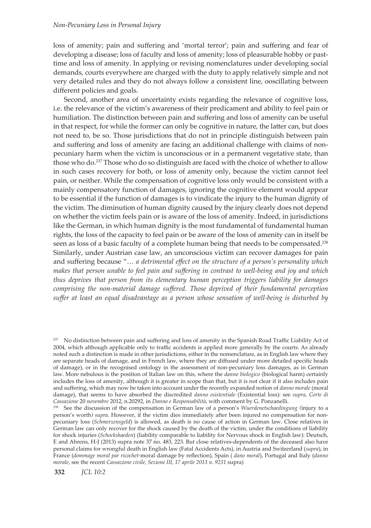### *Non-Pecuniary Loss in Personal Injury*

loss of amenity; pain and suffering and 'mortal terror'; pain and suffering and fear of developing a disease; loss of faculty and loss of amenity; loss of pleasurable hobby or pasttime and loss of amenity. In applying or revising nomenclatures under developing social demands, courts everywhere are charged with the duty to apply relatively simple and not very detailed rules and they do not always follow a consistent line, ooscillating between different policies and goals.

Second, another area of uncertainty exists regarding the relevance of cognitive loss, i.e. the relevance of the victim's awareness of their predicament and ability to feel pain or humiliation. The distinction between pain and suffering and loss of amenity can be useful in that respect, for while the former can only be cognitive in nature, the latter can, but does not need to, be so. Those jurisdictions that do not in principle distinguish between pain and suffering and loss of amenity are facing an additional challenge with claims of nonpecuniary harm when the victim is unconscious or in a permanent vegetative state, than those who do.<sup>237</sup> Those who do so distinguish are faced with the choice of whether to allow in such cases recovery for both, or loss of amenity only, because the victim cannot feel pain, or neither. While the compensation of cognitive loss only would be consistent with a mainly compensatory function of damages, ignoring the cognitive element would appear to be essential if the function of damages is to vindicate the injury to the human dignity of the victim. The diminution of human dignity caused by the injury clearly does not depend on whether the victim feels pain or is aware of the loss of amenity. Indeed, in jurisdictions like the German, in which human dignity is the most fundamental of fundamental human rights, the loss of the capacity to feel pain or be aware of the loss of amenity can in itself be seen as loss of a basic faculty of a complete human being that needs to be compensated.<sup>238</sup> Similarly, under Austrian case law, an unconscious victim can recover damages for pain and suffering because "… *a detrimental effect on the structure of a person's personality which makes that person unable to feel pain and suffering in contrast to well-being and joy and which thus deprives that person from its elementary human perception triggers liability for damages comprising the non-material damage suffered. Those deprived of their fundamental perception suffer at least an equal disadvantage as a person whose sensation of well-being is disturbed by* 

<sup>&</sup>lt;sup>237</sup> No distinction between pain and suffering and loss of amenity in the Spanish Road Traffic Liability Act of 2004, which although applicable only to traffic accidents is applied more generally by the courts. As already noted such a distinction is made in other jurisdictions, either in the nomenclature, as in English law where they are separate heads of damage, and in French law, where they are diffused under more detailed specific heads of damage), or in the recognised ontology in the assessment of non-pecuniary loss damages, as in German law. More nebulous is the position of Italian law on this, where the *danno biologico* (biological harm) certainly includes the loss of amenity, although it is greater in scope than that, but it is not clear if it also includes pain and suffering, which may now be taken into account under the recently expanded notion of *danno morale* (moral damage), that seems to have absorbed the discredited *danno esistentiale* (Existential loss): see *supra*, *Corte di Cassazione* 20 *novembre* 2012, n.20292, in *Danno e Responsabilità*, with comment by G. Ponzanelli.

<sup>238</sup> See the discussion of the compensation in German law of a person's *Wuerdenetschaedingung (*injury to a person's worth*) supra*. However, if the victim dies immediately after been injured no compensation for nonpecuniary loss (*Schmerzensgeld*) is allowed, as death is no cause of action in German law. Close relatives in German law can only recover for the shock caused by the death of the victim, under the conditions of liability for shock injuries (*Schockshaeden*) (liability comparable to liability for Nervous shock in English law): Deutsch, E and Ahrens, H-J (2013) supra note 37 no. 483, 223. But close relatives-dependents of the deceased also have personal claims for wrongful death in English law (Fatal Accidents Acts), in Austria and Switzerland (*supra*), in France (*dommage moral par ricochet*-moral damage by reflection), Spain ( *dano moral*), Portugal and Italy (*danno morale*, see the recent *Cassazione civile, Sezione III, 17 aprile 2013 n. 9231* supra)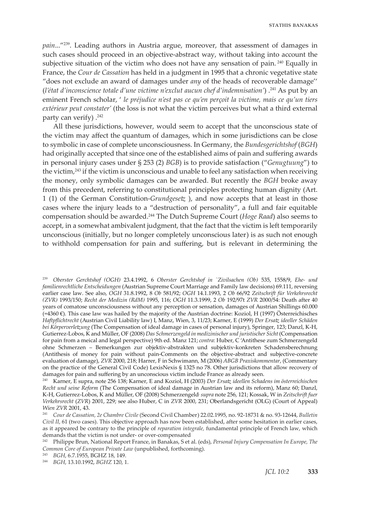*pain*..."<sup>239</sup>. Leading authors in Austria argue, moreover, that assessment of damages in such cases should proceed in an objective-abstract way, without taking into account the subjective situation of the victim who does not have any sensation of pain.<sup>240</sup> Equally in France, the *Cour de Cassation* has held in a judgment in 1995 that a chronic vegetative state "does not exclude an award of damages under *any* of the heads of recoverable damage'' (*l'état d'inconscience totale d'une victime n'exclut aucun chef d'indemnisation'*) .241 As put by an eminent French scholar, ' *le préjudice n'est pas ce qu'en perçoit la victime, mais ce qu'un tiers extérieur peut constater'* (the loss is not what the victim perceives but what a third external party can verify)  $.^{242}$ 

All these jurisdictions, however, would seem to accept that the unconscious state of the victim may affect the quantum of damages, which in some jurisdictions can be close to symbolic in case of complete unconsciousness. In Germany, the *Bundesgerichtshof* (*BGH*) had originally accepted that since one of the established aims of pain and suffering awards in personal injury cases under § 253 (2) *BGB*) is to provide satisfaction ("*Genugtuung*") to the victim,243 if the victim is unconscious and unable to feel any satisfaction when receiving the money, only symbolic damages can be awarded. But recently the *BGH* broke away from this precedent, referring to constitutional principles protecting human dignity (Art. 1 (1) of the German Constitution-*Grundgesetz* ), and now accepts that at least in those cases where the injury leads to a "destruction of personality", a full and fair equitable compensation should be awarded.244 The Dutch Supreme Court (*Hoge Raad*) also seems to accept, in a somewhat ambivalent judgment, that the fact that the victim is left temporarily unconscious (initially, but no longer completely unconscious later) is as such not enough to withhold compensation for pain and suffering, but is relevant in determining the

<sup>239</sup> *Oberster Gerchtshof (OGH)* 23.4.1992, 6 *Oberster Gerchtshof in `Zivilsachen (Ob)* 535, 1558/9, *Ehe- und familienrechtliche Entscheidungen* (Austrian Supreme Court Marriage and Family law decisions) 69.111, reversing earlier case law. See also, *OGH* 31.8.1992, 8 *Ob* 581/92; *OGH* 14.1.1993, 2 *Ob* 66/92 *Zeitschrift für Verkehrsrecht (ZVR)* 1993/150; *Recht der Medizin (RdM)* 1995, 116; *OGH* 11.3.1999, 2 *Ob* 192/97t *ZVR* 2000/54: Death after 40 years of comatose unconsciousness without any perception or sensation, damages of Austrian Shillings 60.000 (=4360 €). This case law was hailed by the majority of the Austrian doctrine: Koziol, H (1997) Österreichisches *Haftpflichtrecht* (Austrian Civil Liability law) I, Manz, Wien, 3, 11/23; Karner, E (1999) *Der Ersatz ideeller Schäden bei Körperverletzung* (The Compensation of ideal damage in cases of personal injury), Springer, 123; Danzl, K-H, Gutierrez-Lobos, K and Müller, OF (2008) *Das Schmerzengeld in medizinischer und juristischer Sicht* (Compensation for pain from a meical and legal perspective) 9th ed. Manz 121; *contra*: Huber, C 'Antithese zum Schmerzengeld ohne Schmerzen – Bemerkungen zur objektiv-abstrakten und subjektiv-konkreten Schadensberechnung (Antithesis of money for pain without pain-Comments on the objective-abstract and subjective-concrete evaluation of damage), *ZVR* 2000, 218; Harrer, F in Schwimann, M (2006) *ABGB Praxiskommentar*, (Commentary on the practice of the General Civil Code) LexisNexis § 1325 no 78. Other jurisdictions that allow recovery of damages for pain and suffering by an unconscious victim include France as already seen.

<sup>240</sup> Karner, E supra, note 256 138; Karner, E and Koziol, H (2003) *Der Ersatz ideellen Schadens im österreichischen Recht und seine Reform* (The Compensation of ideal damage in Austrian law and its reform), Manz 60; Danzl, K-H, Gutierrez-Lobos, K and Müller, OF (2008) Schmerzengeld, *supra* note 256, 121; Kossak, W in *Zeitschrift fuer Verkehrsrecht* (*ZVR*) 2001, 229; see also Huber, C in *ZVR* 2000, 231; Oberlandsgericht (OLG) (Court of Appeal) *Wien ZVR* 2001, 43.

<sup>241</sup> *Cour de Cassation, 2e Chambre Civile* (Second Civil Chamber) 22.02.1995, no. 92-18731 & no. 93-12644, *Bulletin Civil II*, 61 (two cases). This objective approach has now been established, after some hesitation in earlier cases, as it appeared be contrary to the principle of *reparation integrale,* fundamental principle of French law, which demands that the victim is not under- or over-compensated

<sup>242</sup> Philippe Brun, National Report France, in Banakas, S et al. (eds), *Personal Injury Compensation In Europe, The Common Core of European Private Law* (unpublished, forthcoming).

<sup>243</sup> *BGH*, 6.7.1955, BGHZ 18, 149.

<sup>244</sup> *BGH*, 13.10.1992, *BGHZ* 120, 1.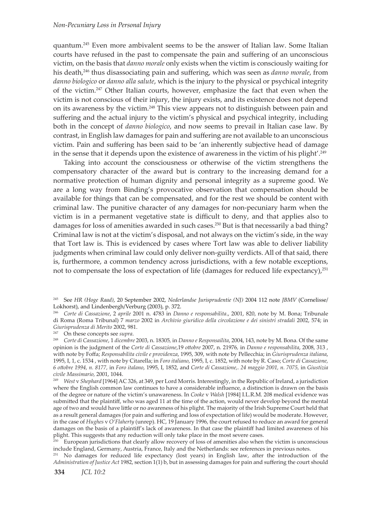quantum.245 Even more ambivalent seems to be the answer of Italian law. Some Italian courts have refused in the past to compensate the pain and suffering of an unconscious victim, on the basis that *danno morale* only exists when the victim is consciously waiting for his death,246 thus disassociating pain and suffering, which was seen as *danno morale*, from *danno biologico* or *danno alla salute*, which is the injury to the physical or psychical integrity of the victim.247 Other Italian courts, however, emphasize the fact that even when the victim is not conscious of their injury, the injury exists, and its existence does not depend on its awareness by the victim.<sup>248</sup> This view appears not to distinguish between pain and suffering and the actual injury to the victim's physical and psychical integrity, including both in the concept of *danno biologico*, and now seems to prevail in Italian case law. By contrast, in English law damages for pain and suffering are not available to an unconscious victim. Pain and suffering has been said to be 'an inherently subjective head of damage in the sense that it depends upon the existence of awareness in the victim of his plight'.249

Taking into account the consciousness or otherwise of the victim strengthens the compensatory character of the award but is contrary to the increasing demand for a normative protection of human dignity and personal integrity as a supreme good. We are a long way from Binding's provocative observation that compensation should be available for things that can be compensated, and for the rest we should be content with criminal law. The punitive character of any damages for non-pecuniary harm when the victim is in a permanent vegetative state is difficult to deny, and that applies also to damages for loss of amenities awarded in such cases.<sup>250</sup> But is that necessarily a bad thing? Criminal law is not at the victim's disposal, and not always on the victim's side, in the way that Tort law is. This is evidenced by cases where Tort law was able to deliver liability judgments when criminal law could only deliver non-guilty verdicts. All of that said, there is, furthermore, a common tendency across jurisdictions, with a few notable exceptions, not to compensate the loss of expectation of life (damages for reduced life expectancy),<sup>251</sup>

247 On these concepts see *supra*.

<sup>245</sup> See *HR (Hoge Raad)*, 20 September 2002, *Nederlandse Jurisprudentie (NJ)* 2004 112 note *JBMV* (Cornelisse/ Lokhorst), and Lindenbergh/Verburg (2003), p. 372.

<sup>246</sup> *Corte di Cassazione*, 2 *aprile* 2001 n. 4783 in *Danno e responsabilita*., 2001, 820, note by M. Bona; Tribunale di Roma (Roma Tribunal) 7 *marzo* 2002 in *Archivio giuridico della circolazione e dei sinistri stradali* 2002, 574; in *Giurisprudenza di Merito* 2002, 981.

<sup>248</sup> *Corte di Cassazione*, 1 *dicembre* 2003, n. 18305*,* in *Danno e Responsailita*, 2004, 143, note by M. Bona*.* Of the same opinion is the judgment of the *Corte di Cassazione*,19 *ottobre* 2007, n. 21976*,* in *Danno e responsabilita*, 2008, 313 , with note by Foffa; *Responsabilita civile e providenza*, 1995, 309, with note by Pellecchia; in *Giurisprudenza italiana*, 1995, I, 1, c. 1534 , with note by Citarella; in *Foro italiano*, 1995, I, c. 1852, with note by R. Caso; *Corte di Cassazione, 6 ottobre 1994, n. 8177,* in *Foro italano*, 1995, I, 1852, and *Corte di Cassazione,. 24 maggio 2001, n. 7075,* in *Giustizia civile Massimario,* 2001, 1044.

<sup>249</sup> *West* v *Shephard* [1964] AC 326, at 349, per Lord Morris. Interestingly, in the Republic of Ireland, a jurisdiction where the English common law continues to have a considerable influence, a distinction is drawn on the basis of the degree or nature of the victim's unawareness. In *Cooke* v *Walsh* [1984] I.L.R.M. 208 medical evidence was submitted that the plaintiff, who was aged 11 at the time of the action, would never develop beyond the mental age of two and would have little or no awareness of his plight. The majority of the Irish Supreme Court held that as a result general damages (for pain and suffering and loss of expectation of life) would be moderate. However, in the case of *Hughes* v *O'Flaherty* (unrep). HC, 19 January 1996, the court refused to reduce an award for general damages on the basis of a plaintiff's lack of awareness. In that case the plaintiff had limited awareness of his plight. This suggests that any reduction will only take place in the most severe cases.

<sup>&</sup>lt;sup>250</sup> European jurisdictions that clearly allow recovery of loss of amenities also when the victim is unconscious include England, Germany, Austria, France, Italy and the Netherlands: see references in previous notes.

<sup>&</sup>lt;sup>251</sup> No damages for reduced life expectancy (lost years) in English law, after the introduction of the *Administration of Justice Act* 1982, section 1(1) b, but in assessing damages for pain and suffering the court should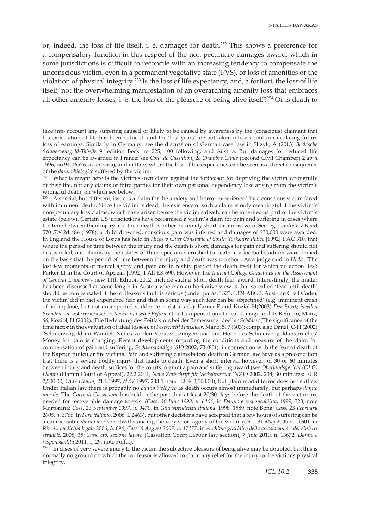or, indeed, the loss of life itself, i. e. damages for death.252 This shows a preference for a compensatory function in this respect of the non-pecuniary damages award, which in some jurisdictions is difficult to reconcile with an increasing tendency to compensate the unconscious victim, even in a permanent vegetative state (PVS), or loss of amenities or the violation of physical integrity.253 Is the loss of life expectancy, and, a fortiori, the loss of life itself, not the overwhelming manifestation of an overarching amenity loss that embraces all other amenity losses, i. e. the loss of the pleasure of being alive itself?<sup>254</sup> Or is death to

take into account any suffering caused or likely to be caused by awareness by the (conscious) claimant that his expectation of life has been reduced, and the 'lost years' are not taken into account in calculating future loss of earnings. Similarly in Germany: see the discussion of German case law in Slizyk, A (2013) *Beck'sche Schmerzensgeld-Tabelle* 9th edition Beck no 225, 100 following, and Austria. But damages for reduced life expectancy can be awarded in France: see *Cour de Cassation, 2e Chambre Civile* (Second Civil Chamber) 2 *avril*  1996, no 94-16576, *a contrario*), and in Italy, where the loss of life expectancy can be seen as a direct consequence of the *danno biologico* suffered by the victim.

<sup>252</sup> What is meant here is the victim's own claim against the tortfeasor for depriving the victim wrongfully of their life, not any claims of third parties for their own personal dependency loss arising from the victim's wrongful death, on which see below.<br> $^{253}$  A enecial but different issue is a

<sup>253</sup> A special, but different, issue is a claim for the anxiety and horror experienced by a conscious victim faced with imminent death. Since the victim is dead, the existence of such a claim is only meaningful if the victim's non-pecuniary loss claims, which have arisen before the victim's death, can be inherited as part of the victim's estate (below). Certain US jurisdictions have recognised a victim's claim for pain and suffering in cases where the time between their injury and their death is either extremely short, or almost zero: See, eg, *Landreth* v Reed 570 *SW* 2d 486 (1978): a child drowned, conscious pain was inferred and damages of \$30,000 were awarded. In England the House of Lords has held in *Hicks v Chief Constable of South Yorkshire Police* [1992] 1 AC 310, that where the period of time between the injury and the death is short, damages for pain and suffering should not be awarded, and claims by the estates of three spectators crushed to death at a football stadium were denied on the basis that the period of time between the injury and death was too short. As a judge said in *Hicks*, 'The last few moments of mental agony and pain are in reality part of the death itself for which no action lies': Parker LJ in the Court of Appeal, [1992] 1 All ER 690. However, the *Judicial College Guidelines for the Assessment of General Damages* - new 11th Edition 2012, include such a 'short death fear' award. Interestingly, the matter has been discussed at some length in Austria where an authoritative view is that so-called 'fear until death' should be compensated if the tortfeasor's fault is serious (under paras. 1323, 1324 ABGB, Austrian Civil Code), the victim did in fact experience fear and that in some way such fear can be 'objectified' (e.g. imminent crash of an airplane, but not unsuspected sudden terrorist attack): Karner E and Koziol H(2003) *Der Ersatz ideellen Schadens im* österreichischen *Recht und seine Reform* (The Compensation of ideal damage and its Reform), Manz, *66;* Koziol, H (2002), 'Die Bedeutung des Zeitfaktors bei der Bemessung ideeller *Schäden'*(The significance of the time factor in the evaluation of ideal losses)*, in Festschrift Hausheer*, Manz, 597 (603); comp. also Danzl, C-H (2002) 'Schmerzengeld im Wandel: Neues zu den Voraussetzungen und zur Höhe des Schmerzengeldanspruches' Money for pain is changing: Recent developments regarding the conditions and measure of the claim for compensation of pain and suffering, *Sachverständige (SV)* 2002, 73 (80f), in connection with the fear of death of the Kaprun funicular fire victims. Pain and suffering claims before death in German law have as a precondition that there is a severe bodily injury that leads to death. Even a short interval however, of 30 or 60 minutes between injury and death, suffices for the courts to grant a pain and suffering award (see *Oberlandsgericht (OLG) Hamm* (Hamm Court of Appeal), 22.2.2001, *Neue Zeitschrift für Verkehrsrecht (NZV)* 2002, 234, 30 minutes: EUR 2,500.00, *OLG Hamm*, 21.1.1997, *NZV* 1997, 233 1 hour: EUR 2,500.00), but plain mortal terror does not suffice. Under Italian law there is probably no *danno biologico* as death occurs almost immediately, but perhaps *danno morale*. The *Corte di Cassazione* has held in the past that at least 20/30 days before the death of the victim are needed for recoverable damage to exist (*Cass. 30 June 1998, n. 6404,* in *Danno e responsabilita*, 1999, 323, note Martorana; *Cass. 26 September 1997, n. 9470,* in *Giurisprudenza italiana,* 1998, 1589, note Bona; *Cass. 23 February 2005, n. 3766,* in *Foro italiano*, 2006, I, 2463), but other decisions have accepted that a few hours of suffering can be a compensable *danno morale* notwithstanding the very short agony of the victim (*Cass*. 31 *May* 2005 n. 11601, in *Riv. it. medicina legale* 2006, 3, 694; *Cass. 6 August 2007, n. 17177,* in *Archivio giuridico della circolazione e dei sinistri stradali*, 2008, 35; *Cass. civ. sezione lavoro* (Cassation Court Labour law section), 7 *June* 2010, n. 13672, *Danno e responsabilita* 2011, 1, 29, note Foffa.).

 $254$  In cases of very severe injury to the victim the subjective pleasure of being alive may be doubted, but this is normally no ground on which the tortfeasor is allowed to claim any relief for the injury to the victim's physical integrity.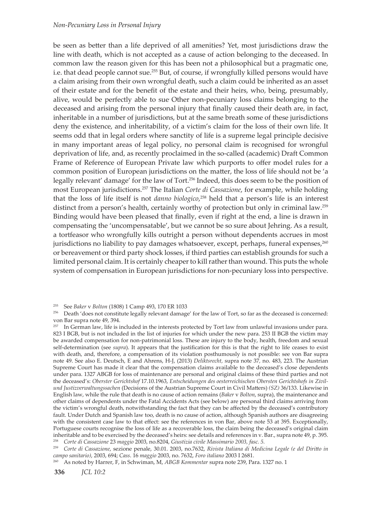be seen as better than a life deprived of all amenities? Yet, most jurisdictions draw the line with death, which is not accepted as a cause of action belonging to the deceased. In common law the reason given for this has been not a philosophical but a pragmatic one, i.e. that dead people cannot sue.<sup>255</sup> But, of course, if wrongfully killed persons would have a claim arising from their own wrongful death, such a claim could be inherited as an asset of their estate, and for the benefit of the estate and their heirs, who, being, presumably, alive, would be perfectly able to sue. Other non-pecuniary loss claims belonging to the deceased and arising from the personal injury that finally caused their death are, in fact, inheritable in a number of jurisdictions, but at the same breath some of these jurisdictions deny the existence, and inheritability, of a victim's claim for the loss of their own life. It seems odd that in legal orders where sanctity of life is a supreme legal principle decisive in many important areas of legal policy, no personal claim is recognised for wrongful deprivation of life, and, as recently proclaimed in the so-called (academic) Draft Common Frame of Reference of European Private law which purports to offer model rules for a common position of European jurisdictions on the matter, the loss of life should not be 'a legally relevant' damage' for the law of Tort.256 Indeed, this does seem to be the position of most European jurisdictions.<sup>257</sup> The Italian *Corte di Cassazione*, for example, while holding that the loss of life itself is not *danno biologico*, 258 held that a person's life is an interest distinct from a person's health, certainly worthy of protection but only in criminal law.<sup>259</sup> Binding would have been pleased that finally, even if right at the end, a line is drawn in compensating the 'uncompensatable', but we cannot be so sure about Jehring. As a result, a tortfeasor who wrongfully kills outright a person without dependents accrues in most jurisdictions no liability to pay damages whatsoever, except, perhaps, funeral expenses,<sup>260</sup> or bereavement or third party shock losses, if third parties can establish grounds for such a limited personal claim. It is certainly cheaper to kill rather than wound. This puts the whole system of compensation in European jurisdictions for non-pecuniary loss into perspective.

<sup>255</sup> See *Baker* v *Bolton* (1808) 1 Camp 493, 170 ER 1033

<sup>256</sup> Death 'does not constitute legally relevant damage' for the law of Tort, so far as the deceased is concerned: von Bar supra note 49, 394.

<sup>&</sup>lt;sup>257</sup> In German law, life is included in the interests protected by Tort law from unlawful invasions under para. 823 I BGB, but is not included in the list of injuries for which under the new para. 253 II BGB the victim may be awarded compensation for non-patrimonial loss. These are injury to the body, health, freedom and sexual self-determination (see *supra*). It appears that the justification for this is that the right to life ceases to exist with death, and, therefore, a compensation of its violation posthumously is not possible: see von Bar supra note 49. See also E. Deutsch, E and Ahrens, H-J, (2013) *Deliktsrecht,* supra note 37*,* no. 483, 223. The Austrian Supreme Court has made it clear that the compensation claims available to the deceased's close dependents under para. 1327 ABGB for loss of maintenance are personal and original claims of these third parties and not the deceased's: *Oberster Gerichtshof* 17.10.1963, *Entscheidungen des oesterreichischen Obersten Gerichtshofs in Zivilund Justizverwaltungssachen* (Decisions of the Austrian Supreme Court in Civil Matters) *(SZ)* 36/133. Likewise in English law, while the rule that death is no cause of action remains (*Baker* v *Bolton*, supra), the maintenance and other claims of dependents under the Fatal Accidents Acts (see below) are personal third claims arriving from the victim's wrongful death, notwithstanding the fact that they can be affected by the deceased's contributory fault. Under Dutch and Spanish law too, death is no cause of action, although Spanish authors are disagreeing with the consistent case law to that effect: see the references in von Bar, above note 53 at 395. Exceptionally, Portuguese courts recognise the loss of life as a recoverable loss, the claim being the deceased's original claim inheritable and to be exercised by the deceased's heirs: see details and references in v. Bar., supra note 49, p. 395. <sup>258</sup> *Corte di Cassazione* 23 *maggio* 2003, no.8204, *Giustizia civile Massimario 2003, fasc. 5.*

<sup>259</sup> *Corte di Cassazione*, sezione penale, 30.01. 2003, no.7632, *Rivista Italiana di Medicina Legale (e del Diritto in campo sanitario)*, 2003, 694; *Cass*. 16 *maggio* 2003, no. 7632, *Foro italiano* 2003 I 2681.

<sup>260</sup> As noted by Harrer, F, in Schwiman, M, *ABGB Kommentar* supra note 239, Para. 1327 no. 1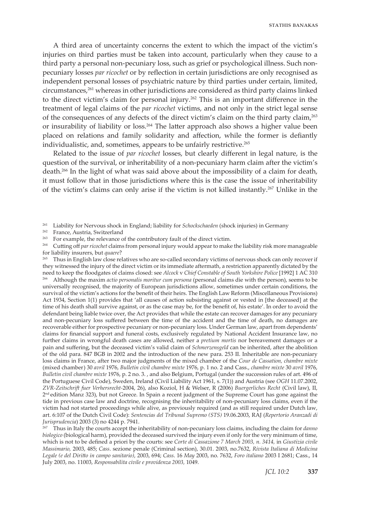A third area of uncertainty concerns the extent to which the impact of the victim's injuries on third parties must be taken into account, particularly when they cause to a third party a personal non-pecuniary loss, such as grief or psychological illness. Such nonpecuniary losses *par ricochet* or by reflection in certain jurisdictions are only recognised as independent personal losses of psychiatric nature by third parties under certain, limited, circumstances,<sup>261</sup> whereas in other jurisdictions are considered as third party claims linked to the direct victim's claim for personal injury.262 This is an important difference in the treatment of legal claims of the *par ricochet* victims, and not only in the strict legal sense of the consequences of any defects of the direct victim's claim on the third party claim,263 or insurability of liability or loss.264 The latter approach also shows a higher value been placed on relations and family solidarity and affection, while the former is defiantly individualistic, and, sometimes, appears to be unfairly restrictive.<sup>265</sup>

Related to the issue of *par ricochet* losses, but clearly different in legal nature, is the question of the survival, or inheritability of a non-pecuniary harm claim after the victim's death.<sup>266</sup> In the light of what was said above about the impossibility of a claim for death, it must follow that in those jurisdictions where this is the case the issue of inheritability of the victim's claims can only arise if the victim is not killed instantly.267 Unlike in the

261 Liability for Nervous shock in England; liability for *Schockschaeden* (shock injuries) in Germany

262 France, Austria, Switzerland

<sup>263</sup> For example, the relevance of the contributory fault of the direct victim.

264 Cutting off *par ricochet* claims from personal injury would appear to make the liability risk more manageable for liability insurers, but *quaere*? 265 Thus in English law close relatives who are so-called secondary victims of nervous shock can only recover if

they witnessed the injury of the direct victim or its immediate aftermath, a restriction apparently dictated by the need to keep the floodgates of claims closed: see *Alcock* v *Chief Constable of South Yorkshire Police* [1992] 1 AC 310 266 Although the maxim *actio personalis moritur cum persona* (personal claims die with the person), seems to be universally recognised, the majority of European jurisdictions allow, sometimes under certain conditions, the survival of the victim's actions for the benefit of their heirs. The English Law Reform (Miscellaneous Provisions) Act 1934, Section 1(1) provides that 'all causes of action subsisting against or vested in [the deceased] at the time of his death shall survive against, or as the case may be, for the benefit of, his estate'. In order to avoid the defendant being liable twice over, the Act provides that while the estate can recover damages for any pecuniary and non-pecuniary loss suffered between the time of the accident and the time of death, no damages are recoverable either for prospective pecuniary or non-pecuniary loss. Under German law, apart from dependents' claims for financial support and funeral costs, exclusively regulated by National Accident Insurance law, no further claims in wrongful death cases are allowed, neither a *pretium mortis* nor bereavement damages or a pain and suffering, but the deceased victim's valid claim of *Schmerzensgeld* can be inherited, after the abolition of the old para. 847 BGB in 2002 and the introduction of the new para. 253 II. Inheritable are non-pecuniary loss claims in France, after two major judgments of the mixed chamber of the *Cour de Cassation, chambre mixte* (mixed chamber) 30 *avril* 1976, *Bulletin civil chambre mixte* 1976, p. 1 no. 2 and Cass., *chambre mixte* 30 *avril* 1976, *Bulletin civil chambre mixte* 1976, p. 2 no. 3. , and also Belgium, Portugal (under the succession rules of art. 496 of the Portuguese Civil Code), Sweden, Ireland (Civil Liability Act 1961, s. 7(1)) and Austria (see *OGH* 11.07.2002, *ZVR-Zeitschrift fuer Verhersrecht-*2004, 26), also Koziol, H & Welser, R (2006) *Buergerliches Recht* (Civil law), II, 2<sup>nd</sup> edition Manz 323), but not Greece. In Spain a recent judgment of the Supreme Court has gone against the tide in previous case law and doctrine, recognising the inheritability of non-pecuniary loss claims, even if the victim had not started proceedings while alive, as previously required (and as still required under Dutch law, art. 6:107 of the Dutch Civil Code): *Sentencias del Tribunal Supremo (STS)* 19.06.2003, RAJ (*Repertorio Aranzadi di Jurisprudencia*) 2003 (3) no 4244 p. 7941.

267 Thus in Italy the courts accept the inheritability of non-pecuniary loss claims, including the claim for *danno biologico* (biological harm), provided the deceased survived the injury even if only for the very minimum of time, which is not to be defined a priori by the courts: see *Corte di Cassazione 7 March 2003, n. 3414,* in *Giustizia civile Massimario,* 2003, 485; *Cass*. sezione penale (Criminal section), 30.01. 2003, no.7632, *Rivista Italiana di Medicina Legale (e del Diritto in campo sanitario)*, 2003, 694; *Cass*. 16 *May* 2003, no. 7632, *Foro italiano* 2003 I 2681; Cass., 14 July 2003, no. 11003, *Responsabilita civile e providenza 2003,* 1049.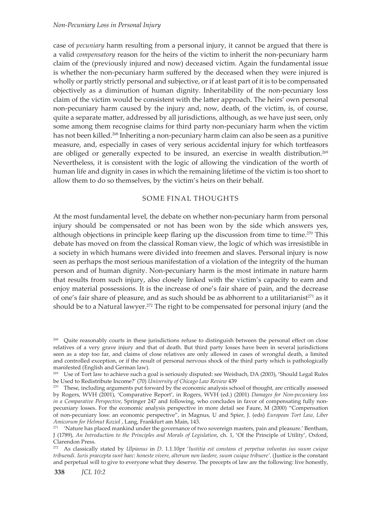case of *pecuniary* harm resulting from a personal injury, it cannot be argued that there is a valid *compensatory* reason for the heirs of the victim to inherit the non-pecuniary harm claim of the (previously injured and now) deceased victim. Again the fundamental issue is whether the non-pecuniary harm suffered by the deceased when they were injured is wholly or partly strictly personal and subjective, or if at least part of it is to be compensated objectively as a diminution of human dignity. Inheritability of the non-pecuniary loss claim of the victim would be consistent with the latter approach. The heirs' own personal non-pecuniary harm caused by the injury and, now, death, of the victim, is, of course, quite a separate matter, addressed by all jurisdictions, although, as we have just seen, only some among them recognise claims for third party non-pecuniary harm when the victim has not been killed.<sup>268</sup> Inheriting a non-pecuniary harm claim can also be seen as a punitive measure, and, especially in cases of very serious accidental injury for which tortfeasors are obliged or generally expected to be insured, an exercise in wealth distribution.<sup>269</sup> Nevertheless, it is consistent with the logic of allowing the vindication of the worth of human life and dignity in cases in which the remaining lifetime of the victim is too short to allow them to do so themselves, by the victim's heirs on their behalf.

# SOME FINAL THOUGHTS

At the most fundamental level, the debate on whether non-pecuniary harm from personal injury should be compensated or not has been won by the side which answers yes, although objections in principle keep flaring up the discussion from time to time.<sup>270</sup> This debate has moved on from the classical Roman view, the logic of which was irresistible in a society in which humans were divided into freemen and slaves. Personal injury is now seen as perhaps the most serious manifestation of a violation of the integrity of the human person and of human dignity. Non-pecuniary harm is the most intimate in nature harm that results from such injury, also closely linked with the victim's capacity to earn and enjoy material possessions. It is the increase of one's fair share of pain, and the decrease of one's fair share of pleasure, and as such should be as abhorrent to a utilitarianist<sup>271</sup> as it should be to a Natural lawyer.<sup>272</sup> The right to be compensated for personal injury (and the

<sup>&</sup>lt;sup>268</sup> Quite reasonably courts in these jurisdictions refuse to distinguish between the personal effect on close relatives of a very grave injury and that of death. But third party losses have been in several jurisdictions seen as a step too far, and claims of close relatives are only allowed in cases of wrongful death, a limited and controlled exception, or if the result of personal nervous shock of the third party which is pathologically manifested (English and German law).

<sup>&</sup>lt;sup>269</sup> Use of Tort law to achieve such a goal is seriously disputed: see Weisbach, DA (2003), 'Should Legal Rules be Used to Redistribute Income?' (70) *University of Chicago Law Review* 439<br><sup>270</sup> These, including arguments put forward by the economic analysis school of thought, are critically assessed

by Rogers, WVH (2001), 'Comparative Report', in Rogers, WVH (ed.) (2001) *Damages for Non-pecuniary loss in a Comparative Perspective*, Springer 247 and following, who concludes in favor of compensating fully nonpecuniary losses. For the economic analysis perspective in more detail see Faure, M (2000) "Compensation of non-pecuniary loss: an economic perspective", in Magnus, U and Spier, J. (eds) *European Tort Law, Liber Amicorum for Helmut Koziol* , Lang, Frankfurt am Main, 143.

<sup>&</sup>lt;sup>271</sup> 'Nature has placed mankind under the governance of two sovereign masters, pain and pleasure.' Bentham, J (1789)*, An Introduction to the Principles and Morals of Legislation*, ch. 1, 'Of the Principle of Utility', Oxford, Clarendon Press.

<sup>272</sup> As classically stated by *Ulpianus* in *D*. 1.1.10pr '*Iustitia est constans et perpetua voluntas ius suum cuique tribuendi. Iuris praecepta sunt haec: honeste vivere, alterum non laedere, suum cuique tribuere'*. (Justice is the constant and perpetual will to give to everyone what they deserve. The precepts of law are the following: live honestly,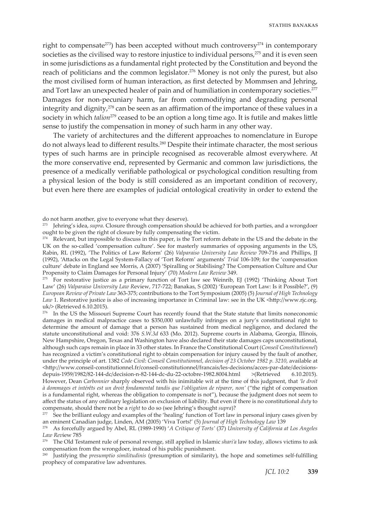right to compensate<sup>273</sup>) has been accepted without much controversy<sup>274</sup> in contemporary societies as the civilised way to restore injustice to individual persons,<sup>275</sup> and it is even seen in some jurisdictions as a fundamental right protected by the Constitution and beyond the reach of politicians and the common legislator.<sup>276</sup> Money is not only the purest, but also the most civilised form of human interaction, as first detected by Mommsen and Jehring, and Tort law an unexpected healer of pain and of humiliation in contemporary societies.<sup>277</sup> Damages for non-pecuniary harm, far from commodifying and degrading personal integrity and dignity, $278$  can be seen as an affirmation of the importance of these values in a society in which *talion*279 ceased to be an option a long time ago. It is futile and makes little sense to justify the compensation in money of such harm in any other way.

The variety of architectures and the different approaches to nomenclature in Europe do not always lead to different results.280 Despite their intimate character, the most serious types of such harms are in principle recognised as recoverable almost everywhere. At the more conservative end, represented by Germanic and common law jurisdictions, the presence of a medically verifiable pathological or psychological condition resulting from a physical lesion of the body is still considered as an important condition of recovery, but even here there are examples of judicial ontological creativity in order to extend the

 $275$  For restorative justice as a primary function of Tort law see Weinrib, EJ (1992) 'Thinking About Tort Law' (26) *Valparaiso University Law R*eview, 717-722; Banakas, S (2002) 'European Tort Law: Is it Possible?', (9) *European Review of Private Law* 363-375; contributions to the Tort Symposium (2005) (5) *Journal of High Technology Law* 1. Restorative justice is also of increasing importance in Criminal law: see in the UK <http://www.rjc.org. uk/> (Retrieved 6.10.2015).

<sup>276</sup> In the US the Missouri Supreme Court has recently found that the State statute that limits noneconomic damages in medical malpractice cases to \$350,000 unlawfully infringes on a jury's constitutional right to determine the amount of damage that a person has sustained from medical negligence, and declared the statute unconstitutional and void: 376 *S.W.3d* 633 (Mo. 2012). Supreme courts in Alabama, Georgia, Illinois, New Hampshire, Oregon, Texas and Washington have also declared their state damages caps unconstitutional, although such caps remain in place in 33 other states. In France the Constitutional Court (*Conseil Constitutionnel*) has recognized a victim's constitutional right to obtain compensation for injury caused by the fault of another, under the principle of art. 1382 *Code Civil*: *Conseil Constitutionnel, decision of 23 October 1982 p. 3210*, available at <http://www.conseil-constitutionnel.fr/conseil-constitutionnel/francais/les-decisions/acces-par-date/decisionsdepuis-1959/1982/82-144-dc/decision-n-82-144-dc-du-22-octobre-1982.8004.html >(Retrieved 6.10.2015). However, Dean *Carbonnier* sharply observed with his inimitable wit at the time of this judgment, that *'le droit à dommages et intérêts est un droit fondamental tandis que l'obligation de réparer, non'* ("the right of compensation is a fundamental right, whereas the obligation to compensate is not"), because the judgment does not seem to affect the status of any ordinary legislation on exclusion of liability. But even if there is no constitutional *duty* to compensate, should there not be a *right* to do so (see Jehring's thought *supra*)?

do not harm another, give to everyone what they deserve).

<sup>273</sup> Jehring's idea, *supra*. Closure through compensation should be achieved for both parties, and a wrongdoer ought to be given the right of closure by fully compensating the victim.

 $274$  Relevant, but impossible to discuss in this paper, is the Tort reform debate in the US and the debate in the UK on the so-called 'compensation culture'. See for masterly summaries of opposing arguments in the US, Rabin, RL (1992), 'The Politics of Law Reform' (26) *Valparaiso University Law Review* 709-716 and Phillips, JJ (1992), 'Attacks on the Legal System-Fallacy of 'Tort Reform' arguments' *Trial* 106-109; for the 'compensation culture' debate in England see Morris, A (2007) 'Spiralling or Stabilising? The Compensation Culture and Our Propensity to Claim Damages for Personal Injury' (70) *Modern Law Review* 349.

<sup>&</sup>lt;sup>277</sup> See the brilliant eulogy and examples of the 'healing' function of Tort law in personal injury cases given by an eminent Canadian judge, Linden, AM (2005) 'Viva Torts!' (5) *Journal of High Technology Law* 139

<sup>&</sup>lt;sup>278</sup> As forcefully argued by Abel, RL (1989-1990) 'A Critique of Torts' (37) University of California at Los Angeles *Law Rev*iew 785 279 The Old Testament rule of personal revenge, still applied in Islamic *shari'a* law today, allows victims to ask

compensation from the wrongdoer, instead of his public punishment.

<sup>280</sup> Justifying the *presumptio similitudinis* (presumption of similarity), the hope and sometimes self-fulfilling prophecy of comparative law adventures.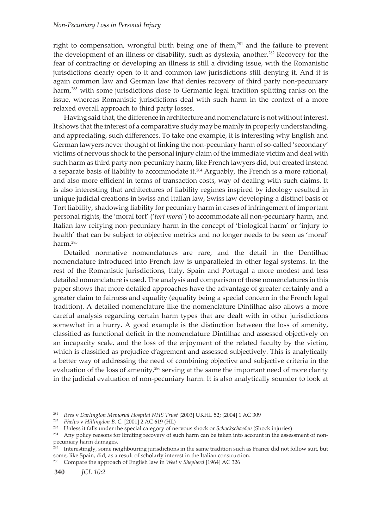right to compensation, wrongful birth being one of them,<sup>281</sup> and the failure to prevent the development of an illness or disability, such as dyslexia, another.<sup>282</sup> Recovery for the fear of contracting or developing an illness is still a dividing issue, with the Romanistic jurisdictions clearly open to it and common law jurisdictions still denying it. And it is again common law and German law that denies recovery of third party non-pecuniary harm,<sup>283</sup> with some jurisdictions close to Germanic legal tradition splitting ranks on the issue, whereas Romanistic jurisdictions deal with such harm in the context of a more relaxed overall approach to third party losses.

Having said that, the difference in architecture and nomenclature is not without interest. It shows that the interest of a comparative study may be mainly in properly understanding, and appreciating, such differences. To take one example, it is interesting why English and German lawyers never thought of linking the non-pecuniary harm of so-called 'secondary' victims of nervous shock to the personal injury claim of the immediate victim and deal with such harm as third party non-pecuniary harm, like French lawyers did, but created instead a separate basis of liability to accommodate it.<sup>284</sup> Arguably, the French is a more rational, and also more efficient in terms of transaction costs, way of dealing with such claims. It is also interesting that architectures of liability regimes inspired by ideology resulted in unique judicial creations in Swiss and Italian law, Swiss law developing a distinct basis of Tort liability, shadowing liability for pecuniary harm in cases of infringement of important personal rights, the 'moral tort' ('*tort moral'*) to accommodate all non-pecuniary harm, and Italian law reifying non-pecuniary harm in the concept of 'biological harm' or 'injury to health' that can be subject to objective metrics and no longer needs to be seen as 'moral' harm.<sup>285</sup>

Detailed normative nomenclatures are rare, and the detail in the Dentilhac nomenclature introduced into French law is unparalleled in other legal systems. In the rest of the Romanistic jurisdictions, Italy, Spain and Portugal a more modest and less detailed nomenclature is used. The analysis and comparison of these nomenclatures in this paper shows that more detailed approaches have the advantage of greater certainly and a greater claim to fairness and equality (equality being a special concern in the French legal tradition). A detailed nomenclature like the nomenclature Dintilhac also allows a more careful analysis regarding certain harm types that are dealt with in other jurisdictions somewhat in a hurry. A good example is the distinction between the loss of amenity, classified as functional deficit in the nomenclature Dintilhac and assessed objectively on an incapacity scale, and the loss of the enjoyment of the related faculty by the victim, which is classified as prejudice d'agrement and assessed subjectively. This is analytically a better way of addressing the need of combining objective and subjective criteria in the evaluation of the loss of amenity, $286$  serving at the same the important need of more clarity in the judicial evaluation of non-pecuniary harm. It is also analytically sounder to look at

286 Compare the approach of English law in *West* v *Shepherd* [1964] AC 326

<sup>281</sup> *Rees* v *Darlington Memorial Hospital NHS Trust* [2003] UKHL 52; [2004] 1 AC 309

<sup>282</sup> *Phelps* v *Hillingdon B. C.* [2001] 2 AC 619 (HL)

<sup>283</sup> Unless it falls under the special category of nervous shock or *Schockschaeden* (Shock injuries)

<sup>&</sup>lt;sup>284</sup> Any policy reasons for limiting recovery of such harm can be taken into account in the assessment of nonpecuniary harm damages.

<sup>&</sup>lt;sup>285</sup> Interestingly, some neighbouring jurisdictions in the same tradition such as France did not follow suit, but some, like Spain, did, as a result of scholarly interest in the Italian construction.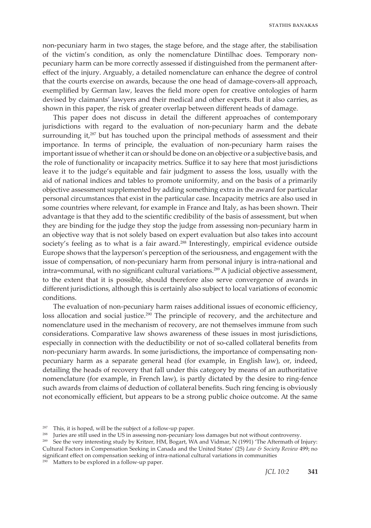non-pecuniary harm in two stages, the stage before, and the stage after, the stabilisation of the victim's condition, as only the nomenclature Dintilhac does. Temporary nonpecuniary harm can be more correctly assessed if distinguished from the permanent aftereffect of the injury. Arguably, a detailed nomenclature can enhance the degree of control that the courts exercise on awards, because the one head of damage-covers-all approach, exemplified by German law, leaves the field more open for creative ontologies of harm devised by claimants' lawyers and their medical and other experts. But it also carries, as shown in this paper, the risk of greater overlap between different heads of damage.

This paper does not discuss in detail the different approaches of contemporary jurisdictions with regard to the evaluation of non-pecuniary harm and the debate surrounding it, $287$  but has touched upon the principal methods of assessment and their importance. In terms of principle, the evaluation of non-pecuniary harm raises the important issue of whether it can or should be done on an objective or a subjective basis, and the role of functionality or incapacity metrics. Suffice it to say here that most jurisdictions leave it to the judge's equitable and fair judgment to assess the loss, usually with the aid of national indices and tables to promote uniformity, and on the basis of a primarily objective assessment supplemented by adding something extra in the award for particular personal circumstances that exist in the particular case. Incapacity metrics are also used in some countries where relevant, for example in France and Italy, as has been shown. Their advantage is that they add to the scientific credibility of the basis of assessment, but when they are binding for the judge they stop the judge from assessing non-pecuniary harm in an objective way that is not solely based on expert evaluation but also takes into account society's feeling as to what is a fair award.<sup>288</sup> Interestingly, empirical evidence outside Europe shows that the layperson's perception of the seriousness, and engagement with the issue of compensation, of non-pecuniary harm from personal injury is intra-national and intra=communal, with no significant cultural variations.<sup>289</sup> A judicial objective assessment, to the extent that it is possible, should therefore also serve convergence of awards in different jurisdictions, although this is certainly also subject to local variations of economic conditions.

The evaluation of non-pecuniary harm raises additional issues of economic efficiency, loss allocation and social justice.<sup>290</sup> The principle of recovery, and the architecture and nomenclature used in the mechanism of recovery, are not themselves immune from such considerations. Comparative law shows awareness of these issues in most jurisdictions, especially in connection with the deductibility or not of so-called collateral benefits from non-pecuniary harm awards. In some jurisdictions, the importance of compensating nonpecuniary harm as a separate general head (for example, in English law), or, indeed, detailing the heads of recovery that fall under this category by means of an authoritative nomenclature (for example, in French law), is partly dictated by the desire to ring-fence such awards from claims of deduction of collateral benefits. Such ring fencing is obviously not economically efficient, but appears to be a strong public choice outcome. At the same

 $290$  Matters to be explored in a follow-up paper.

<sup>287</sup> This, it is hoped, will be the subject of a follow-up paper.

<sup>&</sup>lt;sup>288</sup> Juries are still used in the US in assessing non-pecuniary loss damages but not without controversy.

<sup>&</sup>lt;sup>289</sup> See the very interesting study by Kritzer, HM, Bogart, WA and Vidmar, N (1991) 'The Aftermath of Injury: Cultural Factors in Compensation Seeking in Canada and the United States' (25) *Law & Society Review* 499; no significant effect on compensation seeking of intra-national cultural variations in communities